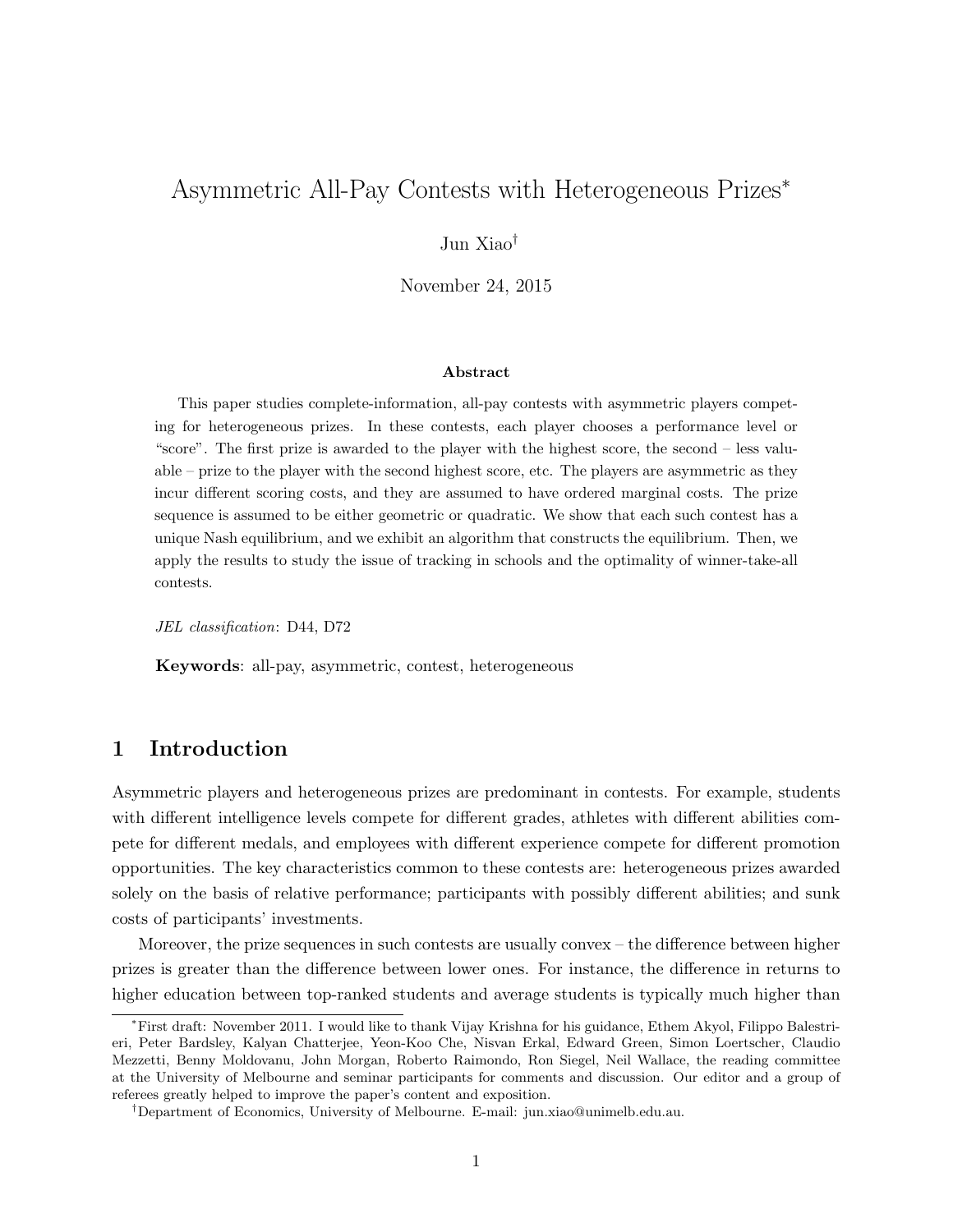# Asymmetric All-Pay Contests with Heterogeneous Prizes<sup>∗</sup>

### Jun Xiao†

November 24, 2015

#### Abstract

This paper studies complete-information, all-pay contests with asymmetric players competing for heterogeneous prizes. In these contests, each player chooses a performance level or "score". The first prize is awarded to the player with the highest score, the second – less valuable – prize to the player with the second highest score, etc. The players are asymmetric as they incur different scoring costs, and they are assumed to have ordered marginal costs. The prize sequence is assumed to be either geometric or quadratic. We show that each such contest has a unique Nash equilibrium, and we exhibit an algorithm that constructs the equilibrium. Then, we apply the results to study the issue of tracking in schools and the optimality of winner-take-all contests.

JEL classification: D44, D72

Keywords: all-pay, asymmetric, contest, heterogeneous

# 1 Introduction

Asymmetric players and heterogeneous prizes are predominant in contests. For example, students with different intelligence levels compete for different grades, athletes with different abilities compete for different medals, and employees with different experience compete for different promotion opportunities. The key characteristics common to these contests are: heterogeneous prizes awarded solely on the basis of relative performance; participants with possibly different abilities; and sunk costs of participants' investments.

Moreover, the prize sequences in such contests are usually convex – the difference between higher prizes is greater than the difference between lower ones. For instance, the difference in returns to higher education between top-ranked students and average students is typically much higher than

<sup>∗</sup>First draft: November 2011. I would like to thank Vijay Krishna for his guidance, Ethem Akyol, Filippo Balestrieri, Peter Bardsley, Kalyan Chatterjee, Yeon-Koo Che, Nisvan Erkal, Edward Green, Simon Loertscher, Claudio Mezzetti, Benny Moldovanu, John Morgan, Roberto Raimondo, Ron Siegel, Neil Wallace, the reading committee at the University of Melbourne and seminar participants for comments and discussion. Our editor and a group of referees greatly helped to improve the paper's content and exposition.

<sup>†</sup>Department of Economics, University of Melbourne. E-mail: jun.xiao@unimelb.edu.au.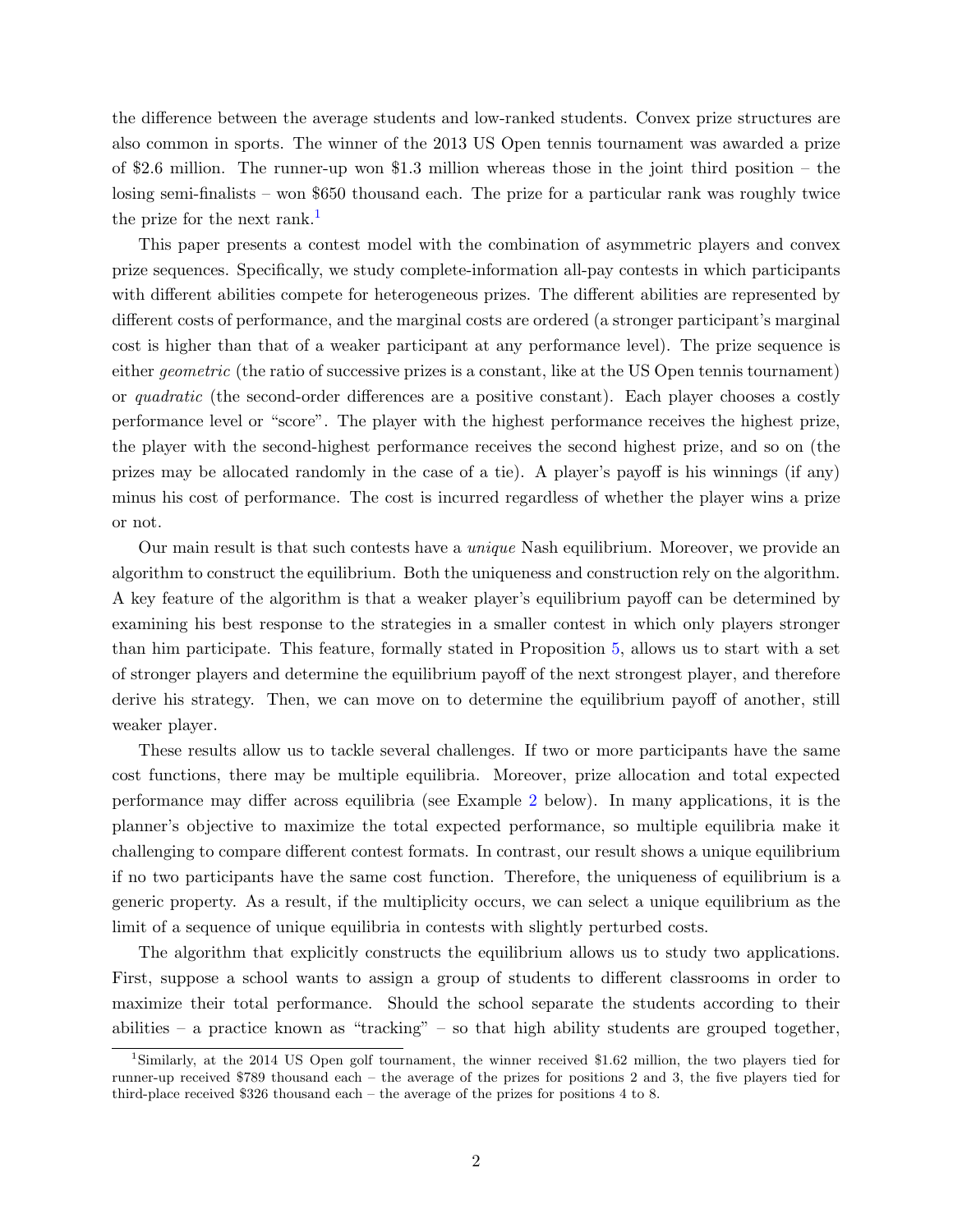the difference between the average students and low-ranked students. Convex prize structures are also common in sports. The winner of the 2013 US Open tennis tournament was awarded a prize of \$2.6 million. The runner-up won \$1.3 million whereas those in the joint third position – the losing semi-finalists – won \$650 thousand each. The prize for a particular rank was roughly twice the prize for the next rank.<sup>[1](#page-1-0)</sup>

This paper presents a contest model with the combination of asymmetric players and convex prize sequences. Specifically, we study complete-information all-pay contests in which participants with different abilities compete for heterogeneous prizes. The different abilities are represented by different costs of performance, and the marginal costs are ordered (a stronger participant's marginal cost is higher than that of a weaker participant at any performance level). The prize sequence is either *geometric* (the ratio of successive prizes is a constant, like at the US Open tennis tournament) or quadratic (the second-order differences are a positive constant). Each player chooses a costly performance level or "score". The player with the highest performance receives the highest prize, the player with the second-highest performance receives the second highest prize, and so on (the prizes may be allocated randomly in the case of a tie). A player's payoff is his winnings (if any) minus his cost of performance. The cost is incurred regardless of whether the player wins a prize or not.

Our main result is that such contests have a unique Nash equilibrium. Moreover, we provide an algorithm to construct the equilibrium. Both the uniqueness and construction rely on the algorithm. A key feature of the algorithm is that a weaker player's equilibrium payoff can be determined by examining his best response to the strategies in a smaller contest in which only players stronger than him participate. This feature, formally stated in Proposition [5,](#page-10-0) allows us to start with a set of stronger players and determine the equilibrium payoff of the next strongest player, and therefore derive his strategy. Then, we can move on to determine the equilibrium payoff of another, still weaker player.

These results allow us to tackle several challenges. If two or more participants have the same cost functions, there may be multiple equilibria. Moreover, prize allocation and total expected performance may differ across equilibria (see Example [2](#page-20-0) below). In many applications, it is the planner's objective to maximize the total expected performance, so multiple equilibria make it challenging to compare different contest formats. In contrast, our result shows a unique equilibrium if no two participants have the same cost function. Therefore, the uniqueness of equilibrium is a generic property. As a result, if the multiplicity occurs, we can select a unique equilibrium as the limit of a sequence of unique equilibria in contests with slightly perturbed costs.

The algorithm that explicitly constructs the equilibrium allows us to study two applications. First, suppose a school wants to assign a group of students to different classrooms in order to maximize their total performance. Should the school separate the students according to their abilities – a practice known as "tracking" – so that high ability students are grouped together,

<span id="page-1-0"></span><sup>1</sup>Similarly, at the 2014 US Open golf tournament, the winner received \$1.62 million, the two players tied for runner-up received \$789 thousand each – the average of the prizes for positions 2 and 3, the five players tied for third-place received \$326 thousand each – the average of the prizes for positions 4 to 8.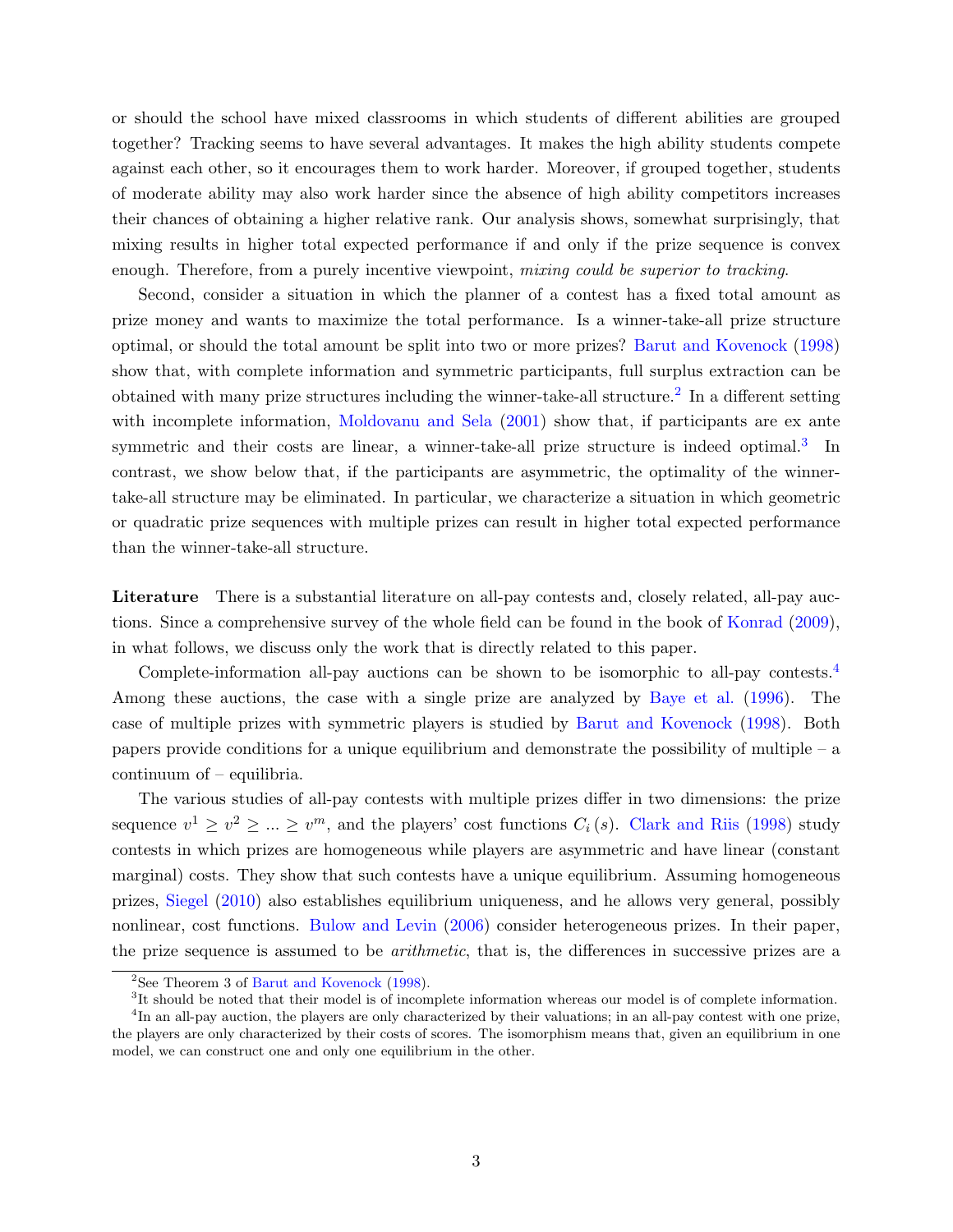<span id="page-2-3"></span>or should the school have mixed classrooms in which students of different abilities are grouped together? Tracking seems to have several advantages. It makes the high ability students compete against each other, so it encourages them to work harder. Moreover, if grouped together, students of moderate ability may also work harder since the absence of high ability competitors increases their chances of obtaining a higher relative rank. Our analysis shows, somewhat surprisingly, that mixing results in higher total expected performance if and only if the prize sequence is convex enough. Therefore, from a purely incentive viewpoint, *mixing could be superior to tracking*.

Second, consider a situation in which the planner of a contest has a fixed total amount as prize money and wants to maximize the total performance. Is a winner-take-all prize structure optimal, or should the total amount be split into two or more prizes? [Barut and Kovenock](#page-26-0) [\(1998\)](#page-26-0) show that, with complete information and symmetric participants, full surplus extraction can be obtained with many prize structures including the winner-take-all structure.<sup>[2](#page-2-0)</sup> In a different setting with incomplete information, [Moldovanu and Sela](#page-27-0) [\(2001\)](#page-27-0) show that, if participants are ex ante symmetric and their costs are linear, a winner-take-all prize structure is indeed optimal.<sup>[3](#page-2-1)</sup> In contrast, we show below that, if the participants are asymmetric, the optimality of the winnertake-all structure may be eliminated. In particular, we characterize a situation in which geometric or quadratic prize sequences with multiple prizes can result in higher total expected performance than the winner-take-all structure.

Literature There is a substantial literature on all-pay contests and, closely related, all-pay auctions. Since a comprehensive survey of the whole field can be found in the book of [Konrad](#page-27-1) [\(2009\)](#page-27-1), in what follows, we discuss only the work that is directly related to this paper.

Complete-information all-pay auctions can be shown to be isomorphic to all-pay contests. $4$ Among these auctions, the case with a single prize are analyzed by [Baye et al.](#page-26-1) [\(1996\)](#page-26-1). The case of multiple prizes with symmetric players is studied by [Barut and Kovenock](#page-26-0) [\(1998\)](#page-26-0). Both papers provide conditions for a unique equilibrium and demonstrate the possibility of multiple – a continuum of – equilibria.

The various studies of all-pay contests with multiple prizes differ in two dimensions: the prize sequence  $v^1 \ge v^2 \ge ... \ge v^m$ , and the players' cost functions  $C_i(s)$ . [Clark and Riis](#page-26-2) [\(1998\)](#page-26-2) study contests in which prizes are homogeneous while players are asymmetric and have linear (constant marginal) costs. They show that such contests have a unique equilibrium. Assuming homogeneous prizes, [Siegel](#page-27-2) [\(2010\)](#page-27-2) also establishes equilibrium uniqueness, and he allows very general, possibly nonlinear, cost functions. [Bulow and Levin](#page-26-3) [\(2006\)](#page-26-3) consider heterogeneous prizes. In their paper, the prize sequence is assumed to be arithmetic, that is, the differences in successive prizes are a

<span id="page-2-0"></span> $2$ See Theorem 3 of [Barut and Kovenock](#page-26-0) [\(1998\)](#page-26-0).

<span id="page-2-2"></span><span id="page-2-1"></span><sup>&</sup>lt;sup>3</sup>It should be noted that their model is of incomplete information whereas our model is of complete information.

<sup>&</sup>lt;sup>4</sup>In an all-pay auction, the players are only characterized by their valuations; in an all-pay contest with one prize, the players are only characterized by their costs of scores. The isomorphism means that, given an equilibrium in one model, we can construct one and only one equilibrium in the other.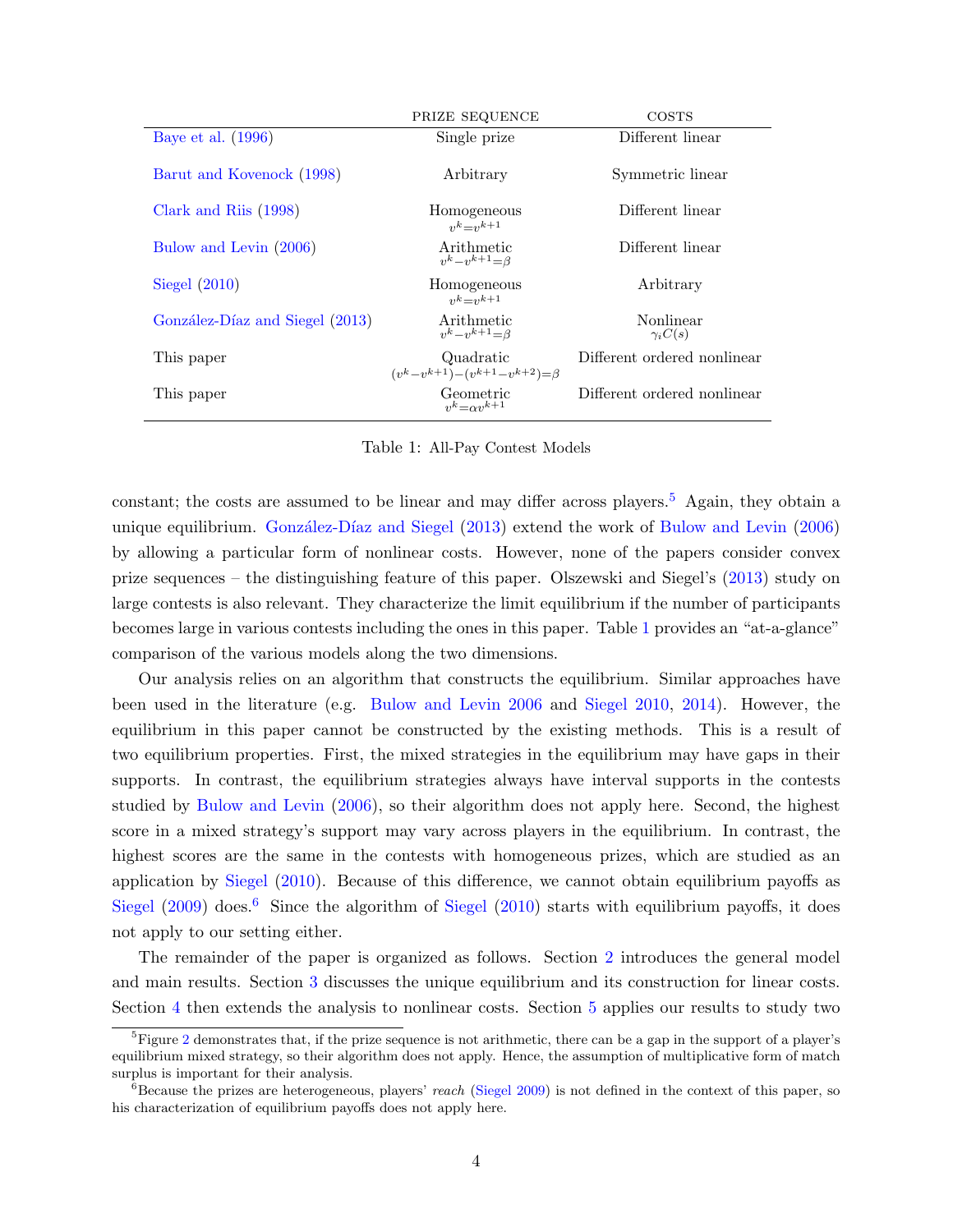<span id="page-3-3"></span><span id="page-3-1"></span>

|                                 | PRIZE SEQUENCE                                               | <b>COSTS</b>                 |
|---------------------------------|--------------------------------------------------------------|------------------------------|
| Baye et al. (1996)              | Single prize                                                 | Different linear             |
| Barut and Kovenock (1998)       | Arbitrary                                                    | Symmetric linear             |
| Clark and Riis (1998)           | Homogeneous<br>$v^{k} = v^{k+1}$                             | Different linear             |
| Bulow and Levin (2006)          | Arithmetic<br>$v^{k} - v^{k+1} = \beta$                      | Different linear             |
| Siegel $(2010)$                 | Homogeneous<br>$n^k = n^{k+1}$                               | Arbitrary                    |
| González-Díaz and Siegel (2013) | Arithmetic<br>$v^k-v^{k+1}=\beta$                            | Nonlinear<br>$\gamma_i C(s)$ |
| This paper                      | Quadratic<br>$(v^k - v^{k+1}) - (v^{k+1} - v^{k+2}) = \beta$ | Different ordered nonlinear  |
| This paper                      | Geometric<br>$v^k = \alpha v^{k+1}$                          | Different ordered nonlinear  |

Table 1: All-Pay Contest Models

constant; the costs are assumed to be linear and may differ across players.<sup>[5](#page-3-0)</sup> Again, they obtain a unique equilibrium. González-Díaz and Siegel [\(2013\)](#page-27-3) extend the work of [Bulow and Levin](#page-26-3) [\(2006\)](#page-26-3) by allowing a particular form of nonlinear costs. However, none of the papers consider convex prize sequences – the distinguishing feature of this paper. Olszewski and Siegel's [\(2013\)](#page-27-4) study on large contests is also relevant. They characterize the limit equilibrium if the number of participants becomes large in various contests including the ones in this paper. Table [1](#page-3-1) provides an "at-a-glance" comparison of the various models along the two dimensions.

Our analysis relies on an algorithm that constructs the equilibrium. Similar approaches have been used in the literature (e.g. [Bulow and Levin](#page-26-3) [2006](#page-26-3) and [Siegel](#page-27-2) [2010,](#page-27-2) [2014\)](#page-27-5). However, the equilibrium in this paper cannot be constructed by the existing methods. This is a result of two equilibrium properties. First, the mixed strategies in the equilibrium may have gaps in their supports. In contrast, the equilibrium strategies always have interval supports in the contests studied by [Bulow and Levin](#page-26-3) [\(2006\)](#page-26-3), so their algorithm does not apply here. Second, the highest score in a mixed strategy's support may vary across players in the equilibrium. In contrast, the highest scores are the same in the contests with homogeneous prizes, which are studied as an application by [Siegel](#page-27-2) [\(2010\)](#page-27-2). Because of this difference, we cannot obtain equilibrium payoffs as [Siegel](#page-27-2) [\(2009\)](#page-27-6) does.<sup>[6](#page-3-2)</sup> Since the algorithm of Siegel [\(2010\)](#page-27-2) starts with equilibrium payoffs, it does not apply to our setting either.

The remainder of the paper is organized as follows. Section [2](#page-4-0) introduces the general model and main results. Section [3](#page-5-0) discusses the unique equilibrium and its construction for linear costs. Section [4](#page-19-0) then extends the analysis to nonlinear costs. Section [5](#page-22-0) applies our results to study two

<span id="page-3-0"></span><sup>&</sup>lt;sup>5</sup>Figure [2](#page-7-0) demonstrates that, if the prize sequence is not arithmetic, there can be a gap in the support of a player's equilibrium mixed strategy, so their algorithm does not apply. Hence, the assumption of multiplicative form of match surplus is important for their analysis.

<span id="page-3-2"></span> ${}^{6}$ Because the prizes are heterogeneous, players' *reach* [\(Siegel](#page-27-6) [2009\)](#page-27-6) is not defined in the context of this paper, so his characterization of equilibrium payoffs does not apply here.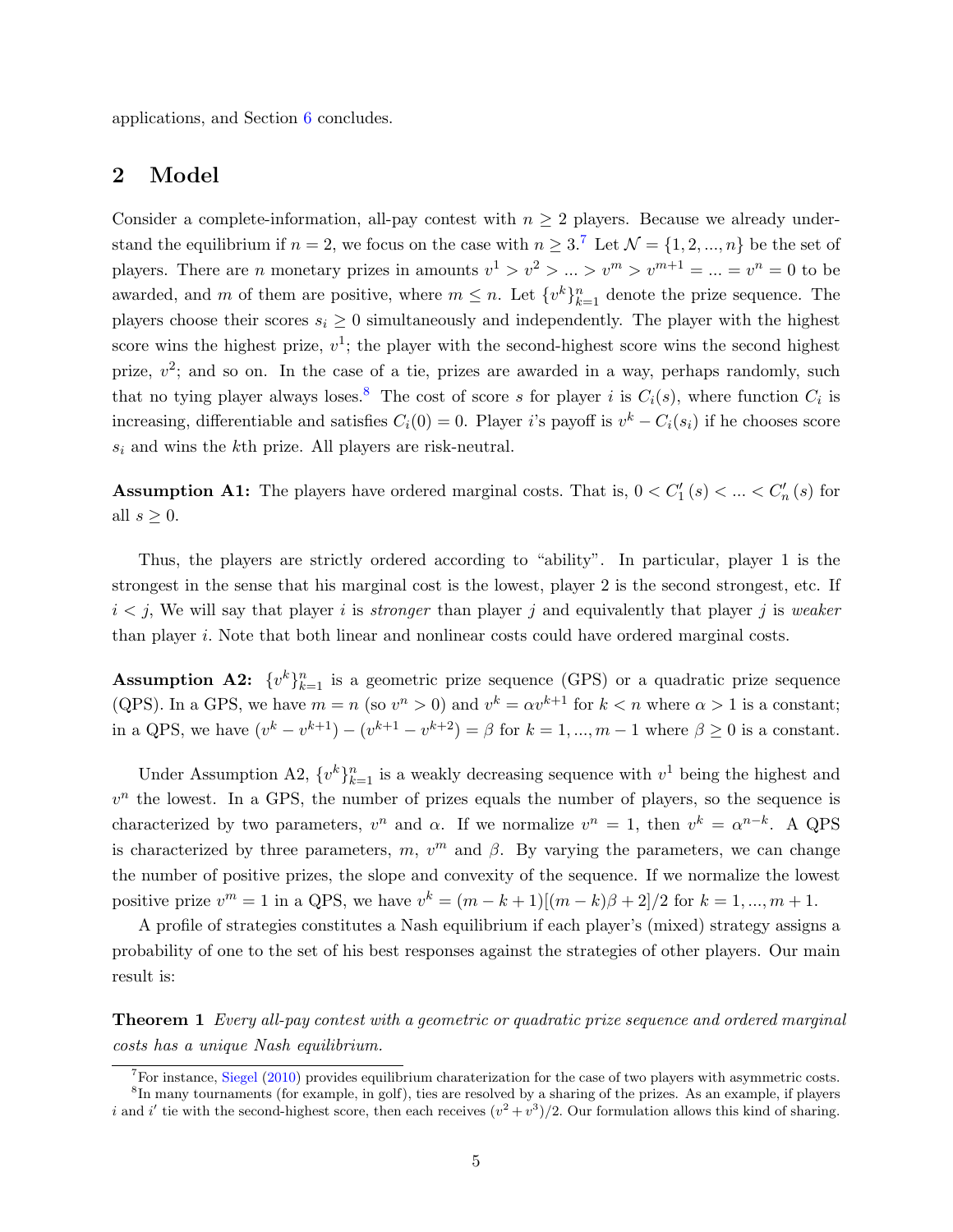<span id="page-4-4"></span>applications, and Section [6](#page-25-0) concludes.

# <span id="page-4-0"></span>2 Model

Consider a complete-information, all-pay contest with  $n \geq 2$  players. Because we already understand the equilibrium if  $n = 2$ , we focus on the case with  $n \geq 3$ .<sup>[7](#page-4-1)</sup> Let  $\mathcal{N} = \{1, 2, ..., n\}$  be the set of players. There are *n* monetary prizes in amounts  $v^1 > v^2 > ... > v^m > v^{m+1} = ... = v^n = 0$  to be awarded, and m of them are positive, where  $m \leq n$ . Let  $\{v^k\}_{k=1}^n$  denote the prize sequence. The players choose their scores  $s_i \geq 0$  simultaneously and independently. The player with the highest score wins the highest prize,  $v^1$ ; the player with the second-highest score wins the second highest prize,  $v^2$ ; and so on. In the case of a tie, prizes are awarded in a way, perhaps randomly, such that no tying player always loses.<sup>[8](#page-4-2)</sup> The cost of score s for player i is  $C_i(s)$ , where function  $C_i$  is increasing, differentiable and satisfies  $C_i(0) = 0$ . Player i's payoff is  $v^k - C_i(s_i)$  if he chooses score  $s_i$  and wins the kth prize. All players are risk-neutral.

**Assumption A1:** The players have ordered marginal costs. That is,  $0 < C_1'(s) < ... < C_n'(s)$  for all  $s \geq 0$ .

Thus, the players are strictly ordered according to "ability". In particular, player 1 is the strongest in the sense that his marginal cost is the lowest, player 2 is the second strongest, etc. If  $i < j$ , We will say that player i is *stronger* than player j and equivalently that player j is weaker than player i. Note that both linear and nonlinear costs could have ordered marginal costs.

**Assumption A2:**  $\{v^k\}_{k=1}^n$  is a geometric prize sequence (GPS) or a quadratic prize sequence (QPS). In a GPS, we have  $m = n$  (so  $v^n > 0$ ) and  $v^k = \alpha v^{k+1}$  for  $k < n$  where  $\alpha > 1$  is a constant; in a QPS, we have  $(v^k - v^{k+1}) - (v^{k+1} - v^{k+2}) = \beta$  for  $k = 1, ..., m-1$  where  $\beta \geq 0$  is a constant.

Under Assumption A2,  $\{v^k\}_{k=1}^n$  is a weakly decreasing sequence with  $v^1$  being the highest and  $v<sup>n</sup>$  the lowest. In a GPS, the number of prizes equals the number of players, so the sequence is characterized by two parameters,  $v^n$  and  $\alpha$ . If we normalize  $v^n = 1$ , then  $v^k = \alpha^{n-k}$ . A QPS is characterized by three parameters,  $m, v<sup>m</sup>$  and  $\beta$ . By varying the parameters, we can change the number of positive prizes, the slope and convexity of the sequence. If we normalize the lowest positive prize  $v^m = 1$  in a QPS, we have  $v^k = (m - k + 1)[(m - k)\beta + 2]/2$  for  $k = 1, ..., m + 1$ .

A profile of strategies constitutes a Nash equilibrium if each player's (mixed) strategy assigns a probability of one to the set of his best responses against the strategies of other players. Our main result is:

<span id="page-4-3"></span>Theorem 1 Every all-pay contest with a geometric or quadratic prize sequence and ordered marginal costs has a unique Nash equilibrium.

<span id="page-4-2"></span><span id="page-4-1"></span> $^7$ For instance, [Siegel](#page-27-2) [\(2010\)](#page-27-2) provides equilibrium charaterization for the case of two players with asymmetric costs.

<sup>&</sup>lt;sup>8</sup>In many tournaments (for example, in golf), ties are resolved by a sharing of the prizes. As an example, if players i and i' tie with the second-highest score, then each receives  $(v^2 + v^3)/2$ . Our formulation allows this kind of sharing.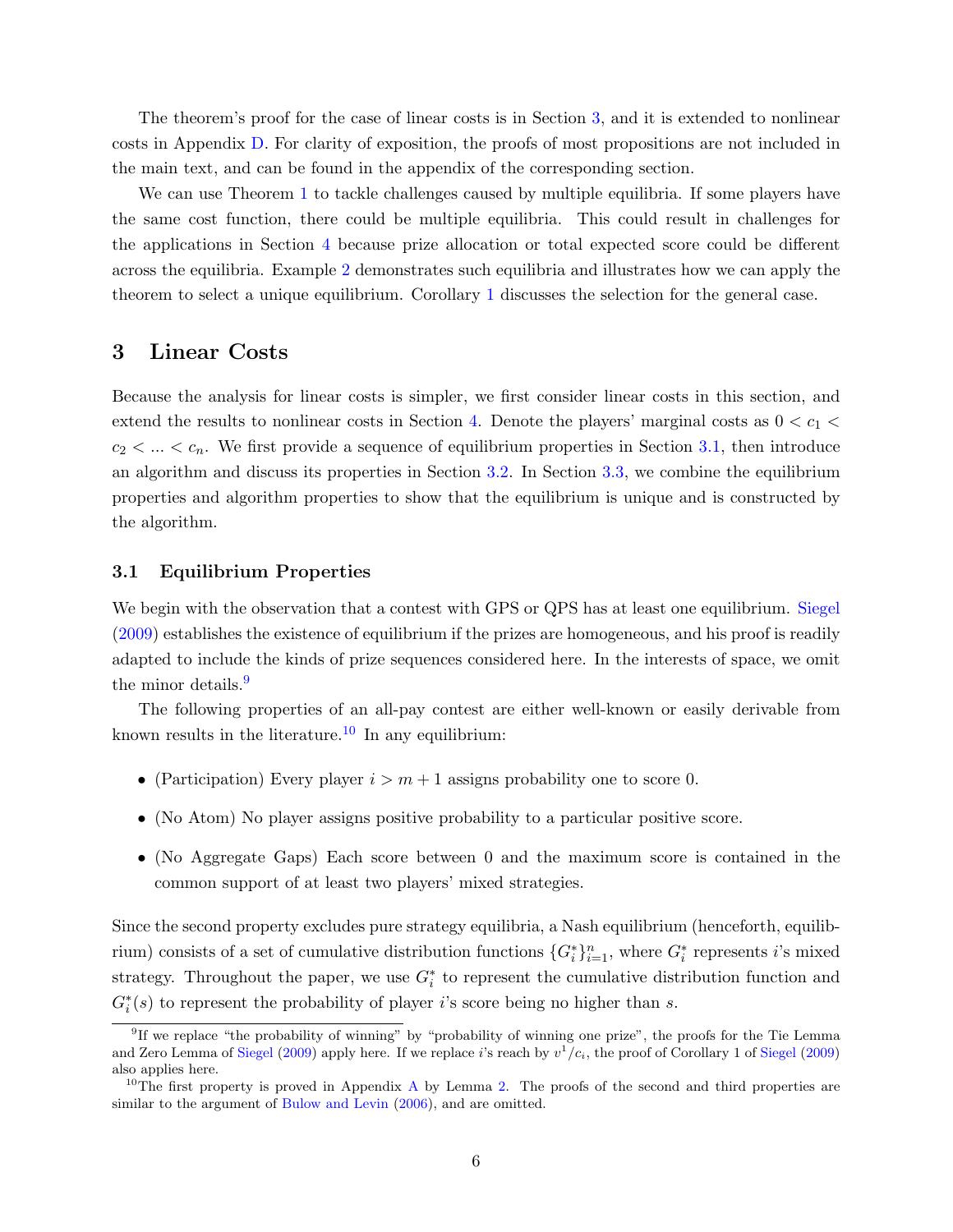<span id="page-5-4"></span>The theorem's proof for the case of linear costs is in Section [3,](#page-5-0) and it is extended to nonlinear costs in Appendix [D.](#page-41-0) For clarity of exposition, the proofs of most propositions are not included in the main text, and can be found in the appendix of the corresponding section.

We can use Theorem [1](#page-4-3) to tackle challenges caused by multiple equilibria. If some players have the same cost function, there could be multiple equilibria. This could result in challenges for the applications in Section [4](#page-19-0) because prize allocation or total expected score could be different across the equilibria. Example [2](#page-20-0) demonstrates such equilibria and illustrates how we can apply the theorem to select a unique equilibrium. Corollary [1](#page-21-0) discusses the selection for the general case.

# <span id="page-5-0"></span>3 Linear Costs

Because the analysis for linear costs is simpler, we first consider linear costs in this section, and extend the results to nonlinear costs in Section [4.](#page-19-0) Denote the players' marginal costs as  $0 < c_1 <$  $c_2 < \ldots < c_n$ . We first provide a sequence of equilibrium properties in Section [3.1,](#page-5-1) then introduce an algorithm and discuss its properties in Section [3.2.](#page-11-0) In Section [3.3,](#page-17-0) we combine the equilibrium properties and algorithm properties to show that the equilibrium is unique and is constructed by the algorithm.

#### <span id="page-5-1"></span>3.1 Equilibrium Properties

We begin with the observation that a contest with GPS or QPS has at least one equilibrium. [Siegel](#page-27-6) [\(2009\)](#page-27-6) establishes the existence of equilibrium if the prizes are homogeneous, and his proof is readily adapted to include the kinds of prize sequences considered here. In the interests of space, we omit the minor details.<sup>[9](#page-5-2)</sup>

The following properties of an all-pay contest are either well-known or easily derivable from known results in the literature.<sup>[10](#page-5-3)</sup> In any equilibrium:

- (Participation) Every player  $i > m + 1$  assigns probability one to score 0.
- (No Atom) No player assigns positive probability to a particular positive score.
- (No Aggregate Gaps) Each score between 0 and the maximum score is contained in the common support of at least two players' mixed strategies.

Since the second property excludes pure strategy equilibria, a Nash equilibrium (henceforth, equilibrium) consists of a set of cumulative distribution functions  $\{G_i^*\}_{i=1}^n$ , where  $G_i^*$  represents i's mixed strategy. Throughout the paper, we use  $G_i^*$  to represent the cumulative distribution function and  $G_i^*(s)$  to represent the probability of player *i*'s score being no higher than *s*.

<span id="page-5-2"></span><sup>&</sup>lt;sup>9</sup>If we replace "the probability of winning" by "probability of winning one prize", the proofs for the Tie Lemma and Zero Lemma of [Siegel](#page-27-6) [\(2009\)](#page-27-6) apply here. If we replace i's reach by  $v^1/c_i$ , the proof of Corollary 1 of Siegel (2009) also applies here.

<span id="page-5-3"></span> $10$ The first property is proved in [A](#page-27-7)ppendix A by Lemma [2.](#page-28-0) The proofs of the second and third properties are similar to the argument of [Bulow and Levin](#page-26-3)  $(2006)$ , and are omitted.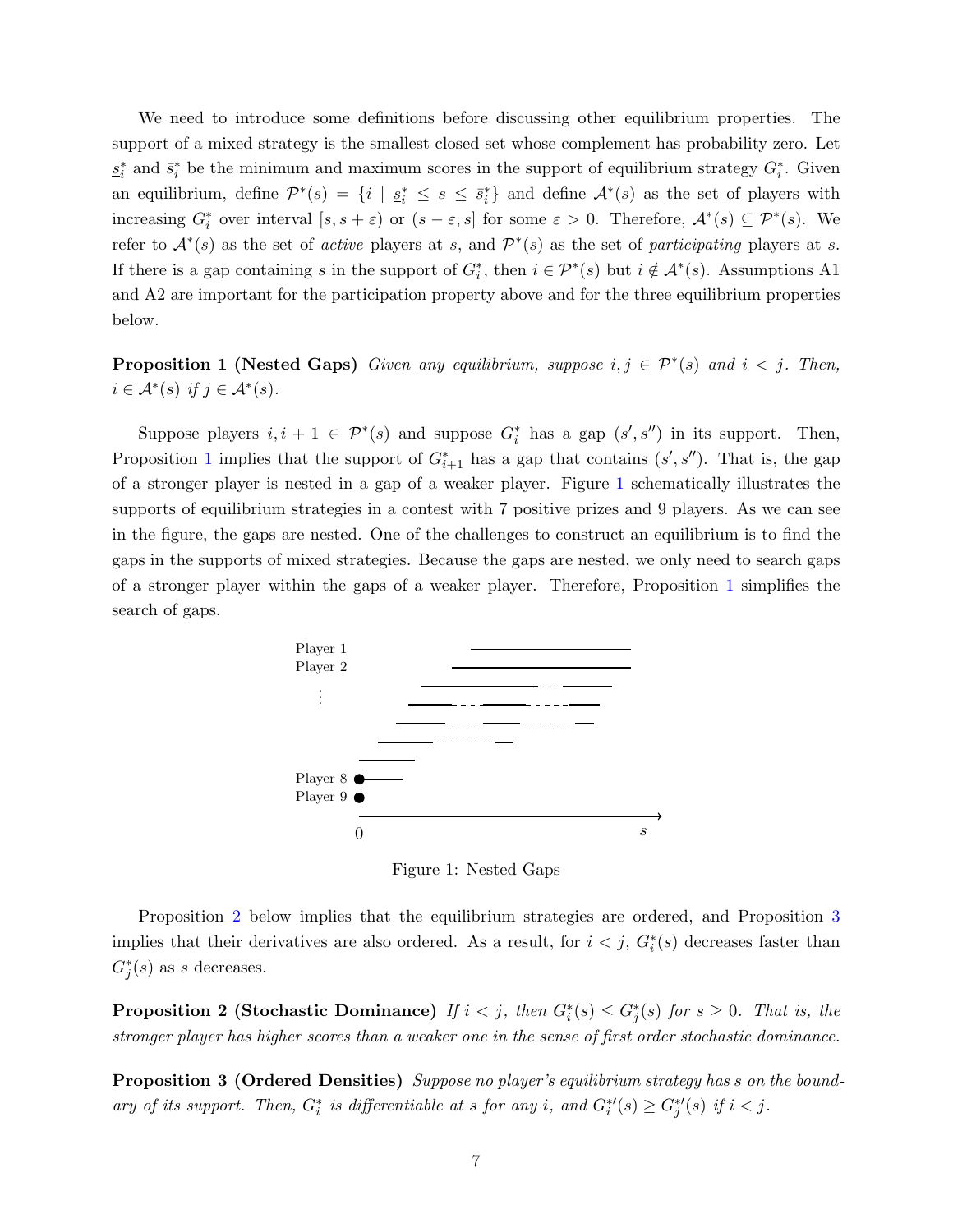We need to introduce some definitions before discussing other equilibrium properties. The support of a mixed strategy is the smallest closed set whose complement has probability zero. Let  $s_i^*$  and  $\bar{s}_i^*$  be the minimum and maximum scores in the support of equilibrium strategy  $G_i^*$ . Given an equilibrium, define  $\mathcal{P}^*(s) = \{i \mid s_i^* \leq s \leq \bar{s}_i^*\}$  and define  $\mathcal{A}^*(s)$  as the set of players with increasing  $G_i^*$  over interval  $[s, s + \varepsilon)$  or  $(s - \varepsilon, s]$  for some  $\varepsilon > 0$ . Therefore,  $\mathcal{A}^*(s) \subseteq \mathcal{P}^*(s)$ . We refer to  $\mathcal{A}^*(s)$  as the set of *active* players at s, and  $\mathcal{P}^*(s)$  as the set of *participating* players at s. If there is a gap containing s in the support of  $G_i^*$ , then  $i \in \mathcal{P}^*(s)$  but  $i \notin \mathcal{A}^*(s)$ . Assumptions A1 and A2 are important for the participation property above and for the three equilibrium properties below.

<span id="page-6-0"></span>**Proposition 1 (Nested Gaps)** Given any equilibrium, suppose  $i, j \in \mathcal{P}^*(s)$  and  $i < j$ . Then,  $i \in \mathcal{A}^*(s)$  if  $j \in \mathcal{A}^*(s)$ .

Suppose players  $i, i + 1 \in \mathcal{P}^*(s)$  and suppose  $G_i^*$  has a gap  $(s', s'')$  in its support. Then, Proposition [1](#page-6-0) implies that the support of  $G^*_{i+1}$  has a gap that contains  $(s', s'')$ . That is, the gap of a stronger player is nested in a gap of a weaker player. Figure [1](#page-6-1) schematically illustrates the supports of equilibrium strategies in a contest with 7 positive prizes and 9 players. As we can see in the figure, the gaps are nested. One of the challenges to construct an equilibrium is to find the gaps in the supports of mixed strategies. Because the gaps are nested, we only need to search gaps of a stronger player within the gaps of a weaker player. Therefore, Proposition [1](#page-6-1) simplifies the search of gaps.

<span id="page-6-1"></span>

Figure 1: Nested Gaps

Proposition [2](#page-6-2) below implies that the equilibrium strategies are ordered, and Proposition [3](#page-6-3) implies that their derivatives are also ordered. As a result, for  $i < j$ ,  $G_i^*(s)$  decreases faster than  $G_j^*(s)$  as s decreases.

<span id="page-6-2"></span>**Proposition 2 (Stochastic Dominance)** If  $i < j$ , then  $G_i^*(s) \leq G_j^*(s)$  for  $s \geq 0$ . That is, the stronger player has higher scores than a weaker one in the sense of first order stochastic dominance.

<span id="page-6-3"></span>**Proposition 3 (Ordered Densities)** Suppose no player's equilibrium strategy has s on the boundary of its support. Then,  $G_i^*$  is differentiable at s for any i, and  $G_i^{*\prime}(s) \geq G_j^{*\prime}(s)$  if  $i < j$ .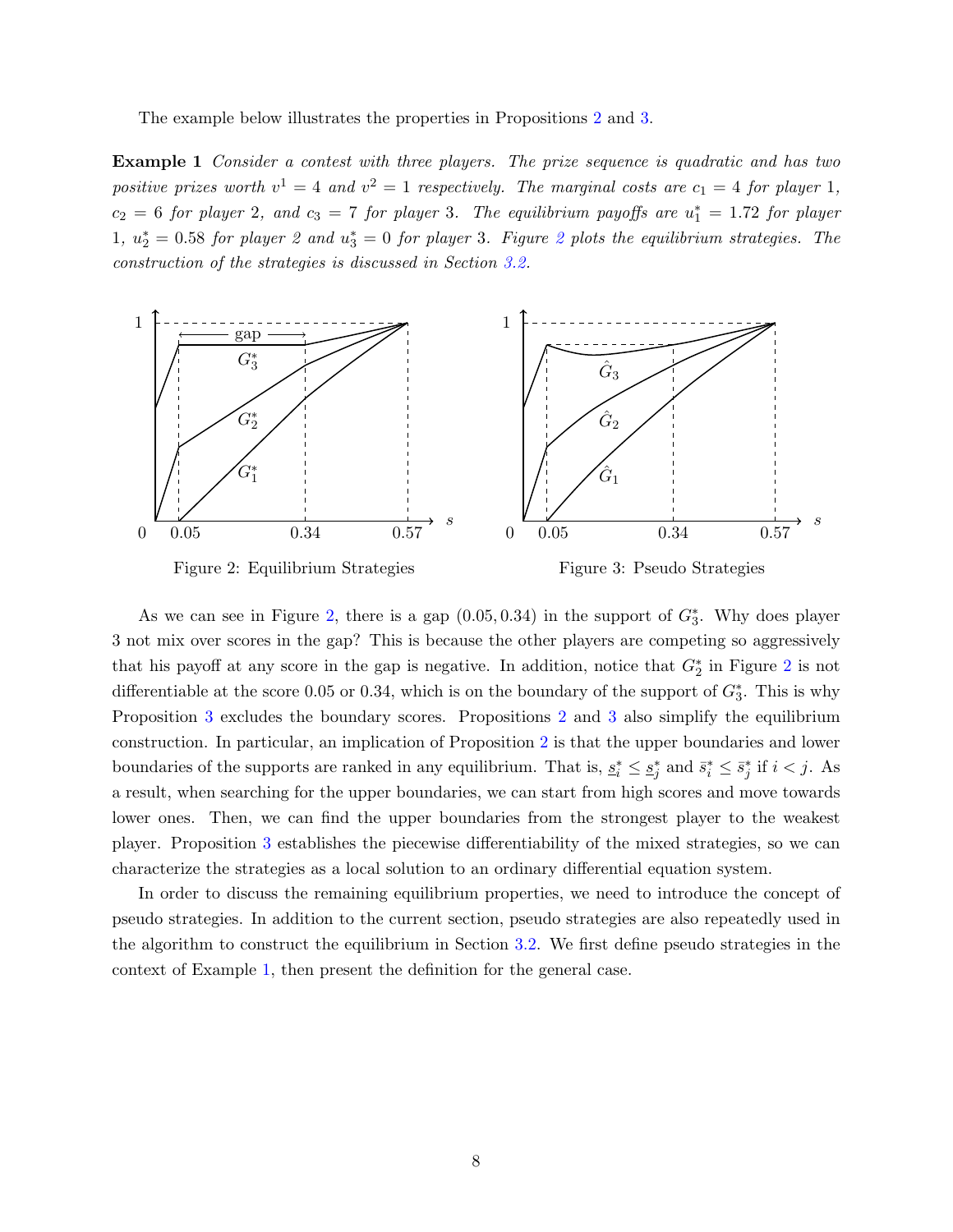The example below illustrates the properties in Propositions [2](#page-6-2) and [3.](#page-6-3)

<span id="page-7-1"></span>Example 1 Consider a contest with three players. The prize sequence is quadratic and has two positive prizes worth  $v^1 = 4$  and  $v^2 = 1$  respectively. The marginal costs are  $c_1 = 4$  for player 1,  $c_2 = 6$  for player 2, and  $c_3 = 7$  for player 3. The equilibrium payoffs are  $u_1^* = 1.72$  for player 1,  $u_2^* = 0.58$  $u_2^* = 0.58$  $u_2^* = 0.58$  for player 2 and  $u_3^* = 0$  for player 3. Figure 2 plots the equilibrium strategies. The construction of the strategies is discussed in Section [3.2.](#page-11-0)

<span id="page-7-0"></span>



Figure 3: Pseudo Strategies

As we can see in Figure [2,](#page-7-0) there is a gap  $(0.05, 0.34)$  in the support of  $G_3^*$ . Why does player 3 not mix over scores in the gap? This is because the other players are competing so aggressively that his payoff at any score in the gap is negative. In addition, notice that  $G_2^*$  $G_2^*$  $G_2^*$  in Figure 2 is not differentiable at the score 0.05 or 0.34, which is on the boundary of the support of  $G_3^*$ . This is why Proposition [3](#page-6-3) excludes the boundary scores. Propositions [2](#page-6-2) and [3](#page-6-3) also simplify the equilibrium construction. In particular, an implication of Proposition [2](#page-6-2) is that the upper boundaries and lower boundaries of the supports are ranked in any equilibrium. That is,  $s_i^* \leq s_j^*$  and  $\bar{s}_i^* \leq \bar{s}_j^*$  if  $i < j$ . As a result, when searching for the upper boundaries, we can start from high scores and move towards lower ones. Then, we can find the upper boundaries from the strongest player to the weakest player. Proposition [3](#page-6-3) establishes the piecewise differentiability of the mixed strategies, so we can characterize the strategies as a local solution to an ordinary differential equation system.

In order to discuss the remaining equilibrium properties, we need to introduce the concept of pseudo strategies. In addition to the current section, pseudo strategies are also repeatedly used in the algorithm to construct the equilibrium in Section [3.2.](#page-11-0) We first define pseudo strategies in the context of Example [1,](#page-7-1) then present the definition for the general case.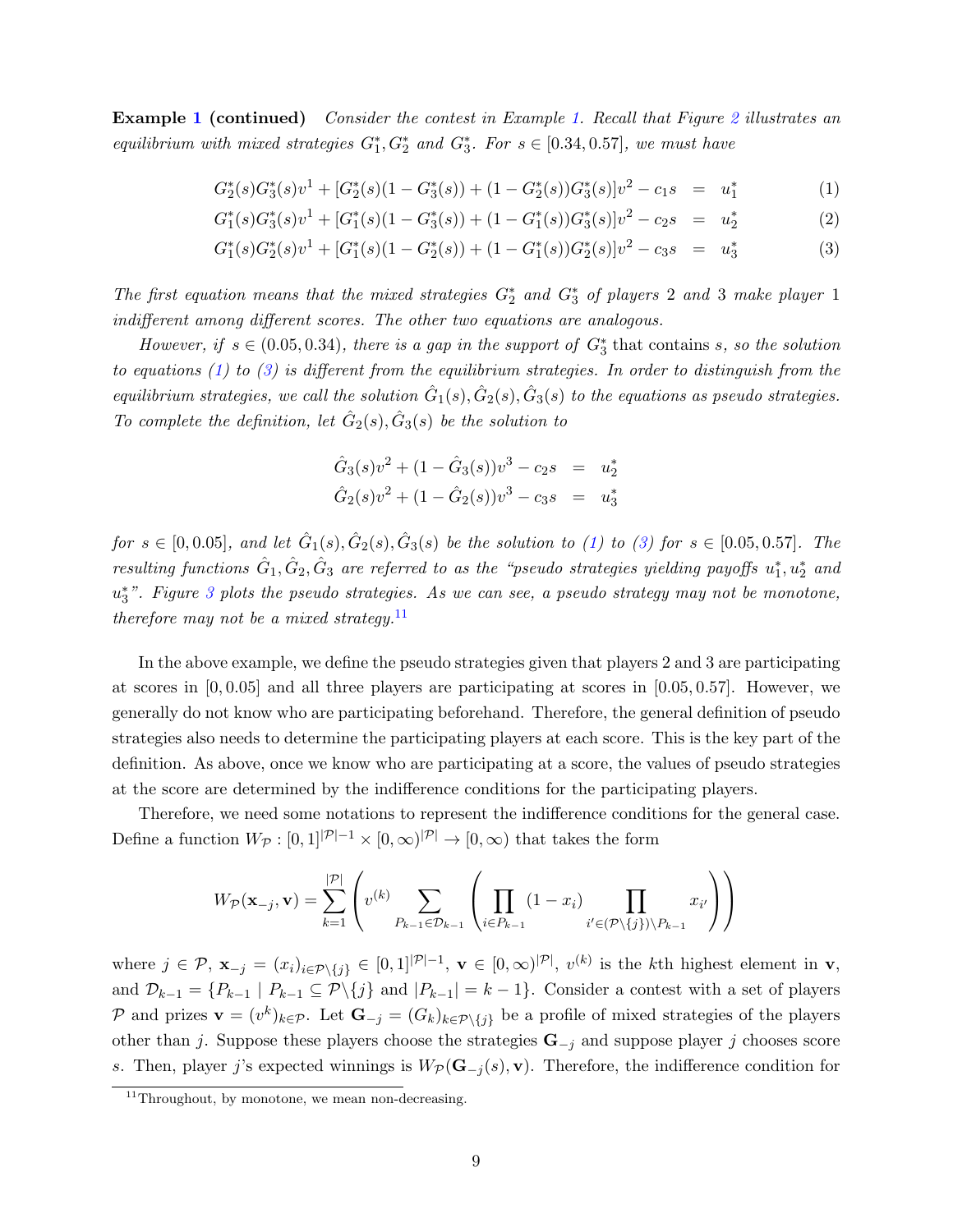**Example [1](#page-7-1) (continued)** Consider the contest in Example [1.](#page-7-1) Recall that Figure [2](#page-7-0) illustrates an equilibrium with mixed strategies  $G_1^*, G_2^*$  and  $G_3^*$ . For  $s \in [0.34, 0.57]$ , we must have

<span id="page-8-0"></span>
$$
G_2^*(s)G_3^*(s)v^1 + [G_2^*(s)(1 - G_3^*(s)) + (1 - G_2^*(s))G_3^*(s)]v^2 - c_1s = u_1^*
$$
\n(1)

$$
G_1^*(s)G_3^*(s)v^1 + [G_1^*(s)(1 - G_3^*(s)) + (1 - G_1^*(s))G_3^*(s)]v^2 - c_2s = u_2^*
$$
\n(2)

$$
G_1^*(s)G_2^*(s)v^1 + [G_1^*(s)(1 - G_2^*(s)) + (1 - G_1^*(s))G_2^*(s)]v^2 - c_3s = u_3^*
$$
\n(3)

The first equation means that the mixed strategies  $G_2^*$  and  $G_3^*$  of players 2 and 3 make player 1 indifferent among different scores. The other two equations are analogous.

However, if  $s \in (0.05, 0.34)$ , there is a gap in the support of  $G_3^*$  that contains s, so the solution to equations  $(1)$  to  $(3)$  is different from the equilibrium strategies. In order to distinguish from the equilibrium strategies, we call the solution  $\hat{G}_1(s), \hat{G}_2(s), \hat{G}_3(s)$  to the equations as pseudo strategies. To complete the definition, let  $\hat{G}_2(s), \hat{G}_3(s)$  be the solution to

$$
\hat{G}_3(s)v^2 + (1 - \hat{G}_3(s))v^3 - c_2s = u_2^*
$$
  

$$
\hat{G}_2(s)v^2 + (1 - \hat{G}_2(s))v^3 - c_3s = u_3^*
$$

 $for s \in [0, 0.05], and let \hat{G}_1(s), \hat{G}_2(s), \hat{G}_3(s)$  be the solution to [\(1\)](#page-8-0) to [\(3\)](#page-8-0) for  $s \in [0.05, 0.57].$  The resulting functions  $\hat{G}_1, \hat{G}_2, \hat{G}_3$  are referred to as the "pseudo strategies yielding payoffs  $u_1^*, u_2^*$  and  $u_3^*$  $u_3^*$  $u_3^*$ ". Figure 3 plots the pseudo strategies. As we can see, a pseudo strategy may not be monotone, therefore may not be a mixed strategy. $\frac{11}{1}$  $\frac{11}{1}$  $\frac{11}{1}$ 

In the above example, we define the pseudo strategies given that players 2 and 3 are participating at scores in  $[0, 0.05]$  and all three players are participating at scores in  $[0.05, 0.57]$ . However, we generally do not know who are participating beforehand. Therefore, the general definition of pseudo strategies also needs to determine the participating players at each score. This is the key part of the definition. As above, once we know who are participating at a score, the values of pseudo strategies at the score are determined by the indifference conditions for the participating players.

Therefore, we need some notations to represent the indifference conditions for the general case. Define a function  $W_{\mathcal{P}}: [0,1]^{|\mathcal{P}|-1} \times [0,\infty)^{|\mathcal{P}|} \to [0,\infty)$  that takes the form

$$
W_{\mathcal{P}}(\mathbf{x}_{-j}, \mathbf{v}) = \sum_{k=1}^{|\mathcal{P}|} \left( v^{(k)} \sum_{P_{k-1} \in \mathcal{D}_{k-1}} \left( \prod_{i \in P_{k-1}} (1 - x_i) \prod_{i' \in (\mathcal{P} \setminus \{j\}) \setminus P_{k-1}} x_{i'} \right) \right)
$$

where  $j \in \mathcal{P}$ ,  $\mathbf{x}_{-j} = (x_i)_{i \in \mathcal{P} \setminus \{j\}} \in [0,1]^{|\mathcal{P}|-1}$ ,  $\mathbf{v} \in [0,\infty)^{|\mathcal{P}|}$ ,  $v^{(k)}$  is the kth highest element in  $\mathbf{v}$ , and  $\mathcal{D}_{k-1} = \{P_{k-1} \mid P_{k-1} \subseteq \mathcal{P}\backslash\{j\}$  and  $|P_{k-1}| = k-1\}$ . Consider a contest with a set of players P and prizes  $\mathbf{v} = (v^k)_{k \in \mathcal{P}}$ . Let  $\mathbf{G}_{-j} = (G_k)_{k \in \mathcal{P} \setminus \{j\}}$  be a profile of mixed strategies of the players other than j. Suppose these players choose the strategies  $\mathbf{G}_{-j}$  and suppose player j chooses score s. Then, player j's expected winnings is  $W_{\mathcal{P}}(\mathbf{G}_{-j}(s), \mathbf{v})$ . Therefore, the indifference condition for

<span id="page-8-1"></span> $11$ Throughout, by monotone, we mean non-decreasing.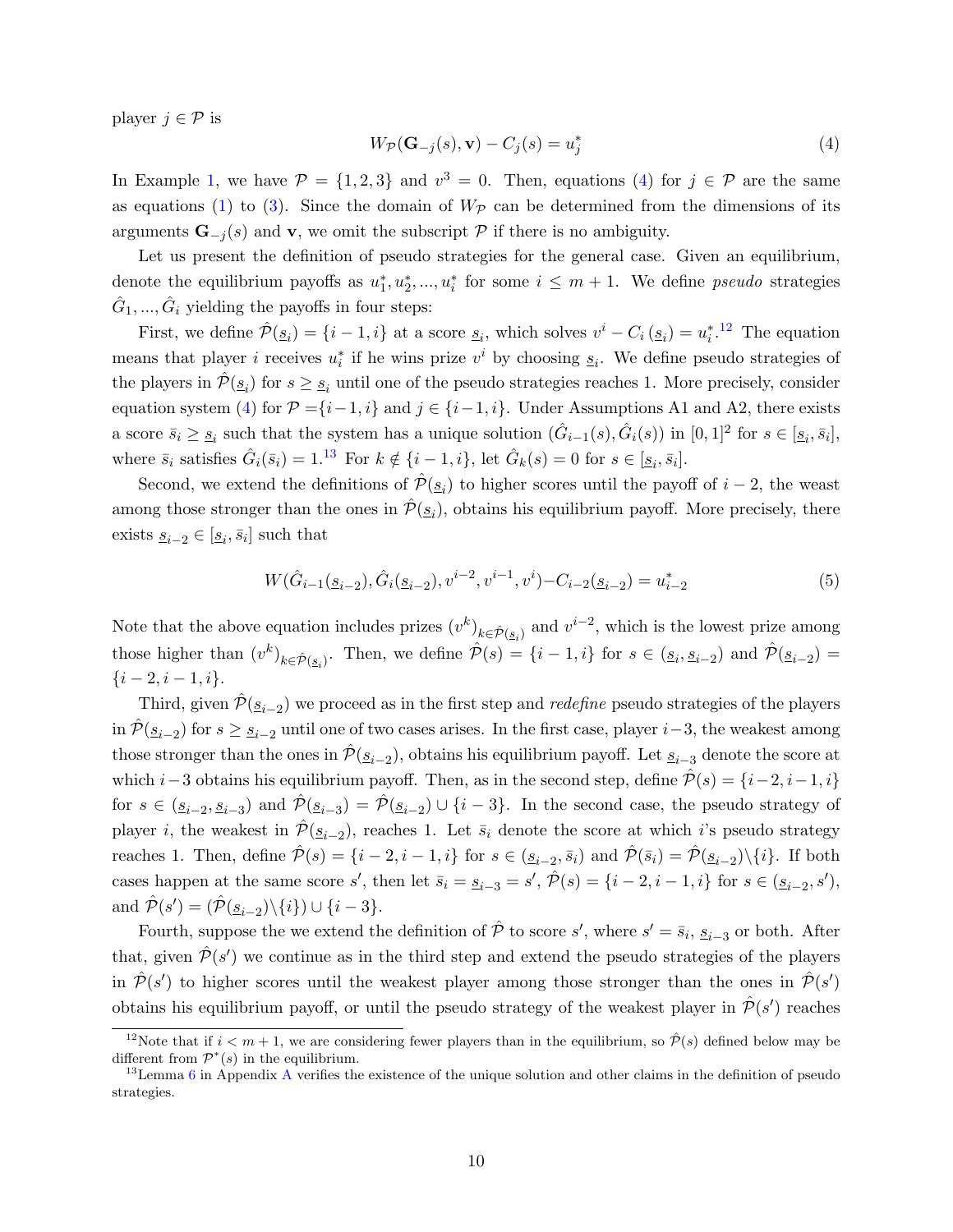player  $j \in \mathcal{P}$  is

<span id="page-9-0"></span>
$$
W_{\mathcal{P}}(\mathbf{G}_{-j}(s), \mathbf{v}) - C_j(s) = u_j^*
$$
\n(4)

In Example [1,](#page-7-1) we have  $\mathcal{P} = \{1,2,3\}$  and  $v^3 = 0$ . Then, equations [\(4\)](#page-9-0) for  $j \in \mathcal{P}$  are the same as equations [\(1\)](#page-8-0) to [\(3\)](#page-8-0). Since the domain of  $W_{\mathcal{P}}$  can be determined from the dimensions of its arguments  $\mathbf{G}_{-i}(s)$  and v, we omit the subscript P if there is no ambiguity.

Let us present the definition of pseudo strategies for the general case. Given an equilibrium, denote the equilibrium payoffs as  $u_1^*, u_2^*, ..., u_i^*$  for some  $i \leq m+1$ . We define *pseudo* strategies  $\hat{G}_1, ..., \hat{G}_i$  yielding the payoffs in four steps:

First, we define  $\hat{\mathcal{P}}(\underline{s}_i) = \{i-1,i\}$  at a score  $\underline{s}_i$ , which solves  $v^i - C_i$   $(\underline{s}_i) = u_i^*$ .<sup>[12](#page-9-1)</sup> The equation means that player *i* receives  $u_i^*$  if he wins prize  $v^i$  by choosing  $s_i$ . We define pseudo strategies of the players in  $\hat{\mathcal{P}}(\underline{s}_i)$  for  $s \geq \underline{s}_i$  until one of the pseudo strategies reaches 1. More precisely, consider equation system [\(4\)](#page-9-0) for  $\mathcal{P} = \{i-1, i\}$  and  $j \in \{i-1, i\}$ . Under Assumptions A1 and A2, there exists a score  $\bar{s}_i \geq \underline{s}_i$  such that the system has a unique solution  $(\hat{G}_{i-1}(s), \hat{G}_i(s))$  in  $[0,1]^2$  for  $s \in [\underline{s}_i, \bar{s}_i]$ , where  $\bar{s}_i$  satisfies  $\hat{G}_i(\bar{s}_i) = 1^{13}$  $\hat{G}_i(\bar{s}_i) = 1^{13}$  $\hat{G}_i(\bar{s}_i) = 1^{13}$  For  $k \notin \{i-1,i\}$ , let  $\hat{G}_k(s) = 0$  for  $s \in [\underline{s}_i, \bar{s}_i]$ .

Second, we extend the definitions of  $\hat{\mathcal{P}}(\underline{s_i})$  to higher scores until the payoff of  $i-2$ , the weast among those stronger than the ones in  $\hat{\mathcal{P}}(\underline{s}_i)$ , obtains his equilibrium payoff. More precisely, there exists  $\underline{s}_{i-2} \in [\underline{s}_i, \overline{s}_i]$  such that

<span id="page-9-3"></span>
$$
W(\hat{G}_{i-1}(\underline{s}_{i-2}), \hat{G}_i(\underline{s}_{i-2}), v^{i-2}, v^{i-1}, v^i) - C_{i-2}(\underline{s}_{i-2}) = u^*_{i-2}
$$
\n
$$
(5)
$$

Note that the above equation includes prizes  $(v^k)_{k \in \hat{\mathcal{P}}(\underline{s}_i)}$  and  $v^{i-2}$ , which is the lowest prize among those higher than  $(v^k)_{k \in \hat{\mathcal{P}}(s_i)}$ . Then, we define  $\hat{\mathcal{P}}(s) = \{i-1, i\}$  for  $s \in (s_i, s_{i-2})$  and  $\hat{\mathcal{P}}(s_{i-2}) =$  $\{i-2, i-1, i\}.$ 

Third, given  $\hat{\mathcal{P}}(\underline{s}_{i-2})$  we proceed as in the first step and *redefine* pseudo strategies of the players  $\inf_{i} \hat{P}(s_{i-2})$  for  $s \geq s_{i-2}$  until one of two cases arises. In the first case, player  $i-3$ , the weakest among those stronger than the ones in  $\hat{P}(\underline{s}_{i-2})$ , obtains his equilibrium payoff. Let  $\underline{s}_{i-3}$  denote the score at which i–3 obtains his equilibrium payoff. Then, as in the second step, define  $\hat{\mathcal{P}}(s) = \{i-2, i-1, i\}$ for  $s \in (\underline{s}_{i-2}, \underline{s}_{i-3})$  and  $\hat{\mathcal{P}}(\underline{s}_{i-3}) = \hat{\mathcal{P}}(\underline{s}_{i-2}) \cup \{i-3\}$ . In the second case, the pseudo strategy of player *i*, the weakest in  $\hat{\mathcal{P}}(\underline{s}_{i-2})$ , reaches 1. Let  $\bar{s}_i$  denote the score at which *i*'s pseudo strategy reaches 1. Then, define  $\hat{\mathcal{P}}(s) = \{i-2, i-1, i\}$  for  $s \in (\underline{s_{i-2}}, \overline{s_i})$  and  $\hat{\mathcal{P}}(\overline{s_i}) = \hat{\mathcal{P}}(\underline{s_{i-2}}) \setminus \{i\}$ . If both cases happen at the same score s', then let  $\bar{s}_i = \underline{s}_{i-3} = s'$ ,  $\hat{\mathcal{P}}(s) = \{i-2, i-1, i\}$  for  $s \in (\underline{s}_{i-2}, s')$ , and  $\hat{\mathcal{P}}(s') = (\hat{\mathcal{P}}(\underline{s}_{i-2}) \setminus \{i\}) \cup \{i-3\}.$ 

Fourth, suppose the we extend the definition of  $\hat{\mathcal{P}}$  to score s', where  $s' = \bar{s}_i$ ,  $\underline{s}_{i-3}$  or both. After that, given  $\hat{\mathcal{P}}(s')$  we continue as in the third step and extend the pseudo strategies of the players in  $\hat{\mathcal{P}}(s')$  to higher scores until the weakest player among those stronger than the ones in  $\hat{\mathcal{P}}(s')$ obtains his equilibrium payoff, or until the pseudo strategy of the weakest player in  $\hat{\mathcal{P}}(s')$  reaches

<span id="page-9-1"></span><sup>&</sup>lt;sup>12</sup>Note that if  $i < m + 1$ , we are considering fewer players than in the equilibrium, so  $\hat{\mathcal{P}}(s)$  defined below may be different from  $\mathcal{P}^*(s)$  in the equilibrium.

<span id="page-9-2"></span> $13$ Lemma [6](#page-34-0) in [A](#page-27-7)ppendix A verifies the existence of the unique solution and other claims in the definition of pseudo strategies.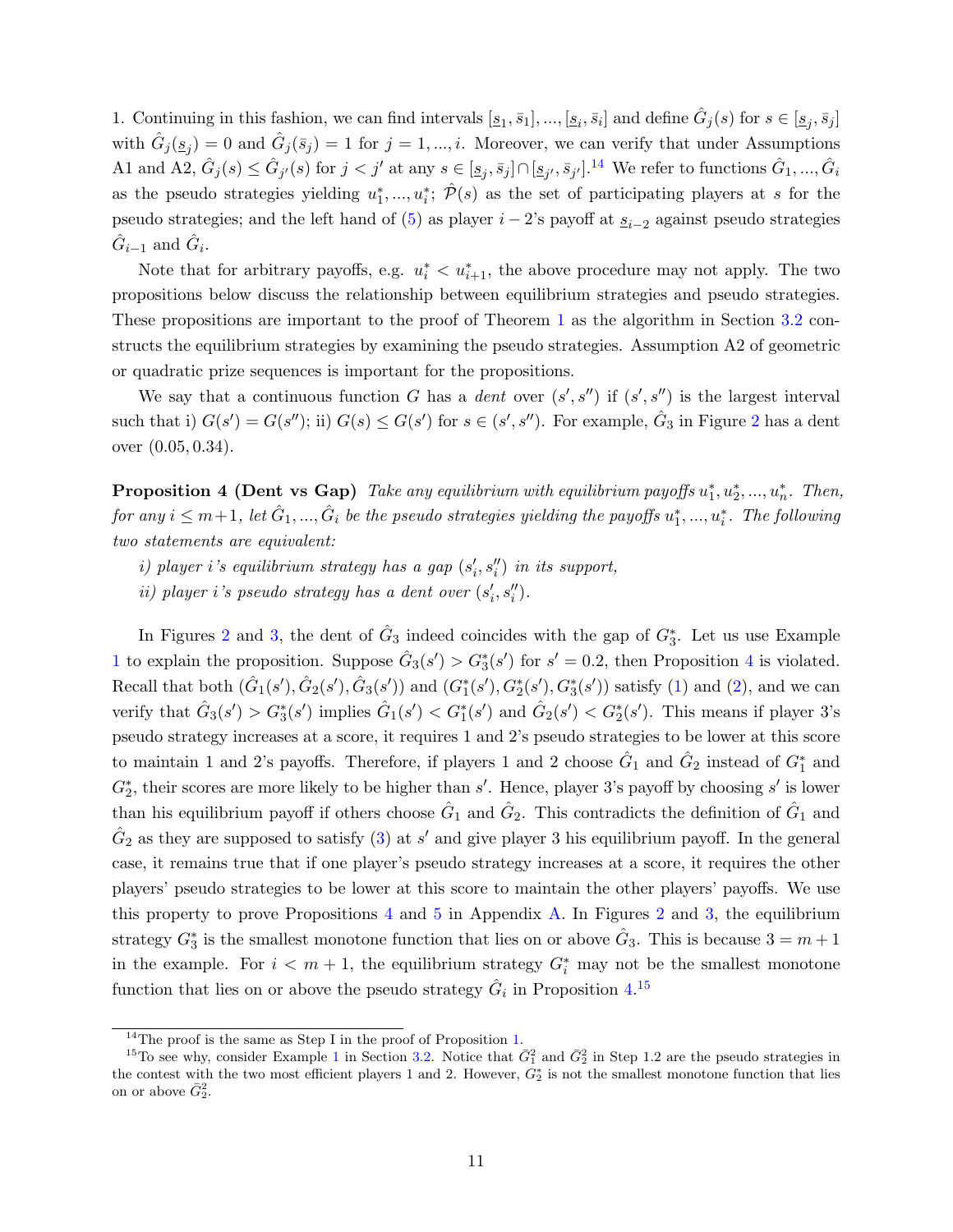1. Continuing in this fashion, we can find intervals  $[\underline{s}_1, \overline{s}_1], ..., [\underline{s}_i, \overline{s}_i]$  and define  $\hat{G}_j(s)$  for  $s \in [\underline{s}_j, \overline{s}_j]$ with  $\hat{G}_j(\underline{s}_j) = 0$  and  $\hat{G}_j(\overline{s}_j) = 1$  for  $j = 1, ..., i$ . Moreover, we can verify that under Assumptions A1 and A2,  $\hat{G}_j(s) \leq \hat{G}_{j'}(s)$  for  $j < j'$  at any  $s \in [\underline{s}_j, \overline{s}_j] \cap [\underline{s}_{j'}, \overline{s}_{j'}]$ .<sup>[14](#page-10-1)</sup> We refer to functions  $\hat{G}_1, ..., \hat{G}_i$ as the pseudo strategies yielding  $u_1^*,...,u_i^*, \hat{\mathcal{P}}(s)$  as the set of participating players at s for the pseudo strategies; and the left hand of [\(5\)](#page-9-3) as player  $i - 2$ 's payoff at  $s_{i-2}$  against pseudo strategies  $\hat{G}_{i-1}$  and  $\hat{G}_i$ .

Note that for arbitrary payoffs, e.g.  $u_i^* \langle u_{i+1}^*$ , the above procedure may not apply. The two propositions below discuss the relationship between equilibrium strategies and pseudo strategies. These propositions are important to the proof of Theorem [1](#page-4-3) as the algorithm in Section [3.2](#page-11-0) constructs the equilibrium strategies by examining the pseudo strategies. Assumption A2 of geometric or quadratic prize sequences is important for the propositions.

We say that a continuous function G has a dent over  $(s', s'')$  if  $(s', s'')$  is the largest interval such that i)  $G(s') = G(s'')$ ; ii)  $G(s) \leq G(s')$  for  $s \in (s', s'')$ . For example,  $\hat{G}_3$  in Figure [2](#page-7-0) has a dent over (0.05, 0.34).

<span id="page-10-2"></span>**Proposition 4 (Dent vs Gap)** Take any equilibrium with equilibrium payoffs  $u_1^*, u_2^*, ..., u_n^*$ . Then,  $for\ any\ i\leq m+1,\ let\ \hat G_1,...,\hat G_i\ be\ the\ pseudo\ strategies\ yielding\ the\ payoffs\ u_1^*,...,u_i^*. \ The\ following$ two statements are equivalent:

- i) player i's equilibrium strategy has a gap  $(s_i', s_i'')$  in its support,
- ii) player i's pseudo strategy has a dent over  $(s_i', s_i'')$ .

In Figures [2](#page-7-0) and [3,](#page-7-0) the dent of  $\hat{G}_3$  indeed coincides with the gap of  $G_3^*$ . Let us use Example [1](#page-7-1) to explain the proposition. Suppose  $\hat{G}_3(s') > G_3^*(s')$  for  $s' = 0.2$ , then Proposition [4](#page-10-2) is violated. Recall that both  $(\hat{G}_1(s'), \hat{G}_2(s'), \hat{G}_3(s'))$  and  $(G_1^*(s'), G_2^*(s'), G_3^*(s'))$  satisfy [\(1\)](#page-8-0) and [\(2\)](#page-8-0), and we can verify that  $\hat{G}_3(s') > G_3^*(s')$  implies  $\hat{G}_1(s') < G_1^*(s')$  and  $\hat{G}_2(s') < G_2^*(s')$ . This means if player 3's pseudo strategy increases at a score, it requires 1 and 2's pseudo strategies to be lower at this score to maintain 1 and 2's payoffs. Therefore, if players 1 and 2 choose  $\hat{G}_1$  and  $\hat{G}_2$  instead of  $G_1^*$  and  $G_2^*$ , their scores are more likely to be higher than s'. Hence, player 3's payoff by choosing s' is lower than his equilibrium payoff if others choose  $\hat{G}_1$  and  $\hat{G}_2$ . This contradicts the definition of  $\hat{G}_1$  and  $\hat{G}_2$  as they are supposed to satisfy [\(3\)](#page-8-0) at s' and give player 3 his equilibrium payoff. In the general case, it remains true that if one player's pseudo strategy increases at a score, it requires the other players' pseudo strategies to be lower at this score to maintain the other players' payoffs. We use this property to prove Propositions  $4$  and  $5$  in Appendix [A.](#page-27-7) In Figures [2](#page-7-0) and [3,](#page-7-0) the equilibrium strategy  $G_3^*$  is the smallest monotone function that lies on or above  $\hat{G}_3$ . This is because  $3 = m + 1$ in the example. For  $i < m + 1$ , the equilibrium strategy  $G_i^*$  may not be the smallest monotone function that lies on or above the pseudo strategy  $\hat{G}_i$  in Proposition [4.](#page-10-2)<sup>[15](#page-10-3)</sup>

<span id="page-10-3"></span><span id="page-10-1"></span><span id="page-10-0"></span> $14$ The proof is the same as Step I in the proof of Proposition [1.](#page-6-0)

<sup>&</sup>lt;sup>[1](#page-7-1)5</sup>To see why, consider Example 1 in Section [3.2.](#page-11-0) Notice that  $\bar{G}_1^2$  and  $\bar{G}_2^2$  in Step 1.2 are the pseudo strategies in the contest with the two most efficient players 1 and 2. However,  $G_2^*$  is not the smallest monotone function that lies on or above  $\bar{G}_2^2$ .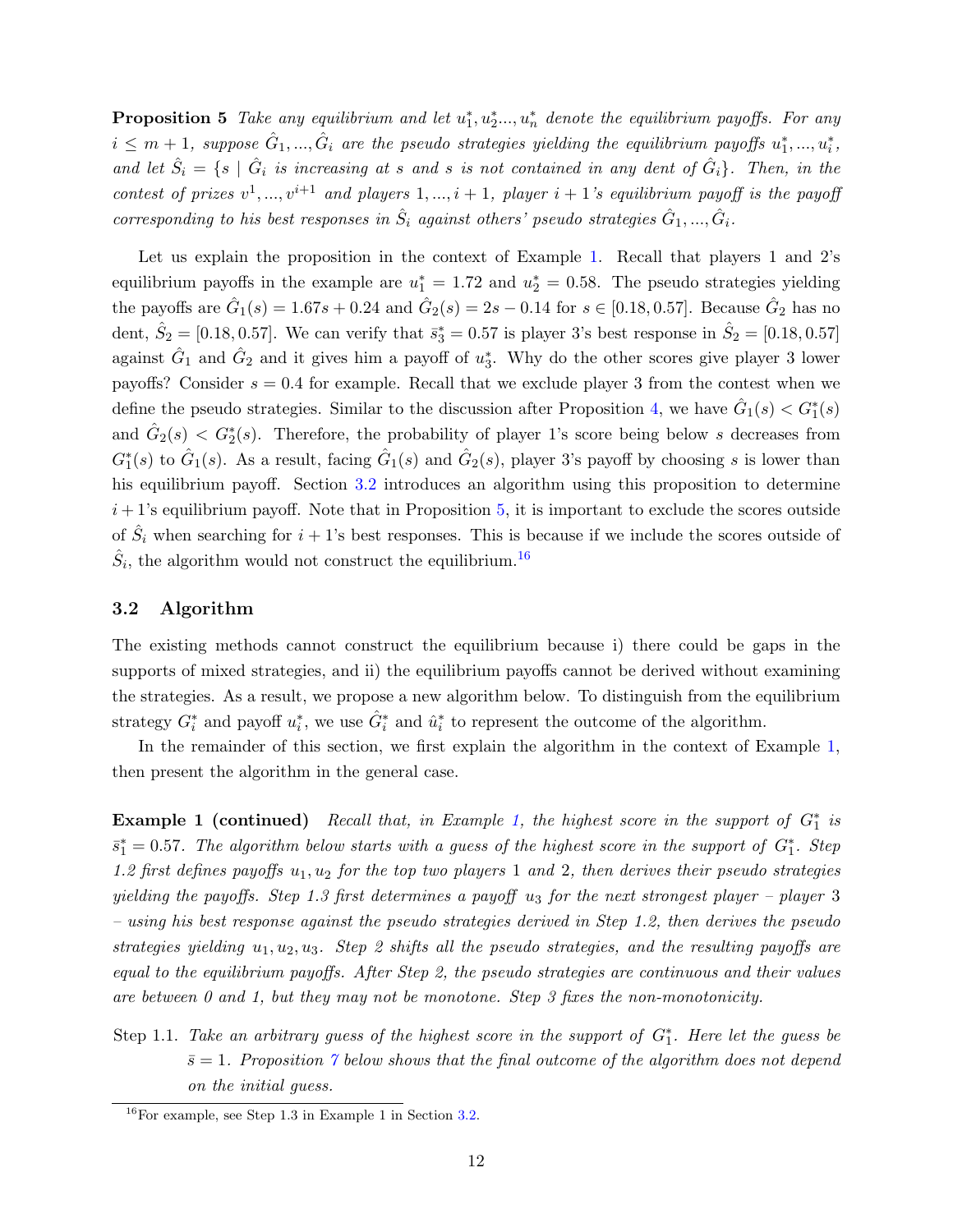**Proposition 5** Take any equilibrium and let  $u_1^*, u_2^*, \ldots, u_n^*$  denote the equilibrium payoffs. For any  $i \leq m+1$ , suppose  $\hat{G}_1, ..., \hat{G}_i$  are the pseudo strategies yielding the equilibrium payoffs  $u_1^*, ..., u_i^*,$ and let  $\hat{S}_i = \{s \mid \hat{G}_i$  is increasing at s and s is not contained in any dent of  $\hat{G}_i$ . Then, in the contest of prizes  $v^1, ..., v^{i+1}$  and players 1, ...,  $i + 1$ , player  $i + 1$ 's equilibrium payoff is the payoff corresponding to his best responses in  $\hat{S}_i$  against others' pseudo strategies  $\hat{G}_1, ..., \hat{G}_i$ .

Let us explain the proposition in the context of Example [1.](#page-7-1) Recall that players 1 and 2's equilibrium payoffs in the example are  $u_1^* = 1.72$  and  $u_2^* = 0.58$ . The pseudo strategies yielding the payoffs are  $\hat{G}_1(s) = 1.67s + 0.24$  and  $\hat{G}_2(s) = 2s - 0.14$  for  $s \in [0.18, 0.57]$ . Because  $\hat{G}_2$  has no dent,  $\hat{S}_2 = [0.18, 0.57]$ . We can verify that  $\bar{s}_3^* = 0.57$  is player 3's best response in  $\hat{S}_2 = [0.18, 0.57]$ against  $\hat{G}_1$  and  $\hat{G}_2$  and it gives him a payoff of  $u_3^*$ . Why do the other scores give player 3 lower payoffs? Consider  $s = 0.4$  for example. Recall that we exclude player 3 from the contest when we define the pseudo strategies. Similar to the discussion after Proposition [4,](#page-10-2) we have  $\hat{G}_1(s) < G_1^*(s)$ and  $\hat{G}_2(s) < G_2^*(s)$ . Therefore, the probability of player 1's score being below s decreases from  $G_1^*(s)$  to  $\hat{G}_1(s)$ . As a result, facing  $\hat{G}_1(s)$  and  $\hat{G}_2(s)$ , player 3's payoff by choosing s is lower than his equilibrium payoff. Section [3.2](#page-11-0) introduces an algorithm using this proposition to determine  $i + 1$ 's equilibrium payoff. Note that in Proposition [5,](#page-10-0) it is important to exclude the scores outside of  $\hat{S}_i$  when searching for  $i + 1$ 's best responses. This is because if we include the scores outside of  $\hat{S}_i$ , the algorithm would not construct the equilibrium.<sup>[16](#page-11-1)</sup>

#### <span id="page-11-0"></span>3.2 Algorithm

The existing methods cannot construct the equilibrium because i) there could be gaps in the supports of mixed strategies, and ii) the equilibrium payoffs cannot be derived without examining the strategies. As a result, we propose a new algorithm below. To distinguish from the equilibrium strategy  $G_i^*$  and payoff  $u_i^*$ , we use  $\hat{G}_i^*$  and  $\hat{u}_i^*$  to represent the outcome of the algorithm.

In the remainder of this section, we first explain the algorithm in the context of Example [1,](#page-7-1) then present the algorithm in the general case.

Example 1 (continued) Recall that, in Example [1,](#page-7-1) the highest score in the support of  $G_1^*$  is  $\bar{s}_1^* = 0.57$ . The algorithm below starts with a guess of the highest score in the support of  $G_1^*$ . Step 1.2 first defines payoffs  $u_1, u_2$  for the top two players 1 and 2, then derives their pseudo strategies yielding the payoffs. Step 1.3 first determines a payoff  $u_3$  for the next strongest player – player 3 – using his best response against the pseudo strategies derived in Step 1.2, then derives the pseudo strategies yielding  $u_1, u_2, u_3$ . Step 2 shifts all the pseudo strategies, and the resulting payoffs are equal to the equilibrium payoffs. After Step 2, the pseudo strategies are continuous and their values are between 0 and 1, but they may not be monotone. Step 3 fixes the non-monotonicity.

Step 1.1. Take an arbitrary guess of the highest score in the support of  $G_1^*$ . Here let the guess be  $\bar{s}=1$ . Proposition  $\gamma$  below shows that the final outcome of the algorithm does not depend on the initial guess.

<span id="page-11-1"></span> $16$ For example, see Step 1.3 in Example 1 in Section [3.2.](#page-11-0)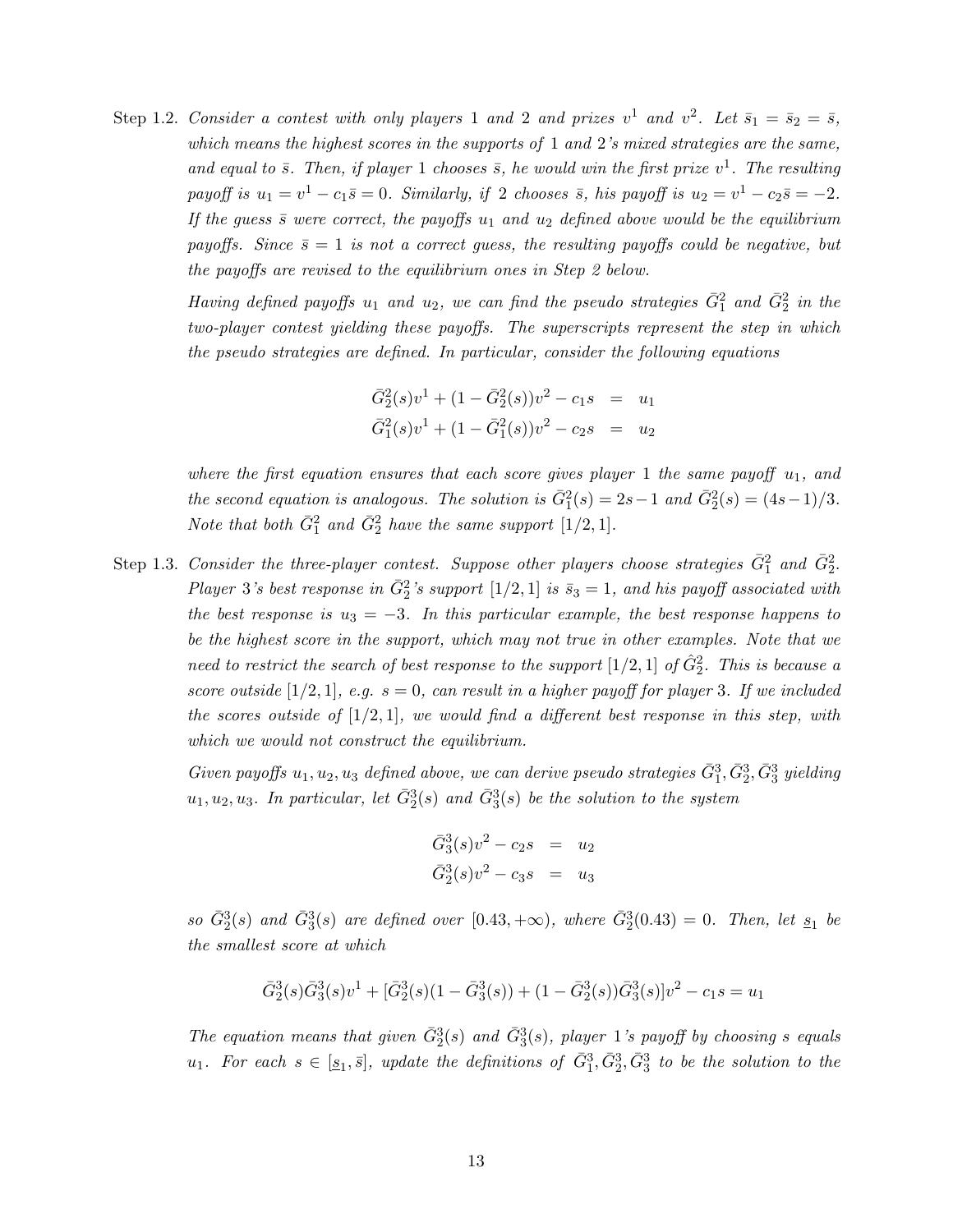Step 1.2. Consider a contest with only players 1 and 2 and prizes  $v^1$  and  $v^2$ . Let  $\bar{s}_1 = \bar{s}_2 = \bar{s}$ , which means the highest scores in the supports of  $1$  and  $2$ 's mixed strategies are the same, and equal to  $\bar{s}$ . Then, if player 1 chooses  $\bar{s}$ , he would win the first prize  $v^1$ . The resulting payoff is  $u_1 = v^1 - c_1 \bar{s} = 0$ . Similarly, if 2 chooses  $\bar{s}$ , his payoff is  $u_2 = v^1 - c_2 \bar{s} = -2$ . If the guess  $\bar{s}$  were correct, the payoffs  $u_1$  and  $u_2$  defined above would be the equilibrium payoffs. Since  $\bar{s}=1$  is not a correct guess, the resulting payoffs could be negative, but the payoffs are revised to the equilibrium ones in Step 2 below.

> Having defined payoffs  $u_1$  and  $u_2$ , we can find the pseudo strategies  $\bar{G}_1^2$  and  $\bar{G}_2^2$  in the two-player contest yielding these payoffs. The superscripts represent the step in which the pseudo strategies are defined. In particular, consider the following equations

$$
\overline{G}_2^2(s)v^1 + (1 - \overline{G}_2^2(s))v^2 - c_1s = u_1
$$
  

$$
\overline{G}_1^2(s)v^1 + (1 - \overline{G}_1^2(s))v^2 - c_2s = u_2
$$

where the first equation ensures that each score gives player 1 the same payoff  $u_1$ , and the second equation is analogous. The solution is  $\bar{G}_1^2(s) = 2s - 1$  and  $\bar{G}_2^2(s) = (4s - 1)/3$ . Note that both  $\bar{G}_1^2$  and  $\bar{G}_2^2$  have the same support  $[1/2, 1]$ .

Step 1.3. Consider the three-player contest. Suppose other players choose strategies  $\bar{G}_1^2$  and  $\bar{G}_2^2$ . Player 3's best response in  $\bar{G}_2^2$ 's support  $[1/2, 1]$  is  $\bar{s}_3 = 1$ , and his payoff associated with the best response is  $u_3 = -3$ . In this particular example, the best response happens to be the highest score in the support, which may not true in other examples. Note that we need to restrict the search of best response to the support  $[1/2,1]$  of  $\hat{G}_2^2$ . This is because a score outside  $[1/2, 1]$ , e.g.  $s = 0$ , can result in a higher payoff for player 3. If we included the scores outside of  $[1/2, 1]$ , we would find a different best response in this step, with which we would not construct the equilibrium.

> Given payoffs  $u_1, u_2, u_3$  defined above, we can derive pseudo strategies  $\bar{G}_1^3, \bar{G}_2^3, \bar{G}_3^3$  yielding  $u_1, u_2, u_3$ . In particular, let  $\bar{G}_2^3(s)$  and  $\bar{G}_3^3(s)$  be the solution to the system

$$
\begin{array}{rcl}\n\bar{G}_3^3(s)v^2 - c_2s & = & u_2\\
\bar{G}_2^3(s)v^2 - c_3s & = & u_3\n\end{array}
$$

so  $\bar{G}_2^3(s)$  and  $\bar{G}_3^3(s)$  are defined over  $[0.43, +\infty)$ , where  $\bar{G}_2^3(0.43) = 0$ . Then, let  $\underline{s}_1$  be the smallest score at which

$$
\bar{G}_{2}^{3}(s)\bar{G}_{3}^{3}(s)v^{1} + [\bar{G}_{2}^{3}(s)(1-\bar{G}_{3}^{3}(s)) + (1-\bar{G}_{2}^{3}(s))\bar{G}_{3}^{3}(s)]v^{2} - c_{1}s = u_{1}
$$

The equation means that given  $\bar{G}_2^3(s)$  and  $\bar{G}_3^3(s)$ , player 1's payoff by choosing s equals u<sub>1</sub>. For each  $s \in [\underline{s}_1, \overline{s}]$ , update the definitions of  $\overline{G}_1^3, \overline{G}_2^3, \overline{G}_3^3$  to be the solution to the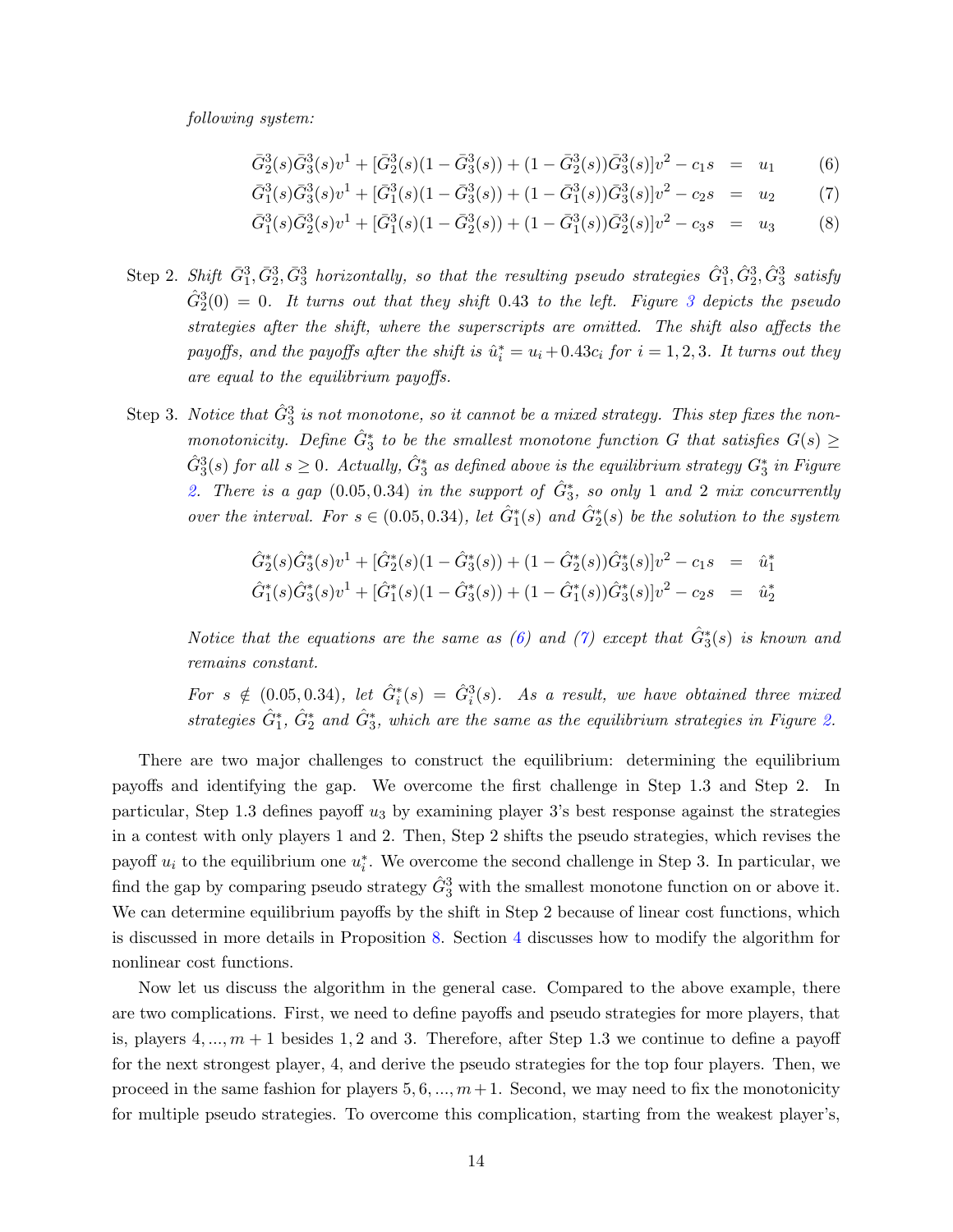#### following system:

<span id="page-13-0"></span>
$$
\bar{G}_{2}^{3}(s)\bar{G}_{3}^{3}(s)v^{1} + [\bar{G}_{2}^{3}(s)(1-\bar{G}_{3}^{3}(s)) + (1-\bar{G}_{2}^{3}(s))\bar{G}_{3}^{3}(s)]v^{2} - c_{1}s = u_{1}
$$
(6)

$$
\bar{G}_1^3(s)\bar{G}_3^3(s)v^1 + [\bar{G}_1^3(s)(1-\bar{G}_3^3(s)) + (1-\bar{G}_1^3(s))\bar{G}_3^3(s)]v^2 - c_2s = u_2
$$
 (7)

$$
\bar{G}_1^3(s)\bar{G}_2^3(s)v^1 + [\bar{G}_1^3(s)(1-\bar{G}_2^3(s)) + (1-\bar{G}_1^3(s))\bar{G}_2^3(s)]v^2 - c_3s = u_3 \tag{8}
$$

- $\text{Step 2.}$  Shift  $\bar{G}_1^3, \bar{G}_2^3, \bar{G}_3^3$  horizontally, so that the resulting pseudo strategies  $\hat{G}_1^3, \hat{G}_2^3, \hat{G}_3^3$  satisfy  $\hat{G}_{2}^{3}(0) = 0$  $\hat{G}_{2}^{3}(0) = 0$  $\hat{G}_{2}^{3}(0) = 0$ . It turns out that they shift 0.43 to the left. Figure 3 depicts the pseudo strategies after the shift, where the superscripts are omitted. The shift also affects the payoffs, and the payoffs after the shift is  $\hat{u}_i^* = u_i + 0.43c_i$  for  $i = 1, 2, 3$ . It turns out they are equal to the equilibrium payoffs.
- Step 3. Notice that  $\hat{G}_3^3$  is not monotone, so it cannot be a mixed strategy. This step fixes the nonmonotonicity. Define  $\hat{G}_3^*$  to be the smallest monotone function G that satisfies  $G(s) \geq$  $\hat{G}_3^3(s)$  for all  $s \geq 0$ . Actually,  $\hat{G}_3^*$  as defined above is the equilibrium strategy  $G_3^*$  in Figure [2.](#page-7-0) There is a gap  $(0.05, 0.34)$  in the support of  $\hat{G}_3^*$ , so only 1 and 2 mix concurrently over the interval. For  $s \in (0.05, 0.34)$ , let  $\hat{G}_1^*(s)$  and  $\hat{G}_2^*(s)$  be the solution to the system

$$
\hat{G}_{2}^{*}(s)\hat{G}_{3}^{*}(s)v^{1} + [\hat{G}_{2}^{*}(s)(1 - \hat{G}_{3}^{*}(s)) + (1 - \hat{G}_{2}^{*}(s))\hat{G}_{3}^{*}(s)]v^{2} - c_{1}s = \hat{u}_{1}^{*}
$$
  

$$
\hat{G}_{1}^{*}(s)\hat{G}_{3}^{*}(s)v^{1} + [\hat{G}_{1}^{*}(s)(1 - \hat{G}_{3}^{*}(s)) + (1 - \hat{G}_{1}^{*}(s))\hat{G}_{3}^{*}(s)]v^{2} - c_{2}s = \hat{u}_{2}^{*}
$$

Notice that the equations are the same as [\(6\)](#page-13-0) and [\(7\)](#page-13-0) except that  $\hat{G}_3^*(s)$  is known and remains constant.

For  $s \notin (0.05, 0.34)$ , let  $\hat{G}_i^*(s) = \hat{G}_i^3(s)$ . As a result, we have obtained three mixed strategies  $\hat{G}_1^*$ ,  $\hat{G}_2^*$  and  $\hat{G}_3^*$ , which are the same as the equilibrium strategies in Figure [2.](#page-7-0)

There are two major challenges to construct the equilibrium: determining the equilibrium payoffs and identifying the gap. We overcome the first challenge in Step 1.3 and Step 2. In particular, Step 1.3 defines payoff  $u_3$  by examining player 3's best response against the strategies in a contest with only players 1 and 2. Then, Step 2 shifts the pseudo strategies, which revises the payoff  $u_i$  to the equilibrium one  $u_i^*$ . We overcome the second challenge in Step 3. In particular, we find the gap by comparing pseudo strategy  $\hat{G}_3^3$  with the smallest monotone function on or above it. We can determine equilibrium payoffs by the shift in Step 2 because of linear cost functions, which is discussed in more details in Proposition [8.](#page-17-1) Section [4](#page-19-0) discusses how to modify the algorithm for nonlinear cost functions.

Now let us discuss the algorithm in the general case. Compared to the above example, there are two complications. First, we need to define payoffs and pseudo strategies for more players, that is, players  $4, \ldots, m+1$  besides 1, 2 and 3. Therefore, after Step 1.3 we continue to define a payoff for the next strongest player, 4, and derive the pseudo strategies for the top four players. Then, we proceed in the same fashion for players  $5, 6, ..., m+1$ . Second, we may need to fix the monotonicity for multiple pseudo strategies. To overcome this complication, starting from the weakest player's,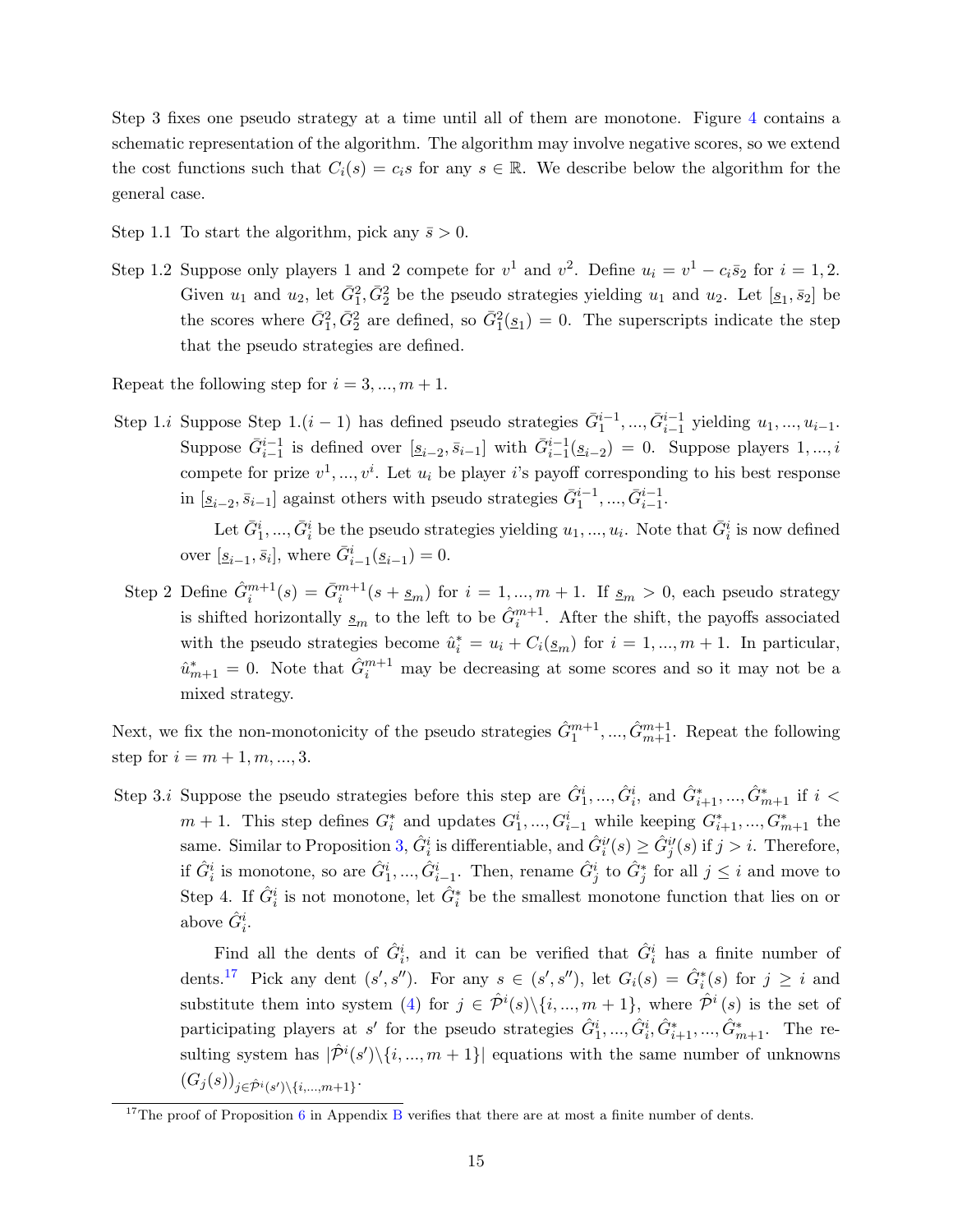Step 3 fixes one pseudo strategy at a time until all of them are monotone. Figure [4](#page-16-0) contains a schematic representation of the algorithm. The algorithm may involve negative scores, so we extend the cost functions such that  $C_i(s) = c_i s$  for any  $s \in \mathbb{R}$ . We describe below the algorithm for the general case.

- Step 1.1 To start the algorithm, pick any  $\bar{s} > 0$ .
- Step 1.2 Suppose only players 1 and 2 compete for  $v^1$  and  $v^2$ . Define  $u_i = v^1 c_i \bar{s}_2$  for  $i = 1, 2$ . Given  $u_1$  and  $u_2$ , let  $\bar{G}_1^2, \bar{G}_2^2$  be the pseudo strategies yielding  $u_1$  and  $u_2$ . Let  $[\underline{s}_1, \bar{s}_2]$  be the scores where  $\bar{G}_1^2, \bar{G}_2^2$  are defined, so  $\bar{G}_1^2(\underline{s}_1) = 0$ . The superscripts indicate the step that the pseudo strategies are defined.

Repeat the following step for  $i = 3, ..., m + 1$ .

Step 1.*i* Suppose Step 1. $(i-1)$  has defined pseudo strategies  $\bar{G}_1^{i-1},...,\bar{G}_{i-1}^{i-1}$  yielding  $u_1,...,u_{i-1}$ . Suppose  $\bar{G}_{i-1}^{i-1}$  is defined over  $[\underline{s}_{i-2}, \bar{s}_{i-1}]$  with  $\bar{G}_{i-1}^{i-1}(\underline{s}_{i-2}) = 0$ . Suppose players  $1, ..., i$ compete for prize  $v^1, ..., v^i$ . Let  $u_i$  be player i's payoff corresponding to his best response in  $[\underline{s}_{i-2}, \bar{s}_{i-1}]$  against others with pseudo strategies  $\bar{G}_1^{i-1}, ..., \bar{G}_{i-1}^{i-1}$ .

Let  $\bar{G}_1^i, ..., \bar{G}_i^i$  be the pseudo strategies yielding  $u_1, ..., u_i$ . Note that  $\bar{G}_i^i$  is now defined over  $[\underline{s}_{i-1}, \bar{s}_i]$ , where  $\bar{G}_{i-1}^i(\underline{s}_{i-1}) = 0$ .

Step 2 Define  $\hat{G}_i^{m+1}(s) = \bar{G}_i^{m+1}(s + \underline{s}_m)$  for  $i = 1, ..., m + 1$ . If  $\underline{s}_m > 0$ , each pseudo strategy is shifted horizontally  $\underline{s}_m$  to the left to be  $\hat{G}_i^{m+1}$ . After the shift, the payoffs associated with the pseudo strategies become  $\hat{u}_i^* = u_i + C_i(\underline{s}_m)$  for  $i = 1, ..., m + 1$ . In particular,  $\hat{u}_{m+1}^* = 0$ . Note that  $\hat{G}_i^{m+1}$  may be decreasing at some scores and so it may not be a mixed strategy.

Next, we fix the non-monotonicity of the pseudo strategies  $\hat{G}_1^{m+1},...,\hat{G}_{m+1}^{m+1}$ . Repeat the following step for  $i = m + 1, m, ..., 3$ .

Step 3.*i* Suppose the pseudo strategies before this step are  $\hat{G}_1^i, ..., \hat{G}_i^i$ , and  $\hat{G}_{i+1}^*, ..., \hat{G}_{m+1}^*$  if  $i <$  $m+1$ . This step defines  $G_i^*$  and updates  $G_1^i, ..., G_{i-1}^i$  while keeping  $G_{i+1}^*, ..., G_{m+1}^*$  the same. Similar to Proposition [3,](#page-6-3)  $\hat{G}_i^i$  is differentiable, and  $\hat{G}_i^{i'}(s) \geq \hat{G}_j^{i'}(s)$  if  $j > i$ . Therefore, if  $\hat{G}_i^i$  is monotone, so are  $\hat{G}_1^i, ..., \hat{G}_{i-1}^i$ . Then, rename  $\hat{G}_j^i$  to  $\hat{G}_j^*$  for all  $j \leq i$  and move to Step 4. If  $\hat{G}_i^i$  is not monotone, let  $\hat{G}_i^*$  be the smallest monotone function that lies on or above  $\hat{G}_i^i$ .

Find all the dents of  $\hat{G}_i^i$ , and it can be verified that  $\hat{G}_i^i$  has a finite number of dents.<sup>[17](#page-14-0)</sup> Pick any dent  $(s', s'')$ . For any  $s \in (s', s'')$ , let  $G_i(s) = \hat{G}_i^*(s)$  for  $j \geq i$  and substitute them into system [\(4\)](#page-9-0) for  $j \in \hat{\mathcal{P}}^{i}(s) \setminus \{i, ..., m + 1\}$ , where  $\hat{\mathcal{P}}^{i}(s)$  is the set of participating players at s' for the pseudo strategies  $\hat{G}_1^i, ..., \hat{G}_i^i, \hat{G}_{i+1}^*, ..., \hat{G}_{m+1}^*$ . The resulting system has  $|\hat{\mathcal{P}}^{i}(s')\rangle\{i, ..., m+1\}|$  equations with the same number of unknowns  $(G_j(s))_{j \in \hat{\mathcal{P}}^i(s') \setminus \{i,\dots,m+1\}}.$ 

<span id="page-14-0"></span><sup>&</sup>lt;sup>17</sup>The proof of Proposition [6](#page-15-1) in Appendix [B](#page-39-0) verifies that there are at most a finite number of dents.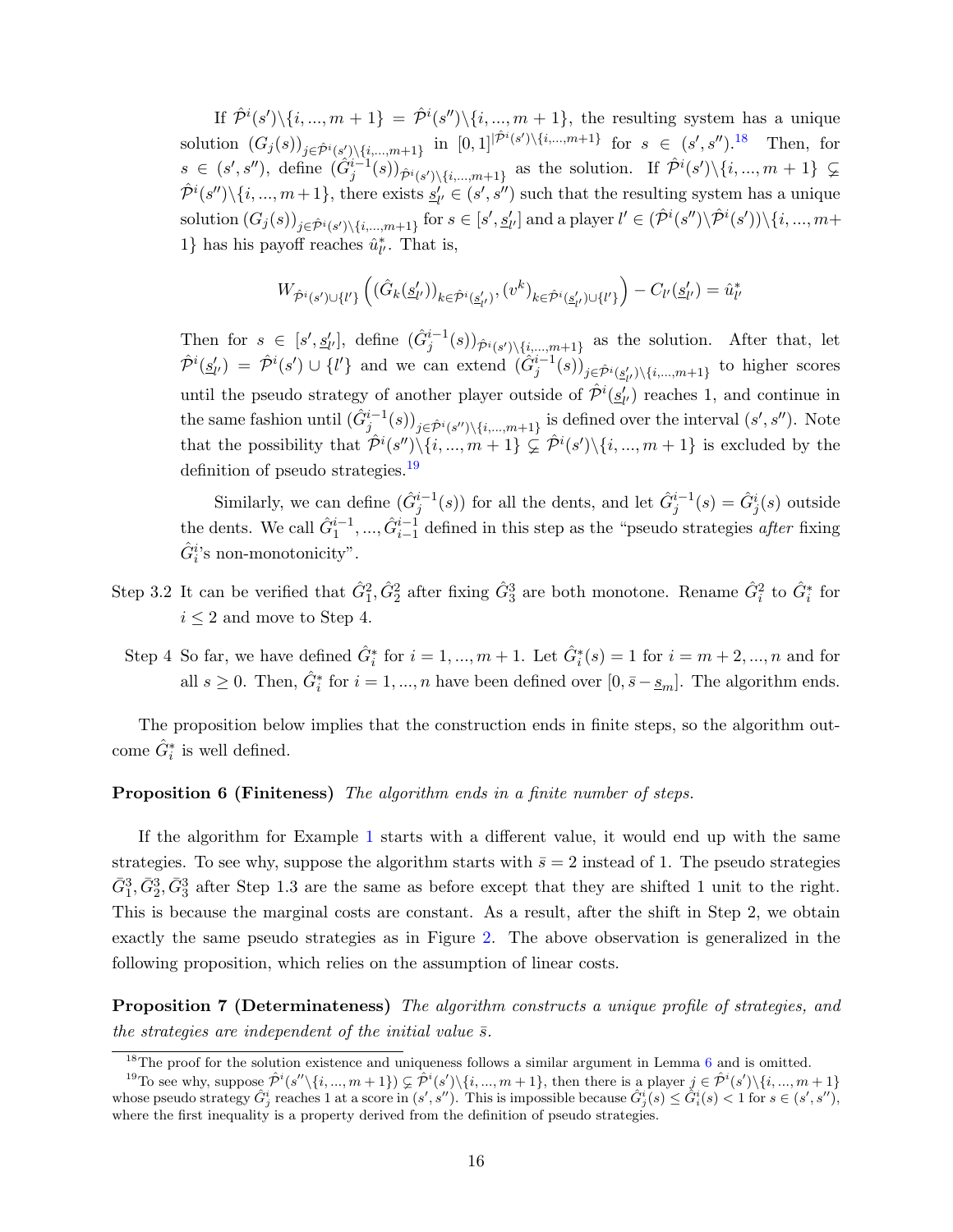If  $\hat{\mathcal{P}}^{i}(s')\setminus\{i,...,m+1\} = \hat{\mathcal{P}}^{i}(s'')\setminus\{i,...,m+1\}$ , the resulting system has a unique solution  $(G_j(s))_{j \in \hat{\mathcal{P}}^i(s') \setminus \{i,...,m+1\}}$  in  $[0,1]^{|\hat{\mathcal{P}}^i(s') \setminus \{i,...,m+1\}}$  for  $s \in (s', s'')$ .<sup>[18](#page-15-2)</sup> Then, for  $s \in (s', s'')$ , define  $(\hat{G}^{i-1}_j(s))_{\hat{P}^i(s') \setminus \{i, ..., m+1\}}$  as the solution. If  $\hat{P}^i(s') \setminus \{i, ..., m+1\} \subsetneq$  $\hat{\mathcal{P}}^{i}(s'')\setminus\{i,...,m+1\}$ , there exists  $\underline{s}'_{l'}\in (s',s'')$  such that the resulting system has a unique solution  $(G_j(s))_{j \in \hat{\mathcal{P}}^i(s') \setminus \{i,\dots,m+1\}}$  for  $s \in [s', s'_{l'}]$  and a player  $l' \in (\hat{\mathcal{P}}^i(s'') \setminus \hat{\mathcal{P}}^i(s')) \setminus \{i,\dots,m+1\}$ 1} has his payoff reaches  $\hat{u}_{l'}^*$ . That is,

$$
W_{\hat{\mathcal{P}}^i(s') \cup \{l'\}} \left( (\hat{G}_k(\underline{s'_{l'}}))_{k \in \hat{\mathcal{P}}^i(\underline{s'_{l'}})} , (v^k)_{k \in \hat{\mathcal{P}}^i(\underline{s'_{l'}}) \cup \{l'\}} \right) - C_{l'}(\underline{s'_{l'}}) = \hat{u}^*_{l'}
$$

Then for  $s \in [s', \underline{s}'_{l'}],$  define  $(\hat{G}_j^{i-1}(s))_{\hat{\mathcal{P}}^i(s') \setminus \{i,\dots,m+1\}}$  as the solution. After that, let  $\hat{\mathcal{P}}^{i}(\underline{s}'_{l'}) = \hat{\mathcal{P}}^{i}(s') \cup \{l'\}\$ and we can extend  $(\hat{G}^{i-1}_{j}(s))_{j \in \hat{\mathcal{P}}^{i}(\underline{s}'_{l'}) \setminus \{i,...,m+1\}}$  to higher scores until the pseudo strategy of another player outside of  $\hat{\mathcal{P}}^i(\underline{s}'_{l'})$  reaches 1, and continue in the same fashion until  $(\hat{G}_j^{i-1}(s))_{j\in \hat{\mathcal{P}}^i(s'')\setminus\{i,\dots,m+1\}}$  is defined over the interval  $(s', s'')$ . Note that the possibility that  $\hat{\mathcal{P}}^i(s'')\setminus\{i, ..., m+1\} \subsetneq \hat{\mathcal{P}}^i(s')\setminus\{i, ..., m+1\}$  is excluded by the definition of pseudo strategies.<sup>[19](#page-15-3)</sup>

Similarly, we can define  $(\hat{G}_j^{i-1}(s))$  for all the dents, and let  $\hat{G}_j^{i-1}(s) = \hat{G}_j^i(s)$  outside the dents. We call  $\hat{G}_1^{i-1},...,\hat{G}_{i-1}^{i-1}$  defined in this step as the "pseudo strategies *after* fixing  $\hat{G}_i^i$ 's non-monotonicity".

- Step 3.2 It can be verified that  $\hat{G}_1^2, \hat{G}_2^2$  after fixing  $\hat{G}_3^3$  are both monotone. Rename  $\hat{G}_i^2$  to  $\hat{G}_i^*$  for  $i \leq 2$  and move to Step 4.
	- Step 4 So far, we have defined  $\hat{G}_i^*$  for  $i = 1, ..., m + 1$ . Let  $\hat{G}_i^*(s) = 1$  for  $i = m + 2, ..., n$  and for all  $s \geq 0$ . Then,  $\hat{G}_i^*$  for  $i = 1, ..., n$  have been defined over  $[0, \bar{s} - s_m]$ . The algorithm ends.

The proposition below implies that the construction ends in finite steps, so the algorithm outcome  $\hat{G}_i^*$  is well defined.

#### <span id="page-15-1"></span>Proposition 6 (Finiteness) The algorithm ends in a finite number of steps.

If the algorithm for Example [1](#page-7-1) starts with a different value, it would end up with the same strategies. To see why, suppose the algorithm starts with  $\bar{s} = 2$  instead of 1. The pseudo strategies  $\bar{G}_1^3$ ,  $\bar{G}_2^3$ ,  $\bar{G}_3^3$  after Step 1.3 are the same as before except that they are shifted 1 unit to the right. This is because the marginal costs are constant. As a result, after the shift in Step 2, we obtain exactly the same pseudo strategies as in Figure [2.](#page-7-0) The above observation is generalized in the following proposition, which relies on the assumption of linear costs.

<span id="page-15-0"></span>**Proposition 7 (Determinateness)** The algorithm constructs a unique profile of strategies, and the strategies are independent of the initial value  $\bar{s}$ .

<span id="page-15-3"></span><span id="page-15-2"></span> $18$ The proof for the solution existence and uniqueness follows a similar argument in Lemma  $6$  and is omitted.

<sup>&</sup>lt;sup>19</sup>To see why, suppose  $\hat{\mathcal{P}}^i(s''\setminus\{i, ..., m+1\}) \subsetneq \hat{\mathcal{P}}^i(s')\setminus\{i, ..., m+1\}$ , then there is a player  $j \in \hat{\mathcal{P}}^i(s')\setminus\{i, ..., m+1\}$ whose pseudo strategy  $\hat{G}^i_j$  reaches 1 at a score in  $(s', s'')$ . This is impossible because  $\hat{G}^i_j(s) \leq \hat{G}^i_i(s) < 1$  for  $s \in (s', s'')$ , where the first inequality is a property derived from the definition of pseudo strategies.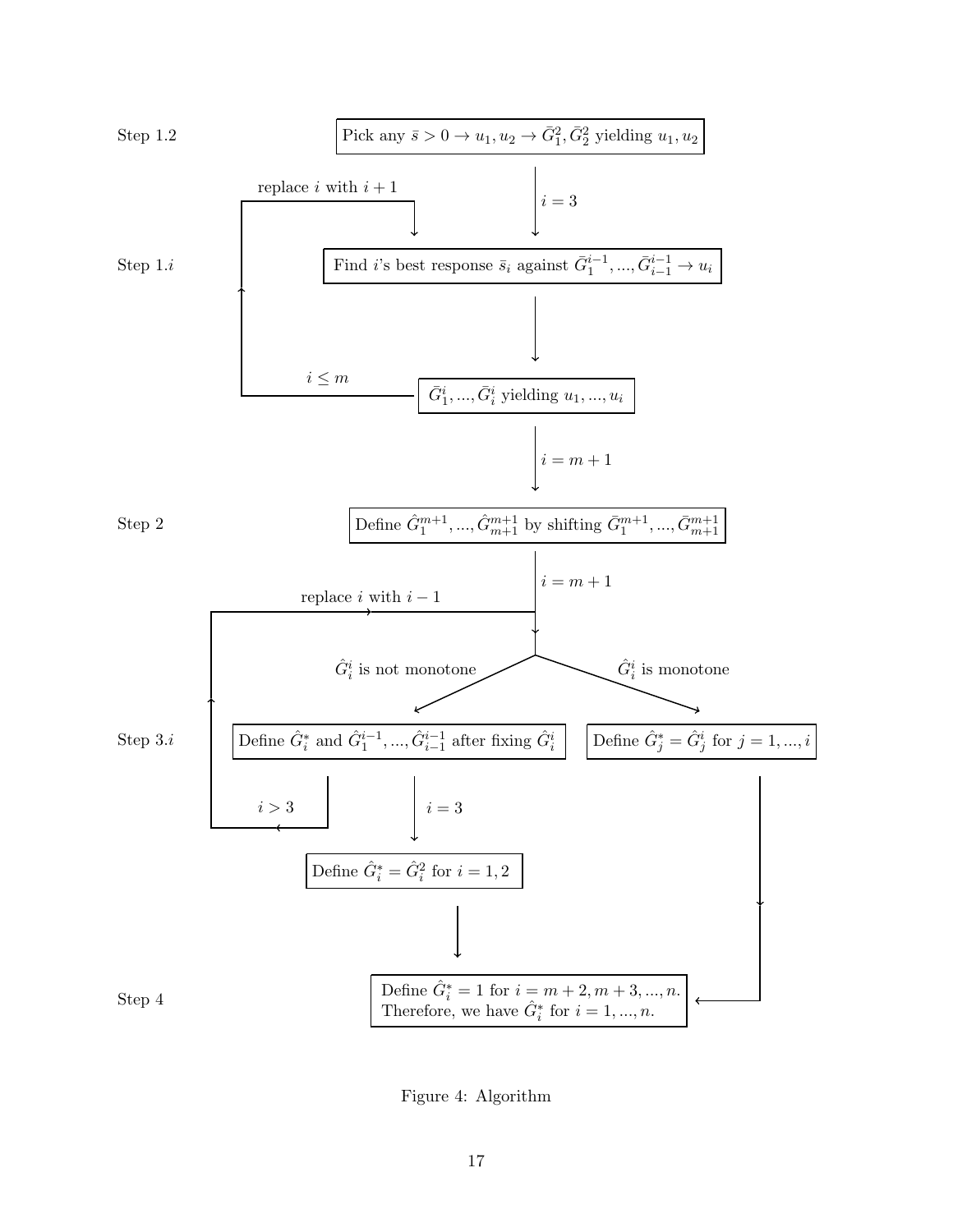<span id="page-16-0"></span>

Figure 4: Algorithm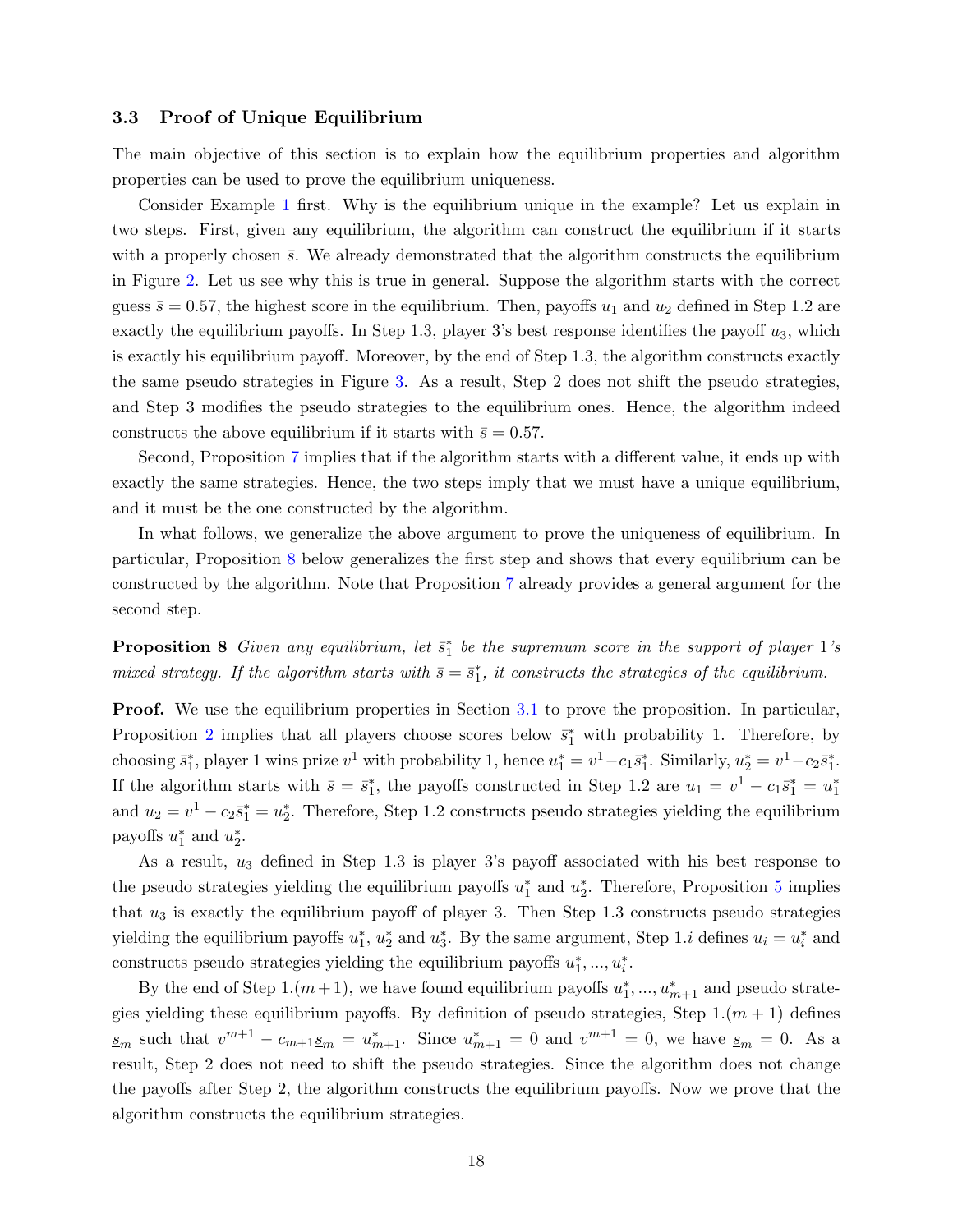#### <span id="page-17-0"></span>3.3 Proof of Unique Equilibrium

The main objective of this section is to explain how the equilibrium properties and algorithm properties can be used to prove the equilibrium uniqueness.

Consider Example [1](#page-7-1) first. Why is the equilibrium unique in the example? Let us explain in two steps. First, given any equilibrium, the algorithm can construct the equilibrium if it starts with a properly chosen  $\bar{s}$ . We already demonstrated that the algorithm constructs the equilibrium in Figure [2.](#page-7-0) Let us see why this is true in general. Suppose the algorithm starts with the correct guess  $\bar{s} = 0.57$ , the highest score in the equilibrium. Then, payoffs  $u_1$  and  $u_2$  defined in Step 1.2 are exactly the equilibrium payoffs. In Step 1.3, player 3's best response identifies the payoff  $u_3$ , which is exactly his equilibrium payoff. Moreover, by the end of Step 1.3, the algorithm constructs exactly the same pseudo strategies in Figure [3.](#page-7-0) As a result, Step 2 does not shift the pseudo strategies, and Step 3 modifies the pseudo strategies to the equilibrium ones. Hence, the algorithm indeed constructs the above equilibrium if it starts with  $\bar{s} = 0.57$ .

Second, Proposition [7](#page-15-0) implies that if the algorithm starts with a different value, it ends up with exactly the same strategies. Hence, the two steps imply that we must have a unique equilibrium, and it must be the one constructed by the algorithm.

In what follows, we generalize the above argument to prove the uniqueness of equilibrium. In particular, Proposition [8](#page-17-1) below generalizes the first step and shows that every equilibrium can be constructed by the algorithm. Note that Proposition [7](#page-15-0) already provides a general argument for the second step.

<span id="page-17-1"></span>**Proposition 8** Given any equilibrium, let  $\bar{s}_1^*$  be the supremum score in the support of player 1's mixed strategy. If the algorithm starts with  $\bar{s} = \bar{s}_1^*$ , it constructs the strategies of the equilibrium.

**Proof.** We use the equilibrium properties in Section [3.1](#page-5-1) to prove the proposition. In particular, Proposition [2](#page-6-2) implies that all players choose scores below  $\bar{s}_1^*$  with probability 1. Therefore, by choosing  $\bar{s}_1^*$ , player 1 wins prize  $v^1$  with probability 1, hence  $u_1^* = v^1 - c_1 \bar{s}_1^*$ . Similarly,  $u_2^* = v^1 - c_2 \bar{s}_1^*$ . If the algorithm starts with  $\bar{s} = \bar{s}_1^*$ , the payoffs constructed in Step 1.2 are  $u_1 = v^1 - c_1 \bar{s}_1^* = u_1^*$ and  $u_2 = v^1 - c_2 \bar{s}_1^* = u_2^*$ . Therefore, Step 1.2 constructs pseudo strategies yielding the equilibrium payoffs  $u_1^*$  and  $u_2^*$ .

As a result,  $u_3$  defined in Step 1.3 is player 3's payoff associated with his best response to the pseudo strategies yielding the equilibrium payoffs  $u_1^*$  and  $u_2^*$ . Therefore, Proposition [5](#page-10-0) implies that  $u_3$  is exactly the equilibrium payoff of player 3. Then Step 1.3 constructs pseudo strategies yielding the equilibrium payoffs  $u_1^*$ ,  $u_2^*$  and  $u_3^*$ . By the same argument, Step 1.*i* defines  $u_i = u_i^*$  and constructs pseudo strategies yielding the equilibrium payoffs  $u_1^*,...,u_i^*$ .

By the end of Step 1. $(m+1)$ , we have found equilibrium payoffs  $u_1^*,..., u_{m+1}^*$  and pseudo strategies yielding these equilibrium payoffs. By definition of pseudo strategies, Step  $1.(m + 1)$  defines  $s_m$  such that  $v^{m+1} - c_{m+1} s_m = u^*_{m+1}$ . Since  $u^*_{m+1} = 0$  and  $v^{m+1} = 0$ , we have  $s_m = 0$ . As a result, Step 2 does not need to shift the pseudo strategies. Since the algorithm does not change the payoffs after Step 2, the algorithm constructs the equilibrium payoffs. Now we prove that the algorithm constructs the equilibrium strategies.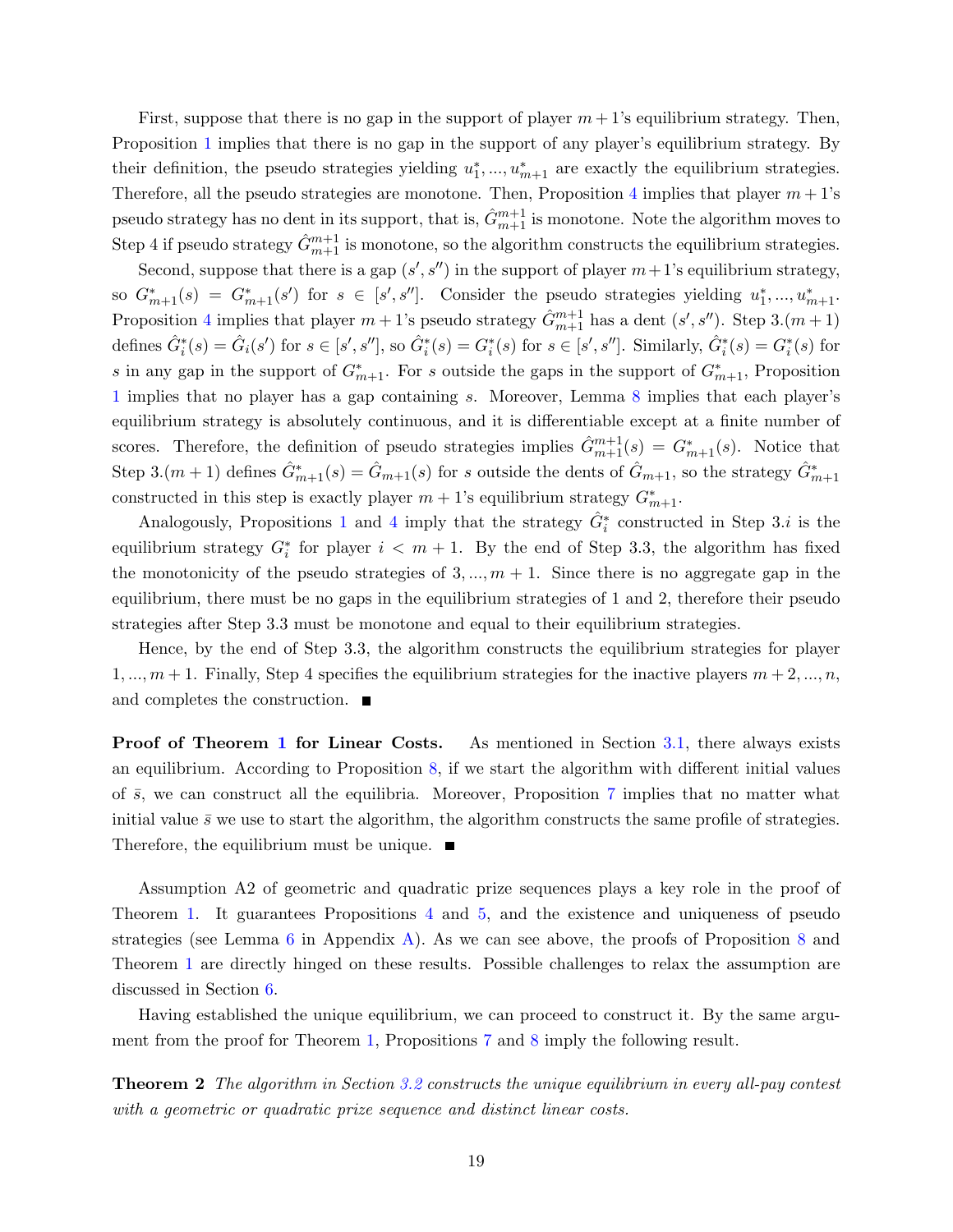First, suppose that there is no gap in the support of player  $m + 1$ 's equilibrium strategy. Then, Proposition [1](#page-6-0) implies that there is no gap in the support of any player's equilibrium strategy. By their definition, the pseudo strategies yielding  $u_1^*,..., u_{m+1}^*$  are exactly the equilibrium strategies. Therefore, all the pseudo strategies are monotone. Then, Proposition [4](#page-10-2) implies that player  $m + 1$ 's pseudo strategy has no dent in its support, that is,  $\hat{G}_{m+1}^{m+1}$  is monotone. Note the algorithm moves to Step 4 if pseudo strategy  $\hat{G}_{m+1}^{m+1}$  is monotone, so the algorithm constructs the equilibrium strategies.

Second, suppose that there is a gap  $(s', s'')$  in the support of player  $m+1$ 's equilibrium strategy, so  $G_{m+1}^*(s) = G_{m+1}^*(s')$  for  $s \in [s', s'']$ . Consider the pseudo strategies yielding  $u_1^*,..., u_{m+1}^*$ . Proposition [4](#page-10-2) implies that player  $m+1$ 's pseudo strategy  $\hat{G}_{m+1}^{m+1}$  has a dent  $(s', s'')$ . Step 3. $(m+1)$ defines  $\hat{G}_i^*(s) = \hat{G}_i(s')$  for  $s \in [s', s'']$ , so  $\hat{G}_i^*(s) = G_i^*(s)$  for  $s \in [s', s'']$ . Similarly,  $\hat{G}_i^*(s) = G_i^*(s)$  for s in any gap in the support of  $G_{m+1}^*$ . For s outside the gaps in the support of  $G_{m+1}^*$ , Proposition [1](#page-6-0) implies that no player has a gap containing s. Moreover, Lemma [8](#page-38-0) implies that each player's equilibrium strategy is absolutely continuous, and it is differentiable except at a finite number of scores. Therefore, the definition of pseudo strategies implies  $\hat{G}_{m+1}^{m+1}(s) = G_{m+1}^*(s)$ . Notice that Step 3. $(m+1)$  defines  $\hat{G}_{m+1}^*(s) = \hat{G}_{m+1}(s)$  for s outside the dents of  $\hat{G}_{m+1}$ , so the strategy  $\hat{G}_{m+1}^*$ constructed in this step is exactly player  $m + 1$ 's equilibrium strategy  $G_{m+1}^*$ .

Analogously, Propositions [1](#page-6-0) and [4](#page-10-2) imply that the strategy  $\hat{G}_i^*$  constructed in Step 3.*i* is the equilibrium strategy  $G_i^*$  for player  $i < m + 1$ . By the end of Step 3.3, the algorithm has fixed the monotonicity of the pseudo strategies of  $3, ..., m + 1$ . Since there is no aggregate gap in the equilibrium, there must be no gaps in the equilibrium strategies of 1 and 2, therefore their pseudo strategies after Step 3.3 must be monotone and equal to their equilibrium strategies.

Hence, by the end of Step 3.3, the algorithm constructs the equilibrium strategies for player 1, ...,  $m + 1$ . Finally, Step 4 specifies the equilibrium strategies for the inactive players  $m + 2, ..., n$ , and completes the construction. ■

**Proof of Theorem [1](#page-4-3) for Linear Costs.** As mentioned in Section [3.1,](#page-5-1) there always exists an equilibrium. According to Proposition [8,](#page-17-1) if we start the algorithm with different initial values of  $\bar{s}$ , we can construct all the equilibria. Moreover, Proposition [7](#page-15-0) implies that no matter what initial value  $\bar{s}$  we use to start the algorithm, the algorithm constructs the same profile of strategies. Therefore, the equilibrium must be unique.  $\blacksquare$ 

Assumption A2 of geometric and quadratic prize sequences plays a key role in the proof of Theorem [1.](#page-4-3) It guarantees Propositions [4](#page-10-2) and [5,](#page-10-0) and the existence and uniqueness of pseudo strategies (see Lemma [6](#page-34-0) in Appendix [A\)](#page-27-7). As we can see above, the proofs of Proposition [8](#page-17-1) and Theorem [1](#page-4-3) are directly hinged on these results. Possible challenges to relax the assumption are discussed in Section [6.](#page-25-0)

Having established the unique equilibrium, we can proceed to construct it. By the same argument from the proof for Theorem [1,](#page-4-3) Propositions [7](#page-15-0) and [8](#page-17-1) imply the following result.

Theorem 2 The algorithm in Section [3.2](#page-11-0) constructs the unique equilibrium in every all-pay contest with a geometric or quadratic prize sequence and distinct linear costs.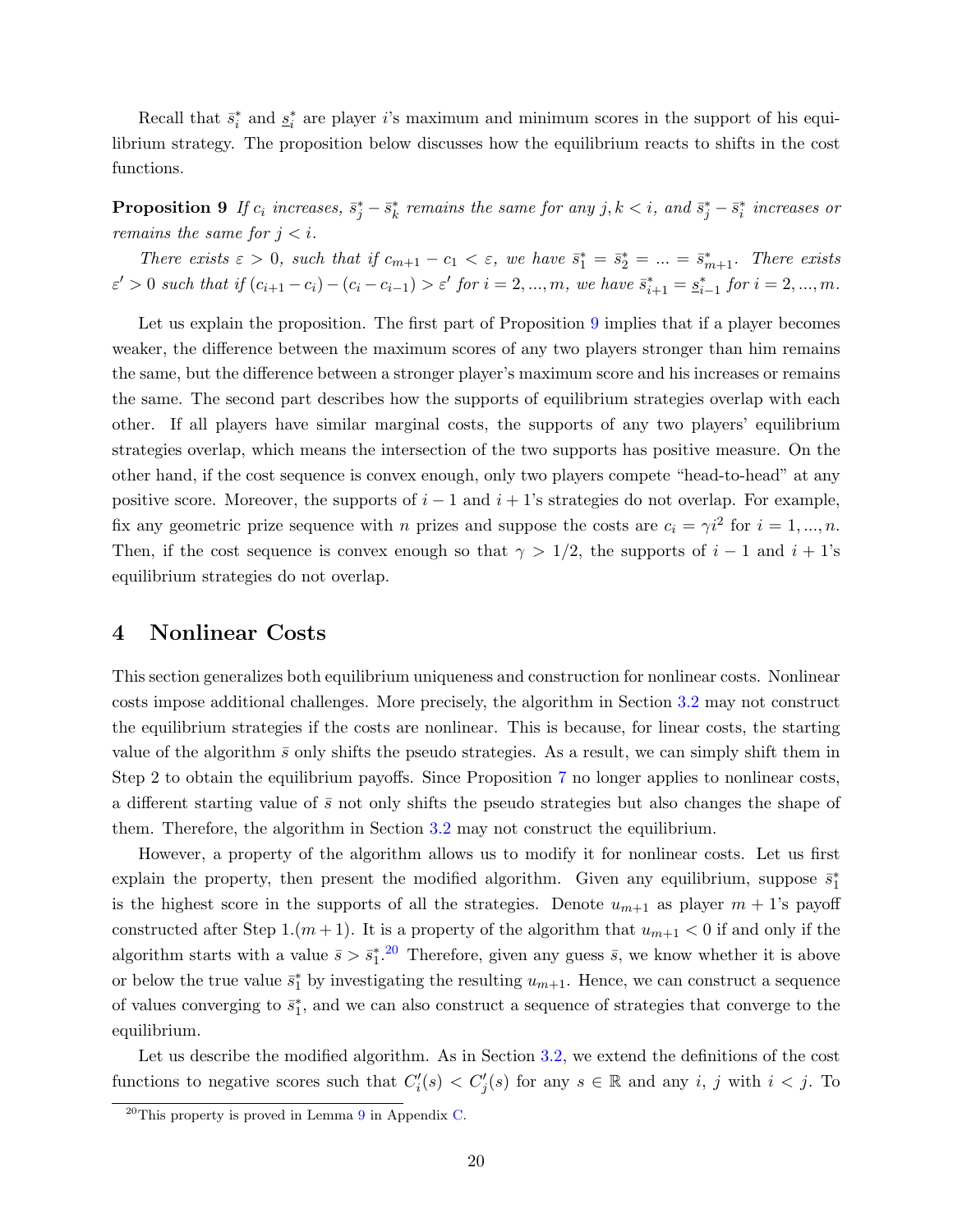Recall that  $\bar{s}_i^*$  and  $\underline{s}_i^*$  are player i's maximum and minimum scores in the support of his equilibrium strategy. The proposition below discusses how the equilibrium reacts to shifts in the cost functions.

<span id="page-19-1"></span>**Proposition 9** If  $c_i$  increases,  $\bar{s}_j^* - \bar{s}_k^*$  remains the same for any  $j, k < i$ , and  $\bar{s}_j^* - \bar{s}_i^*$  increases or remains the same for  $j < i$ .

There exists  $\varepsilon > 0$ , such that if  $c_{m+1} - c_1 < \varepsilon$ , we have  $\bar{s}_1^* = \bar{s}_2^* = ... = \bar{s}_{m+1}^*$ . There exists  $\varepsilon' > 0$  such that if  $(c_{i+1} - c_i) - (c_i - c_{i-1}) > \varepsilon'$  for  $i = 2, ..., m$ , we have  $\bar{s}_{i+1}^* = \underline{s}_{i-1}^*$  for  $i = 2, ..., m$ .

Let us explain the proposition. The first part of Proposition [9](#page-19-1) implies that if a player becomes weaker, the difference between the maximum scores of any two players stronger than him remains the same, but the difference between a stronger player's maximum score and his increases or remains the same. The second part describes how the supports of equilibrium strategies overlap with each other. If all players have similar marginal costs, the supports of any two players' equilibrium strategies overlap, which means the intersection of the two supports has positive measure. On the other hand, if the cost sequence is convex enough, only two players compete "head-to-head" at any positive score. Moreover, the supports of  $i-1$  and  $i+1$ 's strategies do not overlap. For example, fix any geometric prize sequence with n prizes and suppose the costs are  $c_i = \gamma i^2$  for  $i = 1, ..., n$ . Then, if the cost sequence is convex enough so that  $\gamma > 1/2$ , the supports of  $i - 1$  and  $i + 1$ 's equilibrium strategies do not overlap.

### <span id="page-19-0"></span>4 Nonlinear Costs

This section generalizes both equilibrium uniqueness and construction for nonlinear costs. Nonlinear costs impose additional challenges. More precisely, the algorithm in Section [3.2](#page-11-0) may not construct the equilibrium strategies if the costs are nonlinear. This is because, for linear costs, the starting value of the algorithm  $\bar{s}$  only shifts the pseudo strategies. As a result, we can simply shift them in Step 2 to obtain the equilibrium payoffs. Since Proposition [7](#page-15-0) no longer applies to nonlinear costs, a different starting value of  $\bar{s}$  not only shifts the pseudo strategies but also changes the shape of them. Therefore, the algorithm in Section [3.2](#page-11-0) may not construct the equilibrium.

However, a property of the algorithm allows us to modify it for nonlinear costs. Let us first explain the property, then present the modified algorithm. Given any equilibrium, suppose  $\bar{s}_1^*$ is the highest score in the supports of all the strategies. Denote  $u_{m+1}$  as player  $m + 1$ 's payoff constructed after Step 1. $(m+1)$ . It is a property of the algorithm that  $u_{m+1} < 0$  if and only if the algorithm starts with a value  $\bar{s} > \bar{s}_1^*$ . Therefore, given any guess  $\bar{s}$ , we know whether it is above or below the true value  $\bar{s}_1^*$  by investigating the resulting  $u_{m+1}$ . Hence, we can construct a sequence of values converging to  $\bar{s}_1^*$ , and we can also construct a sequence of strategies that converge to the equilibrium.

Let us describe the modified algorithm. As in Section [3.2,](#page-11-0) we extend the definitions of the cost functions to negative scores such that  $C_i'(s) < C_j'(s)$  for any  $s \in \mathbb{R}$  and any i, j with  $i < j$ . To

<span id="page-19-2"></span> $^{20}$ This property is proved in Lemma [9](#page-41-1) in Appendix [C.](#page-40-0)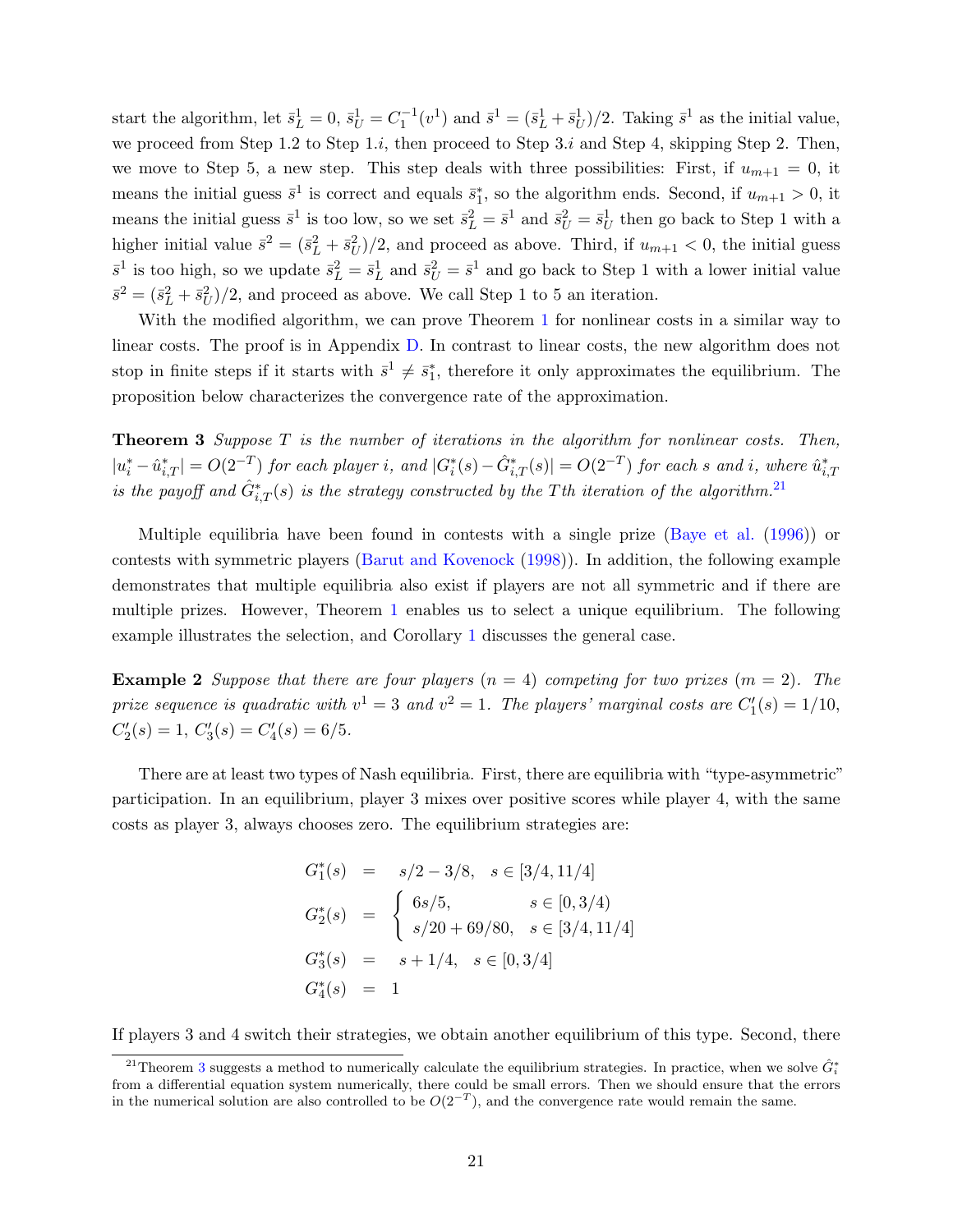<span id="page-20-3"></span>start the algorithm, let  $\bar{s}_L^1 = 0$ ,  $\bar{s}_U^1 = C_1^{-1}(v^1)$  and  $\bar{s}^1 = (\bar{s}_L^1 + \bar{s}_U^1)/2$ . Taking  $\bar{s}^1$  as the initial value, we proceed from Step 1.2 to Step 1.i, then proceed to Step 3.i and Step 4, skipping Step 2. Then, we move to Step 5, a new step. This step deals with three possibilities: First, if  $u_{m+1} = 0$ , it means the initial guess  $\bar{s}^1$  is correct and equals  $\bar{s}_1^*$ , so the algorithm ends. Second, if  $u_{m+1} > 0$ , it means the initial guess  $\bar{s}^1$  is too low, so we set  $\bar{s}_L^2 = \bar{s}^1$  and  $\bar{s}_U^2 = \bar{s}_U^1$  then go back to Step 1 with a higher initial value  $\bar{s}^2 = (\bar{s}_L^2 + \bar{s}_U^2)/2$ , and proceed as above. Third, if  $u_{m+1} < 0$ , the initial guess  $\bar{s}^1$  is too high, so we update  $\bar{s}_L^2 = \bar{s}_L^1$  and  $\bar{s}_U^2 = \bar{s}^1$  and go back to Step 1 with a lower initial value  $\bar{s}^2 = (\bar{s}_L^2 + \bar{s}_U^2)/2$ , and proceed as above. We call Step 1 to 5 an iteration.

With the modified algorithm, we can prove Theorem [1](#page-4-3) for nonlinear costs in a similar way to linear costs. The proof is in Appendix [D.](#page-41-0) In contrast to linear costs, the new algorithm does not stop in finite steps if it starts with  $\bar{s}^1 \neq \bar{s}_1^*$ , therefore it only approximates the equilibrium. The proposition below characterizes the convergence rate of the approximation.

<span id="page-20-2"></span>**Theorem 3** Suppose  $T$  is the number of iterations in the algorithm for nonlinear costs. Then,  $|u_i^* - \hat{u}_{i,T}^*| = O(2^{-T})$  for each player i, and  $|G_i^*(s) - \hat{G}_{i,T}^*(s)| = O(2^{-T})$  for each s and i, where  $\hat{u}_{i,T}^*$ is the payoff and  $\hat{G}_{i,T}^*(s)$  is the strategy constructed by the Tth iteration of the algorithm.<sup>[21](#page-20-1)</sup>

Multiple equilibria have been found in contests with a single prize [\(Baye et al.](#page-26-1) [\(1996\)](#page-26-1)) or contests with symmetric players [\(Barut and Kovenock](#page-26-0) [\(1998\)](#page-26-0)). In addition, the following example demonstrates that multiple equilibria also exist if players are not all symmetric and if there are multiple prizes. However, Theorem [1](#page-4-3) enables us to select a unique equilibrium. The following example illustrates the selection, and Corollary [1](#page-21-0) discusses the general case.

<span id="page-20-0"></span>**Example 2** Suppose that there are four players  $(n = 4)$  competing for two prizes  $(m = 2)$ . The prize sequence is quadratic with  $v^1 = 3$  and  $v^2 = 1$ . The players' marginal costs are  $C'_1(s) = 1/10$ ,  $C_2'(s) = 1, C_3'(s) = C_4'(s) = 6/5.$ 

There are at least two types of Nash equilibria. First, there are equilibria with "type-asymmetric" participation. In an equilibrium, player 3 mixes over positive scores while player 4, with the same costs as player 3, always chooses zero. The equilibrium strategies are:

$$
G_1^*(s) = s/2 - 3/8, s \in [3/4, 11/4]
$$
  
\n
$$
G_2^*(s) = \begin{cases} 6s/5, & s \in [0, 3/4) \\ s/20 + 69/80, & s \in [3/4, 11/4] \end{cases}
$$
  
\n
$$
G_3^*(s) = s + 1/4, s \in [0, 3/4]
$$
  
\n
$$
G_4^*(s) = 1
$$

If players 3 and 4 switch their strategies, we obtain another equilibrium of this type. Second, there

<span id="page-20-1"></span><sup>&</sup>lt;sup>21</sup>Theorem [3](#page-20-2) suggests a method to numerically calculate the equilibrium strategies. In practice, when we solve  $\hat{G}_i^*$ from a differential equation system numerically, there could be small errors. Then we should ensure that the errors in the numerical solution are also controlled to be  $O(2^{-T})$ , and the convergence rate would remain the same.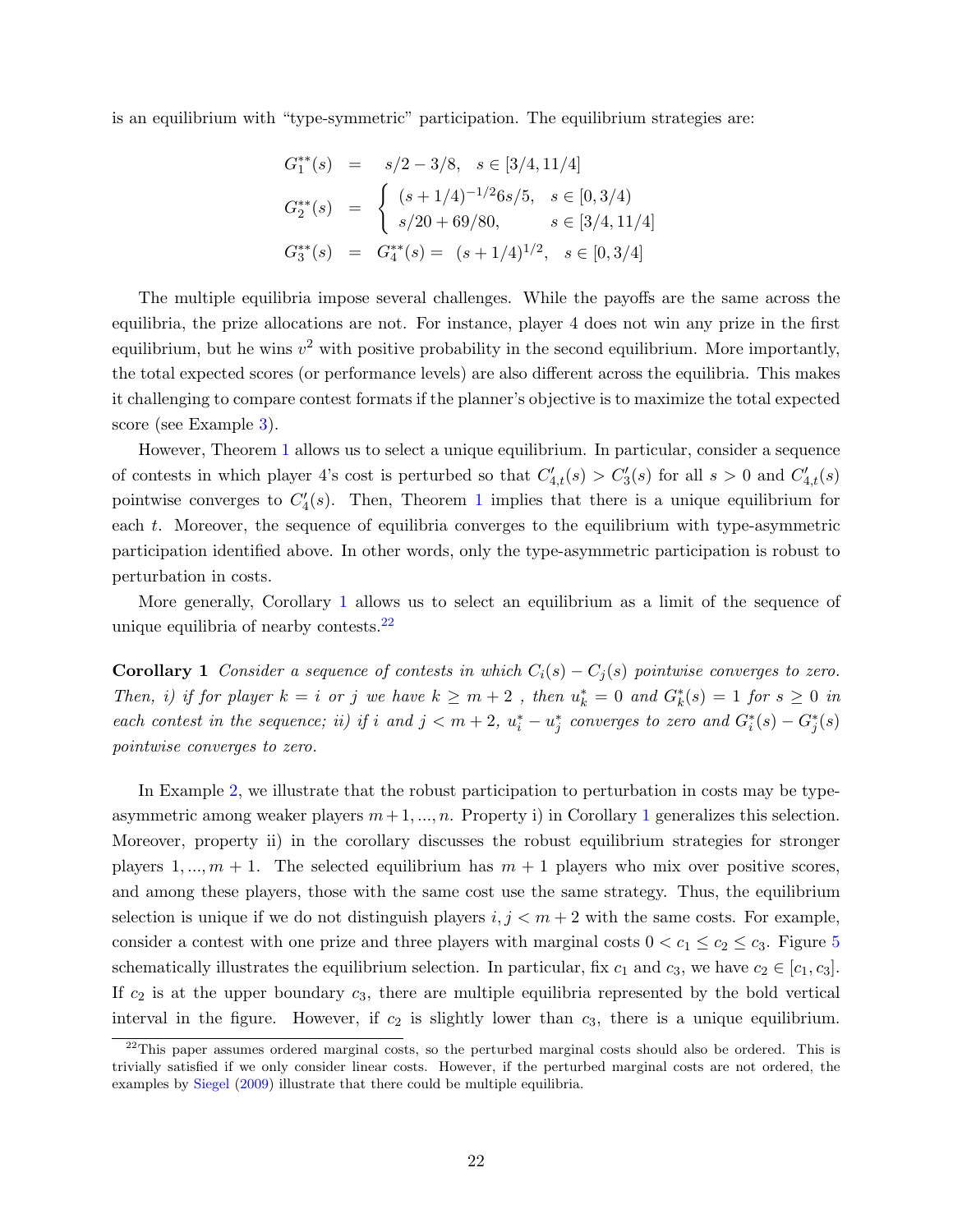<span id="page-21-2"></span>is an equilibrium with "type-symmetric" participation. The equilibrium strategies are:

$$
G_1^{**}(s) = s/2 - 3/8, s \in [3/4, 11/4]
$$
  
\n
$$
G_2^{**}(s) = \begin{cases} (s + 1/4)^{-1/2} 6s/5, s \in [0, 3/4) \\ s/20 + 69/80, s \in [3/4, 11/4] \end{cases}
$$
  
\n
$$
G_3^{**}(s) = G_4^{**}(s) = (s + 1/4)^{1/2}, s \in [0, 3/4]
$$

The multiple equilibria impose several challenges. While the payoffs are the same across the equilibria, the prize allocations are not. For instance, player 4 does not win any prize in the first equilibrium, but he wins  $v^2$  with positive probability in the second equilibrium. More importantly, the total expected scores (or performance levels) are also different across the equilibria. This makes it challenging to compare contest formats if the planner's objective is to maximize the total expected score (see Example [3\)](#page-23-0).

However, Theorem [1](#page-4-3) allows us to select a unique equilibrium. In particular, consider a sequence of contests in which player 4's cost is perturbed so that  $C'_{4,t}(s) > C'_{3}(s)$  for all  $s > 0$  and  $C'_{4,t}(s)$ pointwise converges to  $C_4'(s)$ . Then, Theorem [1](#page-4-3) implies that there is a unique equilibrium for each t. Moreover, the sequence of equilibria converges to the equilibrium with type-asymmetric participation identified above. In other words, only the type-asymmetric participation is robust to perturbation in costs.

More generally, Corollary [1](#page-21-0) allows us to select an equilibrium as a limit of the sequence of unique equilibria of nearby contests.[22](#page-21-1)

<span id="page-21-0"></span>**Corollary 1** Consider a sequence of contests in which  $C_i(s) - C_j(s)$  pointwise converges to zero. Then, i) if for player  $k = i$  or j we have  $k \ge m + 2$ , then  $u_k^* = 0$  and  $G_k^*(s) = 1$  for  $s \ge 0$  in each contest in the sequence; ii) if i and  $j < m+2$ ,  $u_i^* - u_j^*$  converges to zero and  $G_i^*(s) - G_j^*(s)$ pointwise converges to zero.

In Example [2,](#page-20-0) we illustrate that the robust participation to perturbation in costs may be typeasymmetric among weaker players  $m+1, ..., n$  $m+1, ..., n$  $m+1, ..., n$ . Property i) in Corollary 1 generalizes this selection. Moreover, property ii) in the corollary discusses the robust equilibrium strategies for stronger players  $1, ..., m + 1$ . The selected equilibrium has  $m + 1$  players who mix over positive scores, and among these players, those with the same cost use the same strategy. Thus, the equilibrium selection is unique if we do not distinguish players  $i, j < m+2$  with the same costs. For example, consider a contest with one prize and three players with marginal costs  $0 < c_1 \leq c_2 \leq c_3$ . Figure [5](#page-22-1) schematically illustrates the equilibrium selection. In particular, fix  $c_1$  and  $c_3$ , we have  $c_2 \in [c_1, c_3]$ . If  $c_2$  is at the upper boundary  $c_3$ , there are multiple equilibria represented by the bold vertical interval in the figure. However, if  $c_2$  is slightly lower than  $c_3$ , there is a unique equilibrium.

<span id="page-21-1"></span><sup>&</sup>lt;sup>22</sup>This paper assumes ordered marginal costs, so the perturbed marginal costs should also be ordered. This is trivially satisfied if we only consider linear costs. However, if the perturbed marginal costs are not ordered, the examples by [Siegel](#page-27-6) [\(2009\)](#page-27-6) illustrate that there could be multiple equilibria.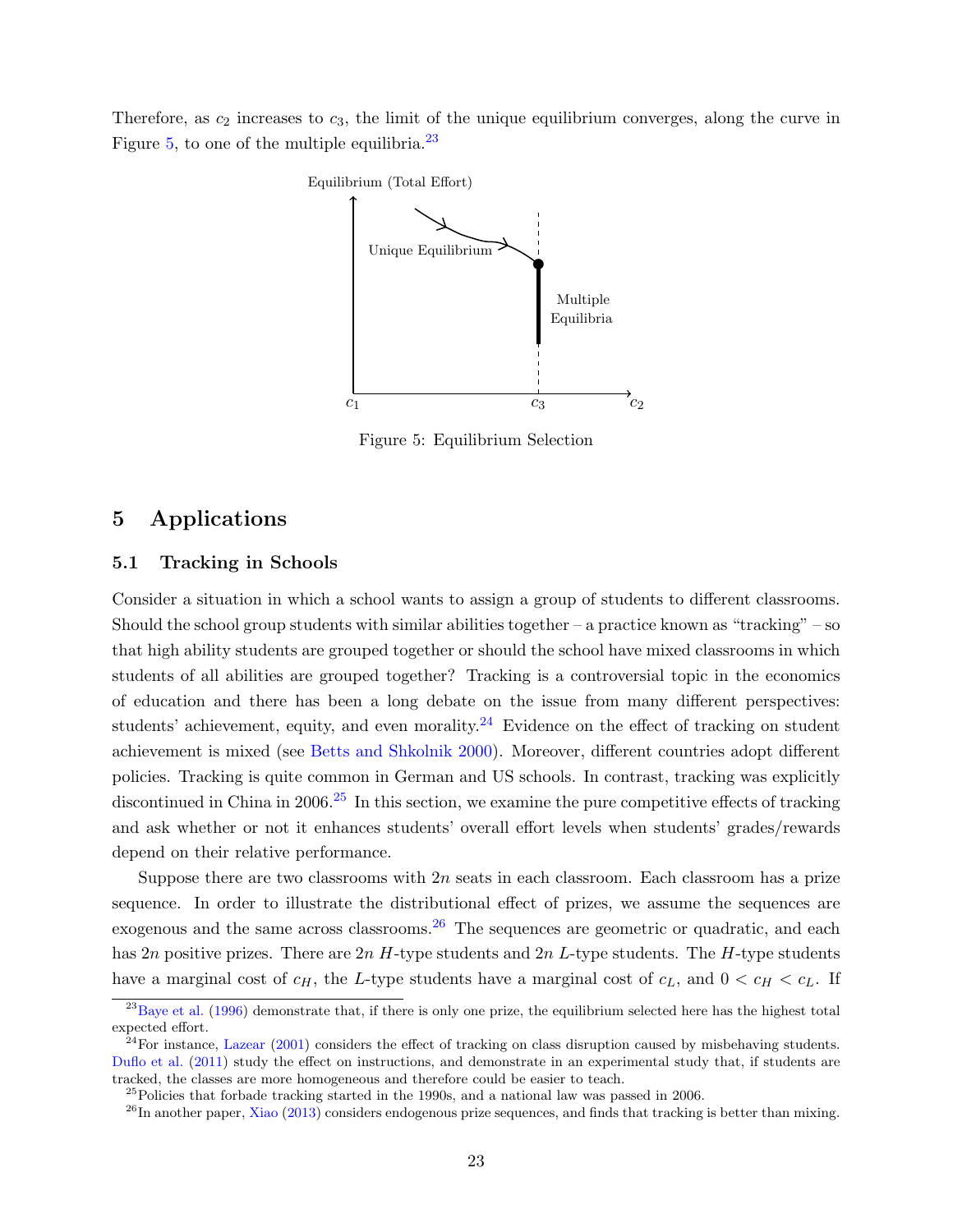<span id="page-22-6"></span><span id="page-22-1"></span>Therefore, as  $c_2$  increases to  $c_3$ , the limit of the unique equilibrium converges, along the curve in Figure [5,](#page-22-1) to one of the multiple equilibria. $^{23}$  $^{23}$  $^{23}$ 



Figure 5: Equilibrium Selection

# <span id="page-22-0"></span>5 Applications

### 5.1 Tracking in Schools

Consider a situation in which a school wants to assign a group of students to different classrooms. Should the school group students with similar abilities together – a practice known as "tracking" – so that high ability students are grouped together or should the school have mixed classrooms in which students of all abilities are grouped together? Tracking is a controversial topic in the economics of education and there has been a long debate on the issue from many different perspectives: students' achievement, equity, and even morality.<sup>[24](#page-22-3)</sup> Evidence on the effect of tracking on student achievement is mixed (see [Betts and Shkolnik](#page-26-4) [2000\)](#page-26-4). Moreover, different countries adopt different policies. Tracking is quite common in German and US schools. In contrast, tracking was explicitly discontinued in China in 2006.<sup>[25](#page-22-4)</sup> In this section, we examine the pure competitive effects of tracking and ask whether or not it enhances students' overall effort levels when students' grades/rewards depend on their relative performance.

Suppose there are two classrooms with  $2n$  seats in each classroom. Each classroom has a prize sequence. In order to illustrate the distributional effect of prizes, we assume the sequences are exogenous and the same across classrooms.<sup>[26](#page-22-5)</sup> The sequences are geometric or quadratic, and each has 2n positive prizes. There are  $2n$  H-type students and  $2n$  L-type students. The H-type students have a marginal cost of  $c_H$ , the L-type students have a marginal cost of  $c_L$ , and  $0 < c_H < c_L$ . If

<span id="page-22-2"></span> $^{23}$ [Baye et al.](#page-26-1) [\(1996\)](#page-26-1) demonstrate that, if there is only one prize, the equilibrium selected here has the highest total expected effort.

<span id="page-22-3"></span> $^{24}$ For instance, [Lazear](#page-27-8) [\(2001\)](#page-27-8) considers the effect of tracking on class disruption caused by misbehaving students. [Duflo et al.](#page-26-5) [\(2011\)](#page-26-5) study the effect on instructions, and demonstrate in an experimental study that, if students are tracked, the classes are more homogeneous and therefore could be easier to teach.

<span id="page-22-4"></span> $^{25}$ Policies that forbade tracking started in the 1990s, and a national law was passed in 2006.

<span id="page-22-5"></span> $^{26}$ In another paper, [Xiao](#page-27-9) [\(2013\)](#page-27-9) considers endogenous prize sequences, and finds that tracking is better than mixing.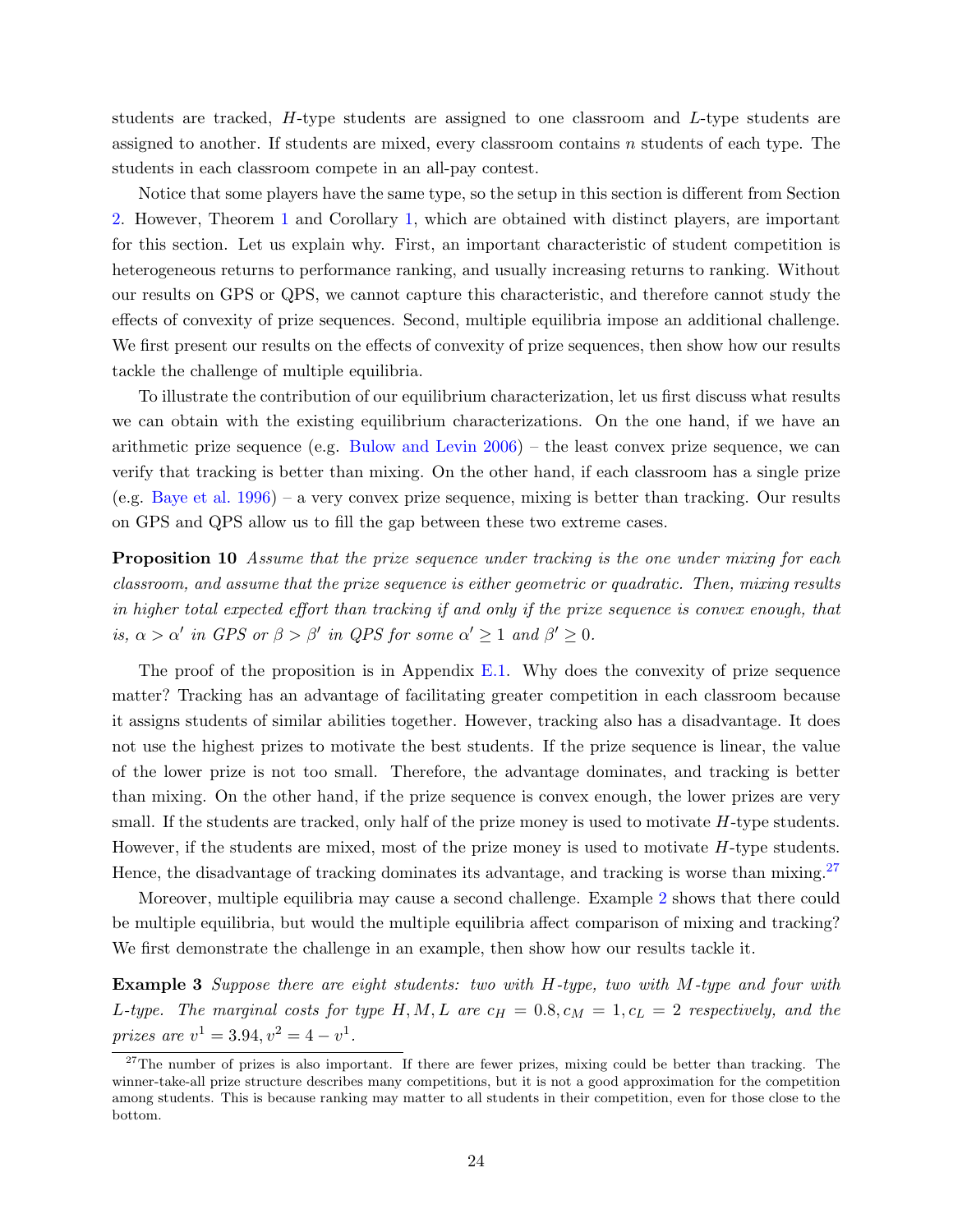<span id="page-23-2"></span>students are tracked, H-type students are assigned to one classroom and L-type students are assigned to another. If students are mixed, every classroom contains  $n$  students of each type. The students in each classroom compete in an all-pay contest.

Notice that some players have the same type, so the setup in this section is different from Section [2.](#page-4-0) However, Theorem [1](#page-4-3) and Corollary [1,](#page-21-0) which are obtained with distinct players, are important for this section. Let us explain why. First, an important characteristic of student competition is heterogeneous returns to performance ranking, and usually increasing returns to ranking. Without our results on GPS or QPS, we cannot capture this characteristic, and therefore cannot study the effects of convexity of prize sequences. Second, multiple equilibria impose an additional challenge. We first present our results on the effects of convexity of prize sequences, then show how our results tackle the challenge of multiple equilibria.

To illustrate the contribution of our equilibrium characterization, let us first discuss what results we can obtain with the existing equilibrium characterizations. On the one hand, if we have an arithmetic prize sequence (e.g. [Bulow and Levin](#page-26-3)  $2006$ ) – the least convex prize sequence, we can verify that tracking is better than mixing. On the other hand, if each classroom has a single prize (e.g. [Baye et al.](#page-26-1) [1996\)](#page-26-1) – a very convex prize sequence, mixing is better than tracking. Our results on GPS and QPS allow us to fill the gap between these two extreme cases.

<span id="page-23-3"></span>Proposition 10 Assume that the prize sequence under tracking is the one under mixing for each classroom, and assume that the prize sequence is either geometric or quadratic. Then, mixing results in higher total expected effort than tracking if and only if the prize sequence is convex enough, that is,  $\alpha > \alpha'$  in GPS or  $\beta > \beta'$  in QPS for some  $\alpha' \geq 1$  and  $\beta' \geq 0$ .

The proof of the proposition is in Appendix [E.1.](#page-43-0) Why does the convexity of prize sequence matter? Tracking has an advantage of facilitating greater competition in each classroom because it assigns students of similar abilities together. However, tracking also has a disadvantage. It does not use the highest prizes to motivate the best students. If the prize sequence is linear, the value of the lower prize is not too small. Therefore, the advantage dominates, and tracking is better than mixing. On the other hand, if the prize sequence is convex enough, the lower prizes are very small. If the students are tracked, only half of the prize money is used to motivate H-type students. However, if the students are mixed, most of the prize money is used to motivate H-type students. Hence, the disadvantage of tracking dominates its advantage, and tracking is worse than mixing.<sup>[27](#page-23-1)</sup>

Moreover, multiple equilibria may cause a second challenge. Example [2](#page-20-0) shows that there could be multiple equilibria, but would the multiple equilibria affect comparison of mixing and tracking? We first demonstrate the challenge in an example, then show how our results tackle it.

<span id="page-23-0"></span>Example 3 Suppose there are eight students: two with H-type, two with M-type and four with L-type. The marginal costs for type H, M, L are  $c_H = 0.8$ ,  $c_M = 1$ ,  $c_L = 2$  respectively, and the prizes are  $v^1 = 3.94, v^2 = 4 - v^1$ .

<span id="page-23-1"></span><sup>&</sup>lt;sup>27</sup>The number of prizes is also important. If there are fewer prizes, mixing could be better than tracking. The winner-take-all prize structure describes many competitions, but it is not a good approximation for the competition among students. This is because ranking may matter to all students in their competition, even for those close to the bottom.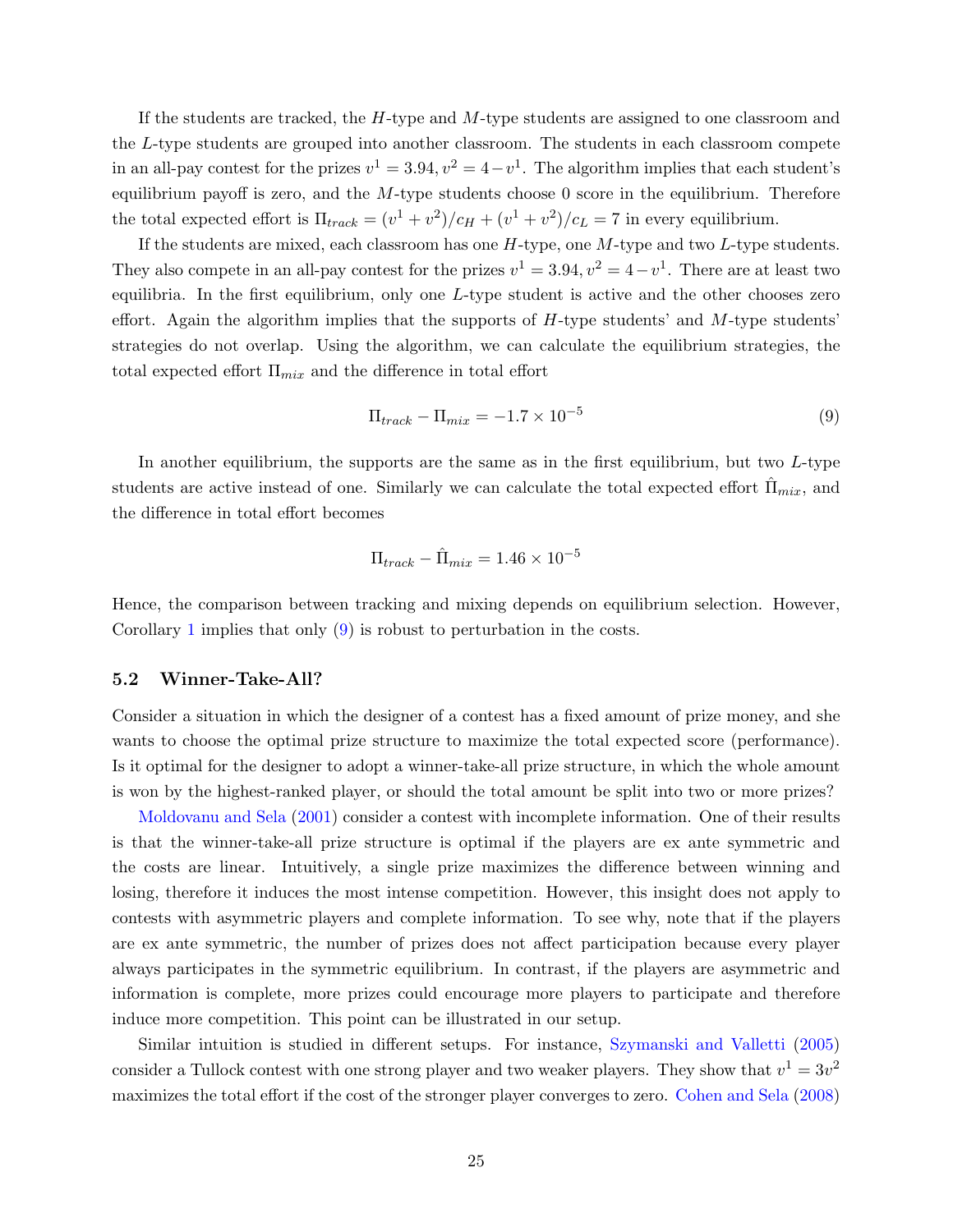<span id="page-24-1"></span>If the students are tracked, the  $H$ -type and  $M$ -type students are assigned to one classroom and the L-type students are grouped into another classroom. The students in each classroom compete in an all-pay contest for the prizes  $v^1 = 3.94, v^2 = 4 - v^1$ . The algorithm implies that each student's equilibrium payoff is zero, and the  $M$ -type students choose 0 score in the equilibrium. Therefore the total expected effort is  $\Pi_{track} = (v^1 + v^2)/c_H + (v^1 + v^2)/c_L = 7$  in every equilibrium.

If the students are mixed, each classroom has one  $H$ -type, one  $M$ -type and two  $L$ -type students. They also compete in an all-pay contest for the prizes  $v^1 = 3.94, v^2 = 4 - v^1$ . There are at least two equilibria. In the first equilibrium, only one  $L$ -type student is active and the other chooses zero effort. Again the algorithm implies that the supports of  $H$ -type students' and  $M$ -type students' strategies do not overlap. Using the algorithm, we can calculate the equilibrium strategies, the total expected effort  $\Pi_{mix}$  and the difference in total effort

<span id="page-24-0"></span>
$$
\Pi_{track} - \Pi_{mix} = -1.7 \times 10^{-5} \tag{9}
$$

In another equilibrium, the supports are the same as in the first equilibrium, but two L-type students are active instead of one. Similarly we can calculate the total expected effort  $\Pi_{mix}$ , and the difference in total effort becomes

$$
\Pi_{track} - \hat{\Pi}_{mix} = 1.46 \times 10^{-5}
$$

Hence, the comparison between tracking and mixing depends on equilibrium selection. However, Corollary [1](#page-21-0) implies that only [\(9\)](#page-24-0) is robust to perturbation in the costs.

#### 5.2 Winner-Take-All?

Consider a situation in which the designer of a contest has a fixed amount of prize money, and she wants to choose the optimal prize structure to maximize the total expected score (performance). Is it optimal for the designer to adopt a winner-take-all prize structure, in which the whole amount is won by the highest-ranked player, or should the total amount be split into two or more prizes?

[Moldovanu and Sela](#page-27-0) [\(2001\)](#page-27-0) consider a contest with incomplete information. One of their results is that the winner-take-all prize structure is optimal if the players are ex ante symmetric and the costs are linear. Intuitively, a single prize maximizes the difference between winning and losing, therefore it induces the most intense competition. However, this insight does not apply to contests with asymmetric players and complete information. To see why, note that if the players are ex ante symmetric, the number of prizes does not affect participation because every player always participates in the symmetric equilibrium. In contrast, if the players are asymmetric and information is complete, more prizes could encourage more players to participate and therefore induce more competition. This point can be illustrated in our setup.

Similar intuition is studied in different setups. For instance, [Szymanski and Valletti](#page-27-10) [\(2005\)](#page-27-10) consider a Tullock contest with one strong player and two weaker players. They show that  $v^1 = 3v^2$ maximizes the total effort if the cost of the stronger player converges to zero. [Cohen and Sela](#page-26-6) [\(2008\)](#page-26-6)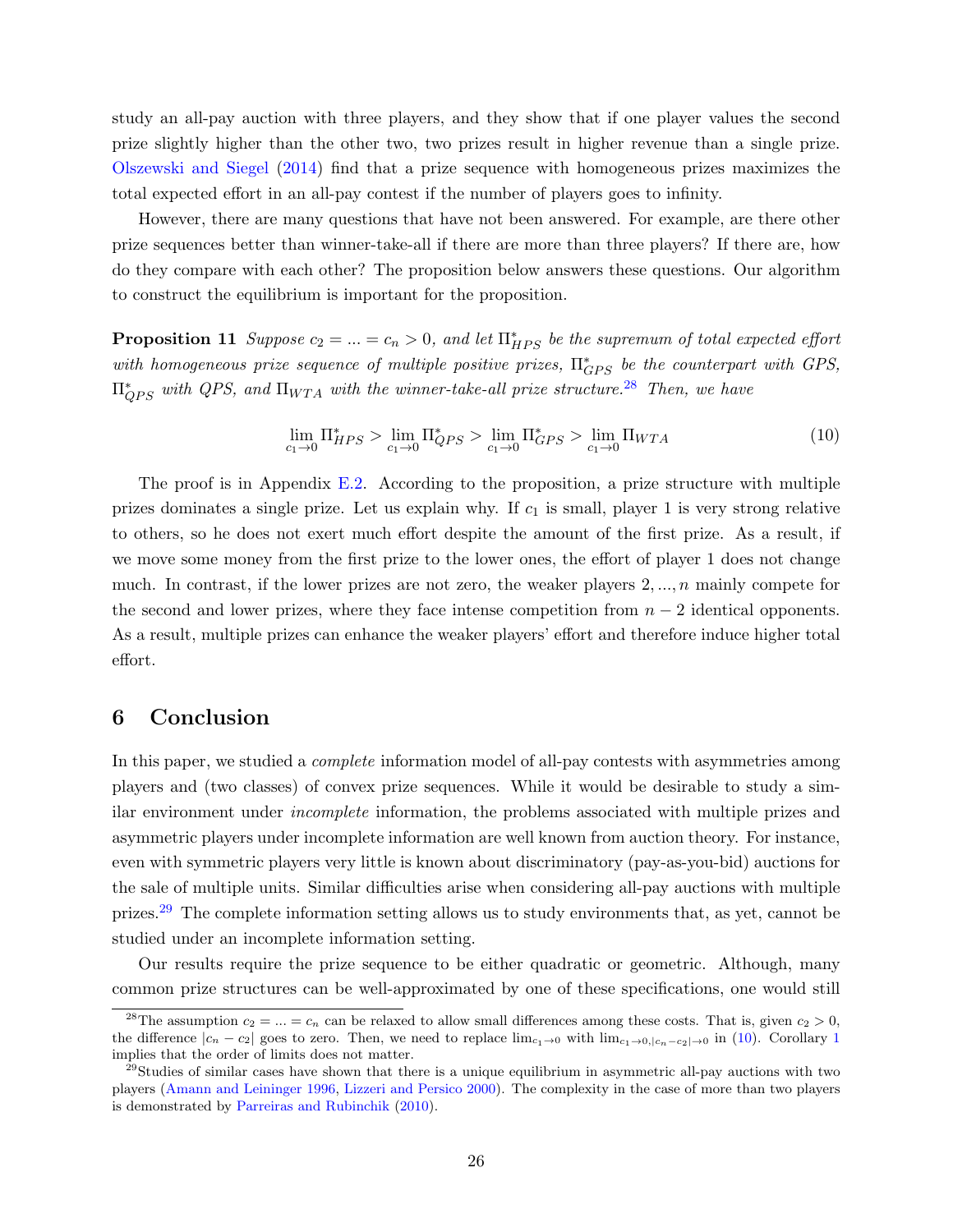<span id="page-25-4"></span>study an all-pay auction with three players, and they show that if one player values the second prize slightly higher than the other two, two prizes result in higher revenue than a single prize. [Olszewski and Siegel](#page-27-11) [\(2014\)](#page-27-11) find that a prize sequence with homogeneous prizes maximizes the total expected effort in an all-pay contest if the number of players goes to infinity.

However, there are many questions that have not been answered. For example, are there other prize sequences better than winner-take-all if there are more than three players? If there are, how do they compare with each other? The proposition below answers these questions. Our algorithm to construct the equilibrium is important for the proposition.

<span id="page-25-5"></span>**Proposition 11** Suppose  $c_2 = ... = c_n > 0$ , and let  $\Pi_{HPS}^*$  be the supremum of total expected effort with homogeneous prize sequence of multiple positive prizes,  $\Pi_{GPS}^*$  be the counterpart with GPS,  $\Pi_{QPS}^*$  with QPS, and  $\Pi_{WTA}$  with the winner-take-all prize structure.<sup>[28](#page-25-1)</sup> Then, we have

<span id="page-25-3"></span>
$$
\lim_{c_1 \to 0} \Pi_{HPS}^* > \lim_{c_1 \to 0} \Pi_{QPS}^* > \lim_{c_1 \to 0} \Pi_{GPS}^* > \lim_{c_1 \to 0} \Pi_{WTA}
$$
\n(10)

The proof is in Appendix [E.2.](#page-46-0) According to the proposition, a prize structure with multiple prizes dominates a single prize. Let us explain why. If  $c_1$  is small, player 1 is very strong relative to others, so he does not exert much effort despite the amount of the first prize. As a result, if we move some money from the first prize to the lower ones, the effort of player 1 does not change much. In contrast, if the lower prizes are not zero, the weaker players  $2, ..., n$  mainly compete for the second and lower prizes, where they face intense competition from  $n-2$  identical opponents. As a result, multiple prizes can enhance the weaker players' effort and therefore induce higher total effort.

# <span id="page-25-0"></span>6 Conclusion

In this paper, we studied a *complete* information model of all-pay contests with asymmetries among players and (two classes) of convex prize sequences. While it would be desirable to study a similar environment under incomplete information, the problems associated with multiple prizes and asymmetric players under incomplete information are well known from auction theory. For instance, even with symmetric players very little is known about discriminatory (pay-as-you-bid) auctions for the sale of multiple units. Similar difficulties arise when considering all-pay auctions with multiple prizes.<sup>[29](#page-25-2)</sup> The complete information setting allows us to study environments that, as yet, cannot be studied under an incomplete information setting.

Our results require the prize sequence to be either quadratic or geometric. Although, many common prize structures can be well-approximated by one of these specifications, one would still

<span id="page-25-1"></span><sup>&</sup>lt;sup>28</sup>The assumption  $c_2 = ... = c_n$  can be relaxed to allow small differences among these costs. That is, given  $c_2 > 0$ , the difference  $|c_n - c_2|$  goes to zero. Then, we need to replace  $\lim_{c_1 \to 0} \sin \lim_{c_1 \to 0, |c_n - c_2| \to 0}$  $\lim_{c_1 \to 0} \sin \lim_{c_1 \to 0, |c_n - c_2| \to 0}$  $\lim_{c_1 \to 0} \sin \lim_{c_1 \to 0, |c_n - c_2| \to 0}$  in [\(10\)](#page-25-3). Corollary 1 implies that the order of limits does not matter.

<span id="page-25-2"></span> $^{29}$ Studies of similar cases have shown that there is a unique equilibrium in asymmetric all-pay auctions with two players [\(Amann and Leininger](#page-26-7) [1996,](#page-26-7) [Lizzeri and Persico](#page-27-12) [2000\)](#page-27-12). The complexity in the case of more than two players is demonstrated by [Parreiras and Rubinchik](#page-27-13) [\(2010\)](#page-27-13).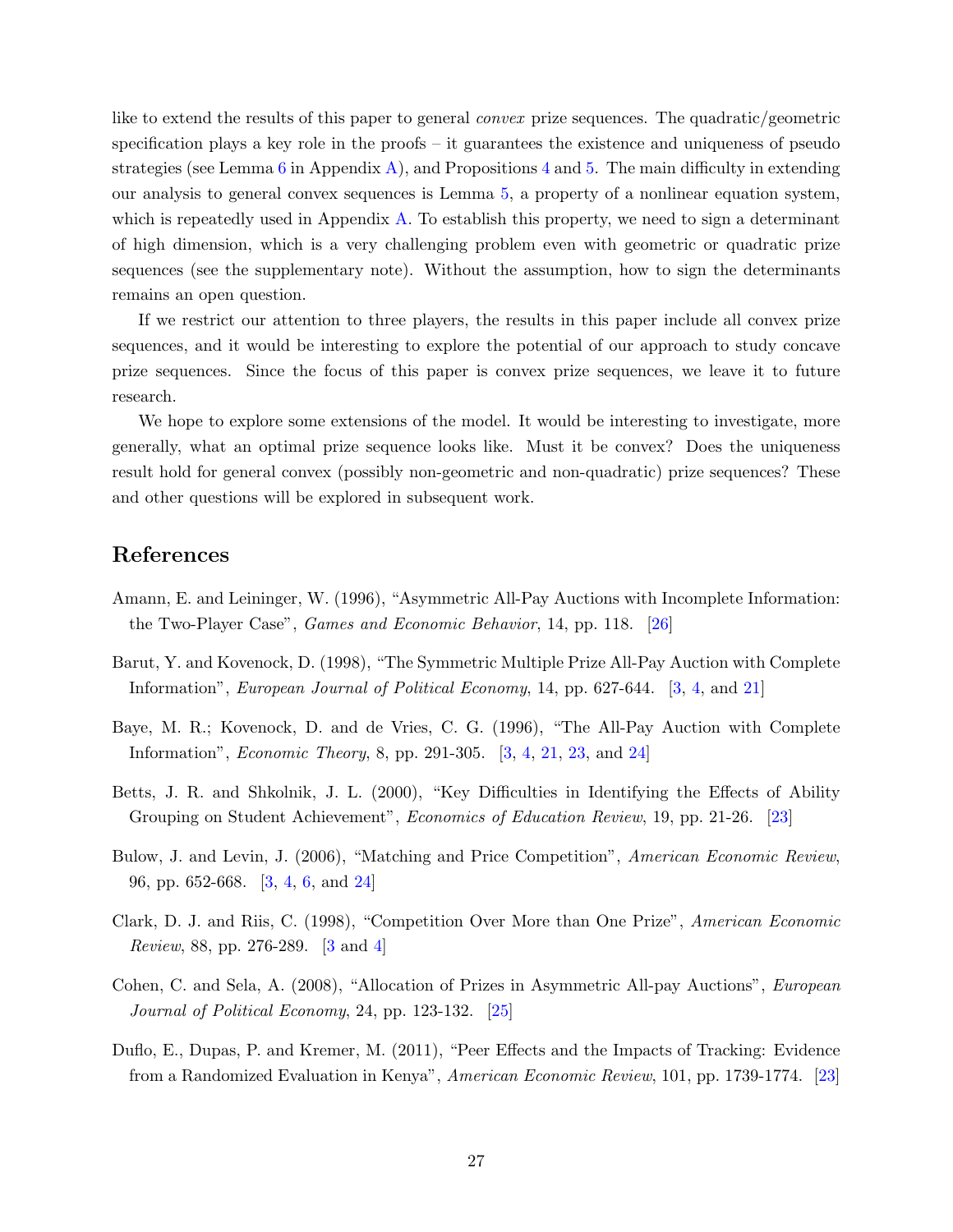like to extend the results of this paper to general convex prize sequences. The quadratic/geometric specification plays a key role in the proofs  $-$  it guarantees the existence and uniqueness of pseudo strategies (see Lemma [6](#page-34-0) in Appendix [A\)](#page-27-7), and Propositions [4](#page-10-2) and [5.](#page-10-0) The main difficulty in extending our analysis to general convex sequences is Lemma [5,](#page-34-1) a property of a nonlinear equation system, which is repeatedly used in Appendix [A.](#page-27-7) To establish this property, we need to sign a determinant of high dimension, which is a very challenging problem even with geometric or quadratic prize sequences (see the supplementary note). Without the assumption, how to sign the determinants remains an open question.

If we restrict our attention to three players, the results in this paper include all convex prize sequences, and it would be interesting to explore the potential of our approach to study concave prize sequences. Since the focus of this paper is convex prize sequences, we leave it to future research.

We hope to explore some extensions of the model. It would be interesting to investigate, more generally, what an optimal prize sequence looks like. Must it be convex? Does the uniqueness result hold for general convex (possibly non-geometric and non-quadratic) prize sequences? These and other questions will be explored in subsequent work.

# References

- <span id="page-26-7"></span>Amann, E. and Leininger, W. (1996), "Asymmetric All-Pay Auctions with Incomplete Information: the Two-Player Case", Games and Economic Behavior, 14, pp. 118. [\[26\]](#page-25-4)
- <span id="page-26-0"></span>Barut, Y. and Kovenock, D. (1998), "The Symmetric Multiple Prize All-Pay Auction with Complete Information", European Journal of Political Economy, 14, pp. 627-644. [\[3,](#page-2-3) [4,](#page-3-3) and [21\]](#page-20-3)
- <span id="page-26-1"></span>Baye, M. R.; Kovenock, D. and de Vries, C. G. (1996), "The All-Pay Auction with Complete Information", Economic Theory, 8, pp. 291-305. [\[3,](#page-2-3) [4,](#page-3-3) [21,](#page-20-3) [23,](#page-22-6) and [24\]](#page-23-2)
- <span id="page-26-4"></span>Betts, J. R. and Shkolnik, J. L. (2000), "Key Difficulties in Identifying the Effects of Ability Grouping on Student Achievement", Economics of Education Review, 19, pp. 21-26. [\[23\]](#page-22-6)
- <span id="page-26-3"></span>Bulow, J. and Levin, J. (2006), "Matching and Price Competition", American Economic Review, 96, pp. 652-668. [\[3,](#page-2-3) [4,](#page-3-3) [6,](#page-5-4) and [24\]](#page-23-2)
- <span id="page-26-2"></span>Clark, D. J. and Riis, C. (1998), "Competition Over More than One Prize", American Economic *Review*, 88, pp. 276-289. [\[3](#page-2-3) and [4\]](#page-3-3)
- <span id="page-26-6"></span>Cohen, C. and Sela, A. (2008), "Allocation of Prizes in Asymmetric All-pay Auctions", European Journal of Political Economy, 24, pp. 123-132. [\[25\]](#page-24-1)
- <span id="page-26-5"></span>Duflo, E., Dupas, P. and Kremer, M. (2011), "Peer Effects and the Impacts of Tracking: Evidence from a Randomized Evaluation in Kenya", American Economic Review, 101, pp. 1739-1774. [\[23\]](#page-22-6)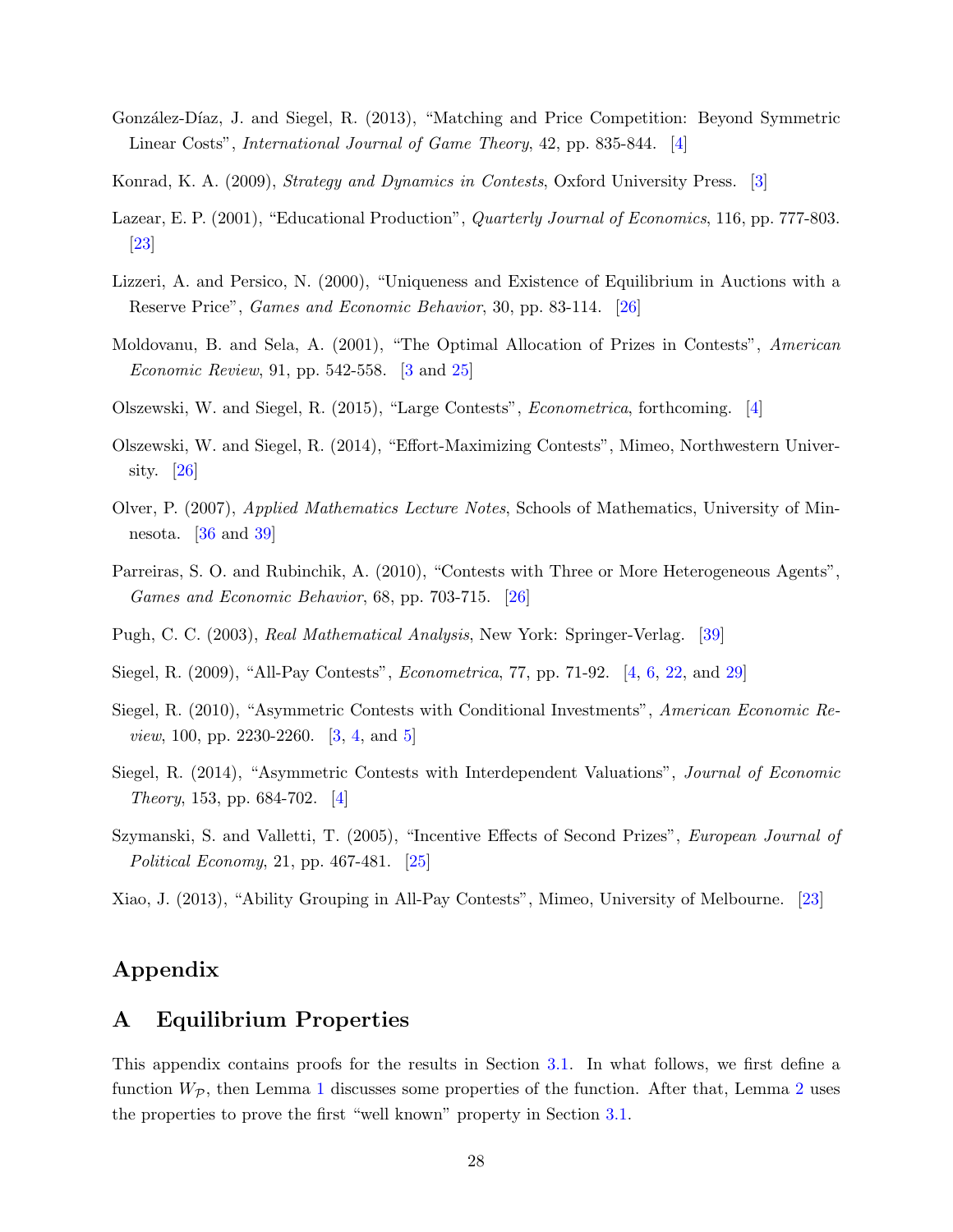- <span id="page-27-3"></span>González-Díaz, J. and Siegel, R. (2013), "Matching and Price Competition: Beyond Symmetric Linear Costs", International Journal of Game Theory, 42, pp. 835-844. [\[4\]](#page-3-3)
- <span id="page-27-1"></span>Konrad, K. A. (2009), Strategy and Dynamics in Contests, Oxford University Press. [\[3\]](#page-2-3)
- <span id="page-27-8"></span>Lazear, E. P. (2001), "Educational Production", Quarterly Journal of Economics, 116, pp. 777-803. [\[23\]](#page-22-6)
- <span id="page-27-12"></span>Lizzeri, A. and Persico, N. (2000), "Uniqueness and Existence of Equilibrium in Auctions with a Reserve Price", Games and Economic Behavior, 30, pp. 83-114. [\[26\]](#page-25-4)
- <span id="page-27-0"></span>Moldovanu, B. and Sela, A. (2001), "The Optimal Allocation of Prizes in Contests", American *Economic Review*, 91, pp. 542-558. [\[3](#page-2-3) and [25\]](#page-24-1)
- <span id="page-27-4"></span>Olszewski, W. and Siegel, R. (2015), "Large Contests", Econometrica, forthcoming. [\[4\]](#page-3-3)
- <span id="page-27-11"></span>Olszewski, W. and Siegel, R. (2014), "Effort-Maximizing Contests", Mimeo, Northwestern University. [\[26\]](#page-25-4)
- <span id="page-27-14"></span>Olver, P. (2007), Applied Mathematics Lecture Notes, Schools of Mathematics, University of Minnesota. [\[36](#page-35-0) and [39\]](#page-38-1)
- <span id="page-27-13"></span>Parreiras, S. O. and Rubinchik, A. (2010), "Contests with Three or More Heterogeneous Agents", Games and Economic Behavior, 68, pp. 703-715. [\[26\]](#page-25-4)
- <span id="page-27-15"></span>Pugh, C. C. (2003), Real Mathematical Analysis, New York: Springer-Verlag. [\[39\]](#page-38-1)
- <span id="page-27-6"></span>Siegel, R. (2009), "All-Pay Contests", *Econometrica*, 77, pp. 71-92. [\[4,](#page-3-3) [6,](#page-5-4) [22,](#page-21-2) and [29\]](#page-28-1)
- <span id="page-27-2"></span>Siegel, R. (2010), "Asymmetric Contests with Conditional Investments", American Economic Review, 100, pp. 2230-2260. [\[3,](#page-2-3) [4,](#page-3-3) and [5\]](#page-4-4)
- <span id="page-27-5"></span>Siegel, R. (2014), "Asymmetric Contests with Interdependent Valuations", Journal of Economic Theory, 153, pp. 684-702. [\[4\]](#page-3-3)
- <span id="page-27-10"></span>Szymanski, S. and Valletti, T. (2005), "Incentive Effects of Second Prizes", European Journal of Political Economy, 21, pp. 467-481. [\[25\]](#page-24-1)
- <span id="page-27-9"></span>Xiao, J. (2013), "Ability Grouping in All-Pay Contests", Mimeo, University of Melbourne. [\[23\]](#page-22-6)

# Appendix

# <span id="page-27-7"></span>A Equilibrium Properties

This appendix contains proofs for the results in Section [3.1.](#page-5-1) In what follows, we first define a function  $W_{\mathcal{P}}$ , then Lemma [1](#page-28-2) discusses some properties of the function. After that, Lemma [2](#page-28-0) uses the properties to prove the first "well known" property in Section [3.1.](#page-5-1)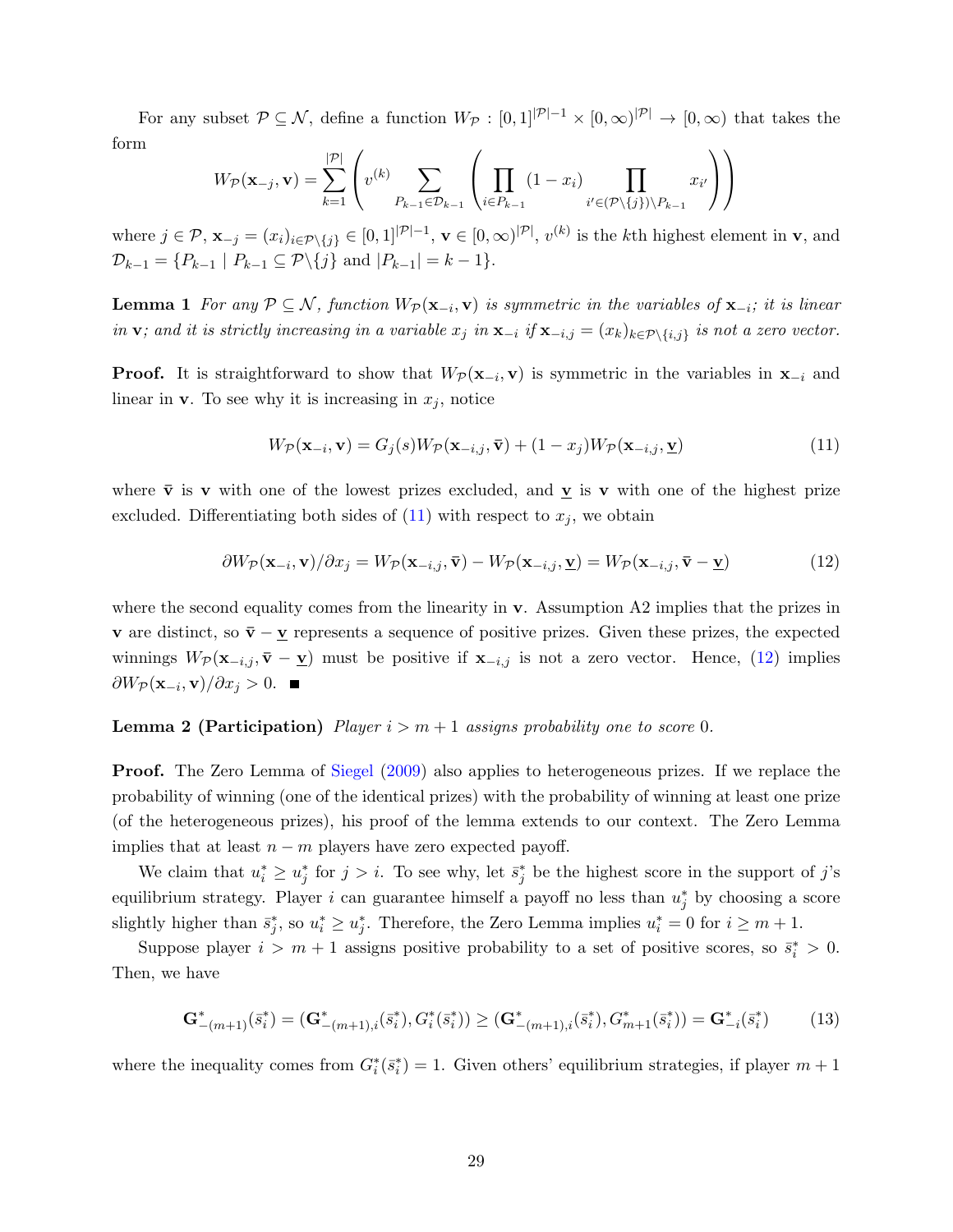<span id="page-28-1"></span>For any subset  $\mathcal{P} \subseteq \mathcal{N}$ , define a function  $W_{\mathcal{P}} : [0,1]^{|\mathcal{P}|-1} \times [0,\infty)^{|\mathcal{P}|} \to [0,\infty)$  that takes the form

$$
W_{\mathcal{P}}(\mathbf{x}_{-j}, \mathbf{v}) = \sum_{k=1}^{|\mathcal{P}|} \left( v^{(k)} \sum_{P_{k-1} \in \mathcal{D}_{k-1}} \left( \prod_{i \in P_{k-1}} (1 - x_i) \prod_{i' \in (\mathcal{P} \setminus \{j\}) \setminus P_{k-1}} x_{i'} \right) \right)
$$

where  $j \in \mathcal{P}$ ,  $\mathbf{x}_{-j} = (x_i)_{i \in \mathcal{P} \setminus \{j\}} \in [0,1]^{|\mathcal{P}|-1}$ ,  $\mathbf{v} \in [0,\infty)^{|\mathcal{P}|}$ ,  $v^{(k)}$  is the kth highest element in  $\mathbf{v}$ , and  $\mathcal{D}_{k-1} = \{P_{k-1} \mid P_{k-1} \subseteq \mathcal{P} \setminus \{j\} \text{ and } |P_{k-1}| = k-1\}.$ 

<span id="page-28-2"></span>**Lemma 1** For any  $\mathcal{P} \subseteq \mathcal{N}$ , function  $W_{\mathcal{P}}(\mathbf{x}_{-i}, \mathbf{v})$  is symmetric in the variables of  $\mathbf{x}_{-i}$ ; it is linear in v; and it is strictly increasing in a variable  $x_j$  in  $\mathbf{x}_{-i}$  if  $\mathbf{x}_{-i,j} = (x_k)_{k \in \mathcal{P} \setminus \{i,j\}}$  is not a zero vector.

**Proof.** It is straightforward to show that  $W_{\mathcal{P}}(x_{-i}, v)$  is symmetric in the variables in  $x_{-i}$  and linear in **v**. To see why it is increasing in  $x_j$ , notice

<span id="page-28-3"></span>
$$
W_{\mathcal{P}}(\mathbf{x}_{-i}, \mathbf{v}) = G_j(s) W_{\mathcal{P}}(\mathbf{x}_{-i,j}, \bar{\mathbf{v}}) + (1 - x_j) W_{\mathcal{P}}(\mathbf{x}_{-i,j}, \underline{\mathbf{v}})
$$
(11)

where  $\bar{v}$  is v with one of the lowest prizes excluded, and  $\underline{v}$  is v with one of the highest prize excluded. Differentiating both sides of  $(11)$  with respect to  $x_i$ , we obtain

<span id="page-28-4"></span>
$$
\partial W_{\mathcal{P}}(\mathbf{x}_{-i}, \mathbf{v}) / \partial x_j = W_{\mathcal{P}}(\mathbf{x}_{-i,j}, \bar{\mathbf{v}}) - W_{\mathcal{P}}(\mathbf{x}_{-i,j}, \underline{\mathbf{v}}) = W_{\mathcal{P}}(\mathbf{x}_{-i,j}, \bar{\mathbf{v}} - \underline{\mathbf{v}})
$$
(12)

where the second equality comes from the linearity in **v**. Assumption A2 implies that the prizes in v are distinct, so  $\bar{v} - \underline{v}$  represents a sequence of positive prizes. Given these prizes, the expected winnings  $W_{\mathcal{P}}(\mathbf{x}_{-i,j}, \bar{\mathbf{v}} - \underline{\mathbf{v}})$  must be positive if  $\mathbf{x}_{-i,j}$  is not a zero vector. Hence, [\(12\)](#page-28-4) implies  $\partial W_{\mathcal{P}}(\mathbf{x}_{-i}, \mathbf{v})/\partial x_j > 0.$ 

#### <span id="page-28-0"></span>**Lemma 2 (Participation)** Player  $i > m + 1$  assigns probability one to score 0.

Proof. The Zero Lemma of [Siegel](#page-27-6) [\(2009\)](#page-27-6) also applies to heterogeneous prizes. If we replace the probability of winning (one of the identical prizes) with the probability of winning at least one prize (of the heterogeneous prizes), his proof of the lemma extends to our context. The Zero Lemma implies that at least  $n - m$  players have zero expected payoff.

We claim that  $u_i^* \geq u_j^*$  for  $j > i$ . To see why, let  $\bar{s}_j^*$  be the highest score in the support of j's equilibrium strategy. Player i can guarantee himself a payoff no less than  $u_j^*$  by choosing a score slightly higher than  $\bar{s}_j^*$ , so  $u_i^* \geq u_j^*$ . Therefore, the Zero Lemma implies  $u_i^* = 0$  for  $i \geq m+1$ .

Suppose player  $i > m + 1$  assigns positive probability to a set of positive scores, so  $\bar{s}_i^* > 0$ . Then, we have

<span id="page-28-5"></span>
$$
\mathbf{G}^*_{-(m+1)}(\bar{s}_i^*) = (\mathbf{G}^*_{-(m+1),i}(\bar{s}_i^*), G_i^*(\bar{s}_i^*)) \ge (\mathbf{G}^*_{-(m+1),i}(\bar{s}_i^*), G_{m+1}^*(\bar{s}_i^*)) = \mathbf{G}^*_{-i}(\bar{s}_i^*)
$$
(13)

where the inequality comes from  $G_i^*(\bar{s}_i^*) = 1$ . Given others' equilibrium strategies, if player  $m + 1$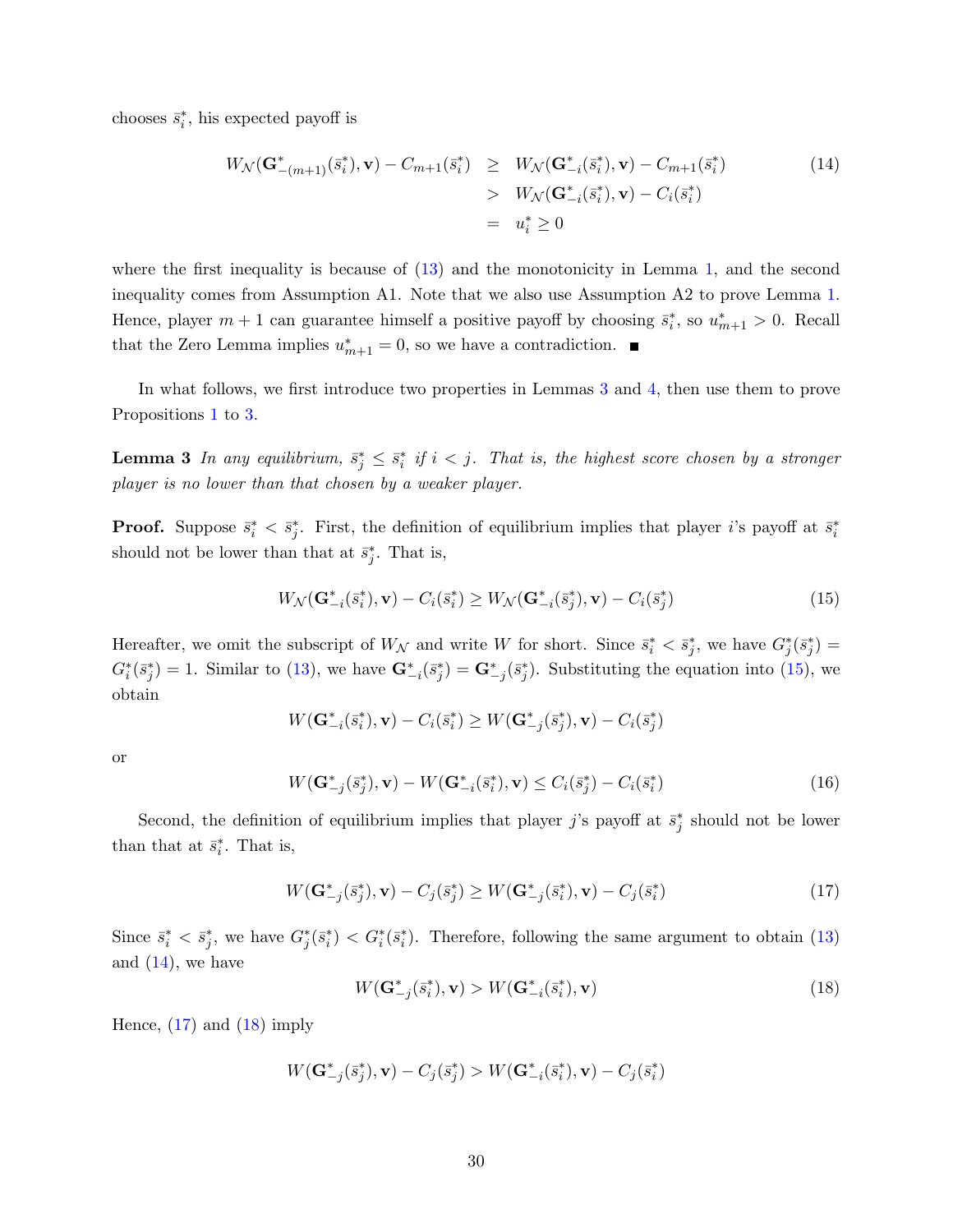chooses  $\bar{s}_i^*$ , his expected payoff is

<span id="page-29-2"></span>
$$
W_{\mathcal{N}}(\mathbf{G}^*_{-(m+1)}(\bar{s}_i^*), \mathbf{v}) - C_{m+1}(\bar{s}_i^*) \ge W_{\mathcal{N}}(\mathbf{G}^*_{-i}(\bar{s}_i^*), \mathbf{v}) - C_{m+1}(\bar{s}_i^*)
$$
\n
$$
> W_{\mathcal{N}}(\mathbf{G}^*_{-i}(\bar{s}_i^*), \mathbf{v}) - C_i(\bar{s}_i^*)
$$
\n
$$
= u_i^* \ge 0
$$
\n(14)

where the first inequality is because of  $(13)$  and the monotonicity in Lemma [1,](#page-28-2) and the second inequality comes from Assumption A1. Note that we also use Assumption A2 to prove Lemma [1.](#page-28-2) Hence, player  $m+1$  can guarantee himself a positive payoff by choosing  $\bar{s}_i^*$ , so  $u_{m+1}^* > 0$ . Recall that the Zero Lemma implies  $u_{m+1}^* = 0$ , so we have a contradiction.

In what follows, we first introduce two properties in Lemmas [3](#page-29-0) and [4,](#page-30-0) then use them to prove Propositions [1](#page-6-0) to [3.](#page-6-3)

<span id="page-29-0"></span>**Lemma 3** In any equilibrium,  $\bar{s}^*_j \leq \bar{s}^*_i$  if  $i < j$ . That is, the highest score chosen by a stronger player is no lower than that chosen by a weaker player.

**Proof.** Suppose  $\bar{s}_i^* < \bar{s}_j^*$ . First, the definition of equilibrium implies that player *i*'s payoff at  $\bar{s}_i^*$ should not be lower than that at  $\bar{s}_j^*$ . That is,

<span id="page-29-1"></span>
$$
W_{\mathcal{N}}(\mathbf{G}_{-i}^*(\bar{s}_i^*), \mathbf{v}) - C_i(\bar{s}_i^*) \ge W_{\mathcal{N}}(\mathbf{G}_{-i}^*(\bar{s}_j^*), \mathbf{v}) - C_i(\bar{s}_j^*)
$$
(15)

Hereafter, we omit the subscript of  $W_{\mathcal{N}}$  and write W for short. Since  $\bar{s}_i^* < \bar{s}_j^*$ , we have  $G_j^*(\bar{s}_j^*)$  $G_i^*(\bar{s}_j^*) = 1$ . Similar to [\(13\)](#page-28-5), we have  $\mathbf{G}_{-i}^*(\bar{s}_j^*) = \mathbf{G}_{-j}^*(\bar{s}_j^*)$ . Substituting the equation into [\(15\)](#page-29-1), we obtain

$$
W(\mathbf{G}_{-i}^*(\bar{s}_i^*), \mathbf{v}) - C_i(\bar{s}_i^*) \ge W(\mathbf{G}_{-j}^*(\bar{s}_j^*), \mathbf{v}) - C_i(\bar{s}_j^*)
$$

or

<span id="page-29-5"></span>
$$
W(\mathbf{G}_{-j}^*(\bar{s}_j^*), \mathbf{v}) - W(\mathbf{G}_{-i}^*(\bar{s}_i^*), \mathbf{v}) \le C_i(\bar{s}_j^*) - C_i(\bar{s}_i^*)
$$
(16)

Second, the definition of equilibrium implies that player j's payoff at  $\bar{s}_j^*$  should not be lower than that at  $\bar{s}_i^*$ . That is,

<span id="page-29-3"></span>
$$
W(\mathbf{G}_{-j}^{*}(\bar{s}_{j}^{*}), \mathbf{v}) - C_{j}(\bar{s}_{j}^{*}) \ge W(\mathbf{G}_{-j}^{*}(\bar{s}_{i}^{*}), \mathbf{v}) - C_{j}(\bar{s}_{i}^{*})
$$
(17)

Since  $\bar{s}_i^* < \bar{s}_j^*$ , we have  $G_j^*(\bar{s}_i^*) < G_i^*(\bar{s}_i^*)$ . Therefore, following the same argument to obtain [\(13\)](#page-28-5) and  $(14)$ , we have

<span id="page-29-4"></span>
$$
W(\mathbf{G}_{-j}^*(\bar{s}_i^*), \mathbf{v}) > W(\mathbf{G}_{-i}^*(\bar{s}_i^*), \mathbf{v})
$$
\n(18)

Hence,  $(17)$  and  $(18)$  imply

$$
W(\mathbf{G}^*_{-j}(\bar{s}^*_j),\mathbf{v})-C_j(\bar{s}^*_j)>W(\mathbf{G}^*_{-i}(\bar{s}^*_i),\mathbf{v})-C_j(\bar{s}^*_i)
$$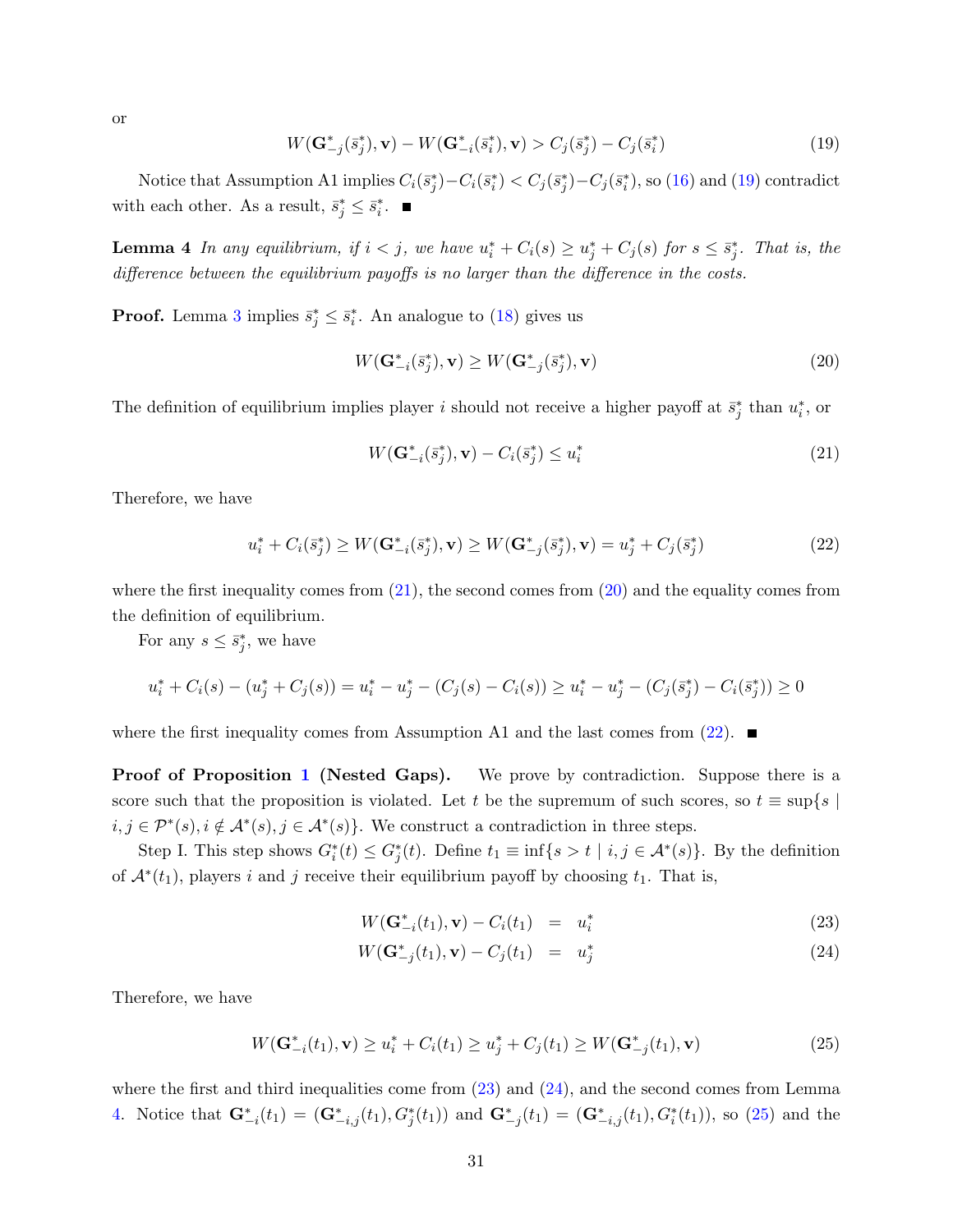or

<span id="page-30-1"></span>
$$
W(\mathbf{G}_{-j}^*(\bar{s}_j^*), \mathbf{v}) - W(\mathbf{G}_{-i}^*(\bar{s}_i^*), \mathbf{v}) > C_j(\bar{s}_j^*) - C_j(\bar{s}_i^*)
$$
\n(19)

Notice that Assumption A1 implies  $C_i(\bar{s}_j^*) - C_i(\bar{s}_i^*) < C_j(\bar{s}_j^*) - C_j(\bar{s}_i^*)$ , so [\(16\)](#page-29-5) and [\(19\)](#page-30-1) contradict with each other. As a result,  $\bar{s}_j^* \leq \bar{s}_i^*$ .

<span id="page-30-0"></span>**Lemma 4** In any equilibrium, if  $i < j$ , we have  $u_i^* + C_i(s) \ge u_j^* + C_j(s)$  for  $s \le \bar{s}_j^*$ . That is, the difference between the equilibrium payoffs is no larger than the difference in the costs.

**Proof.** Lemma [3](#page-29-0) implies  $\bar{s}_j^* \leq \bar{s}_i^*$ . An analogue to [\(18\)](#page-29-4) gives us

<span id="page-30-3"></span>
$$
W(\mathbf{G}_{-i}^*(\bar{s}_j^*), \mathbf{v}) \ge W(\mathbf{G}_{-j}^*(\bar{s}_j^*), \mathbf{v})
$$
\n<sup>(20)</sup>

The definition of equilibrium implies player i should not receive a higher payoff at  $\bar{s}_j^*$  than  $u_i^*$ , or

<span id="page-30-2"></span>
$$
W(\mathbf{G}_{-i}^*(\bar{s}_j^*), \mathbf{v}) - C_i(\bar{s}_j^*) \le u_i^*
$$
\n(21)

Therefore, we have

<span id="page-30-4"></span>
$$
u_i^* + C_i(\bar{s}_j^*) \ge W(\mathbf{G}_{-i}^*(\bar{s}_j^*), \mathbf{v}) \ge W(\mathbf{G}_{-j}^*(\bar{s}_j^*), \mathbf{v}) = u_j^* + C_j(\bar{s}_j^*)
$$
\n(22)

where the first inequality comes from  $(21)$ , the second comes from  $(20)$  and the equality comes from the definition of equilibrium.

For any  $s \leq \bar{s}_j^*$ , we have

$$
u_i^* + C_i(s) - (u_j^* + C_j(s)) = u_i^* - u_j^* - (C_j(s) - C_i(s)) \ge u_i^* - u_j^* - (C_j(\bar{s}_j^*) - C_i(\bar{s}_j^*)) \ge 0
$$

where the first inequality comes from Assumption A1 and the last comes from [\(22\)](#page-30-4).  $\blacksquare$ 

**Proof of Proposition [1](#page-6-0) (Nested Gaps).** We prove by contradiction. Suppose there is a score such that the proposition is violated. Let t be the supremum of such scores, so  $t \equiv \sup\{s \mid s$  $i, j \in \mathcal{P}^*(s), i \notin \mathcal{A}^*(s), j \in \mathcal{A}^*(s)$ . We construct a contradiction in three steps.

Step I. This step shows  $G_i^*(t) \leq G_j^*(t)$ . Define  $t_1 \equiv \inf\{s > t \mid i, j \in \mathcal{A}^*(s)\}\$ . By the definition of  $\mathcal{A}^*(t_1)$ , players i and j receive their equilibrium payoff by choosing  $t_1$ . That is,

<span id="page-30-5"></span>
$$
W(\mathbf{G}_{-i}^*(t_1), \mathbf{v}) - C_i(t_1) = u_i^*
$$
\n(23)

$$
W(\mathbf{G}_{-j}^*(t_1), \mathbf{v}) - C_j(t_1) = u_j^*
$$
\n(24)

Therefore, we have

<span id="page-30-6"></span>
$$
W(\mathbf{G}_{-i}^*(t_1), \mathbf{v}) \ge u_i^* + C_i(t_1) \ge u_j^* + C_j(t_1) \ge W(\mathbf{G}_{-j}^*(t_1), \mathbf{v})
$$
\n(25)

where the first and third inequalities come from  $(23)$  and  $(24)$ , and the second comes from Lemma [4.](#page-30-0) Notice that  $\mathbf{G}_{-i}^*(t_1) = (\mathbf{G}_{-i,j}^*(t_1), G_j^*(t_1))$  and  $\mathbf{G}_{-j}^*(t_1) = (\mathbf{G}_{-i,j}^*(t_1), G_i^*(t_1)),$  so [\(25\)](#page-30-6) and the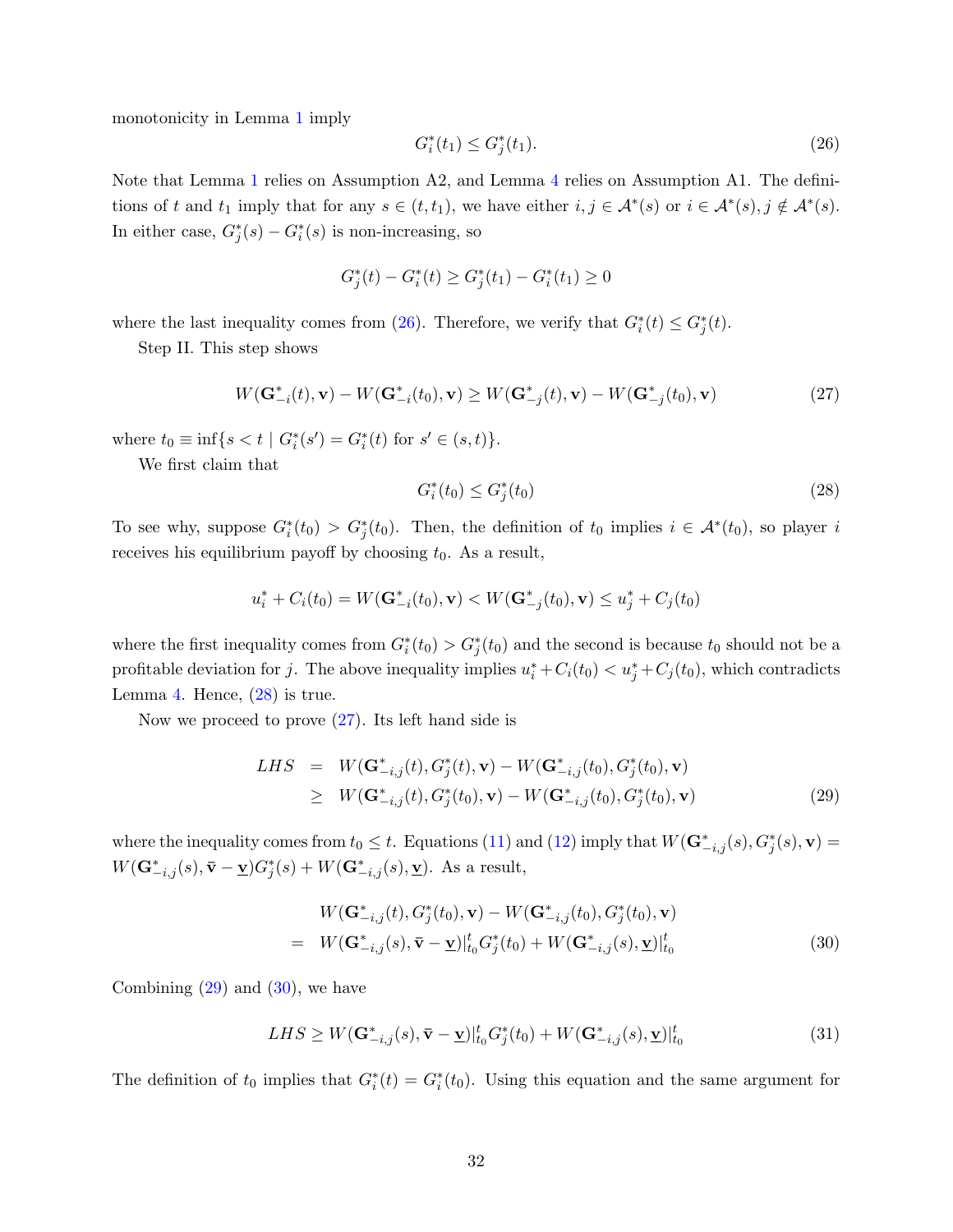monotonicity in Lemma [1](#page-28-2) imply

<span id="page-31-0"></span>
$$
G_i^*(t_1) \le G_j^*(t_1). \tag{26}
$$

Note that Lemma [1](#page-28-2) relies on Assumption A2, and Lemma [4](#page-30-0) relies on Assumption A1. The definitions of t and  $t_1$  imply that for any  $s \in (t, t_1)$ , we have either  $i, j \in \mathcal{A}^*(s)$  or  $i \in \mathcal{A}^*(s)$ ,  $j \notin \mathcal{A}^*(s)$ . In either case,  $G_j^*(s) - G_i^*(s)$  is non-increasing, so

$$
G_j^*(t) - G_i^*(t) \ge G_j^*(t_1) - G_i^*(t_1) \ge 0
$$

where the last inequality comes from [\(26\)](#page-31-0). Therefore, we verify that  $G_i^*(t) \leq G_j^*(t)$ .

Step II. This step shows

<span id="page-31-2"></span>
$$
W(\mathbf{G}_{-i}^*(t), \mathbf{v}) - W(\mathbf{G}_{-i}^*(t_0), \mathbf{v}) \ge W(\mathbf{G}_{-j}^*(t), \mathbf{v}) - W(\mathbf{G}_{-j}^*(t_0), \mathbf{v})
$$
(27)

where  $t_0 \equiv \inf\{s < t \mid G_i^*(s') = G_i^*(t) \text{ for } s' \in (s, t)\}.$ 

We first claim that

<span id="page-31-1"></span>
$$
G_i^*(t_0) \le G_j^*(t_0) \tag{28}
$$

To see why, suppose  $G_i^*(t_0) > G_j^*(t_0)$ . Then, the definition of  $t_0$  implies  $i \in \mathcal{A}^*(t_0)$ , so player i receives his equilibrium payoff by choosing  $t_0$ . As a result,

$$
u_i^* + C_i(t_0) = W(\mathbf{G}_{-i}^*(t_0), \mathbf{v}) < W(\mathbf{G}_{-j}^*(t_0), \mathbf{v}) \le u_j^* + C_j(t_0)
$$

where the first inequality comes from  $G_i^*(t_0) > G_j^*(t_0)$  and the second is because  $t_0$  should not be a profitable deviation for j. The above inequality implies  $u_i^* + C_i(t_0) < u_j^* + C_j(t_0)$ , which contradicts Lemma [4.](#page-30-0) Hence,  $(28)$  is true.

Now we proceed to prove  $(27)$ . Its left hand side is

<span id="page-31-3"></span>LHS = 
$$
W(\mathbf{G}_{-i,j}^*(t), G_j^*(t), \mathbf{v}) - W(\mathbf{G}_{-i,j}^*(t_0), G_j^*(t_0), \mathbf{v})
$$
  
\n $\geq W(\mathbf{G}_{-i,j}^*(t), G_j^*(t_0), \mathbf{v}) - W(\mathbf{G}_{-i,j}^*(t_0), G_j^*(t_0), \mathbf{v})$  (29)

where the inequality comes from  $t_0 \le t$ . Equations [\(11\)](#page-28-3) and [\(12\)](#page-28-4) imply that  $W(\mathbf{G}^*_{-i,j}(s), G^*_j(s), \mathbf{v}) =$  $W(\mathbf{G}_{-i,j}^{*}(s), \bar{\mathbf{v}} - \underline{\mathbf{v}}) G_{j}^{*}(s) + W(\mathbf{G}_{-i,j}^{*}(s), \underline{\mathbf{v}}).$  As a result,

<span id="page-31-4"></span>
$$
W(\mathbf{G}_{-i,j}^{*}(t), G_{j}^{*}(t_{0}), \mathbf{v}) - W(\mathbf{G}_{-i,j}^{*}(t_{0}), G_{j}^{*}(t_{0}), \mathbf{v})
$$
  
= 
$$
W(\mathbf{G}_{-i,j}^{*}(s), \bar{\mathbf{v}} - \underline{\mathbf{v}})|_{t_{0}}^{t} G_{j}^{*}(t_{0}) + W(\mathbf{G}_{-i,j}^{*}(s), \underline{\mathbf{v}})|_{t_{0}}^{t}
$$
(30)

Combining  $(29)$  and  $(30)$ , we have

<span id="page-31-5"></span>
$$
LHS \ge W(\mathbf{G}_{-i,j}^*(s), \bar{\mathbf{v}} - \underline{\mathbf{v}})|_{t_0}^t G_j^*(t_0) + W(\mathbf{G}_{-i,j}^*(s), \underline{\mathbf{v}})|_{t_0}^t
$$
(31)

The definition of  $t_0$  implies that  $G_i^*(t) = G_i^*(t_0)$ . Using this equation and the same argument for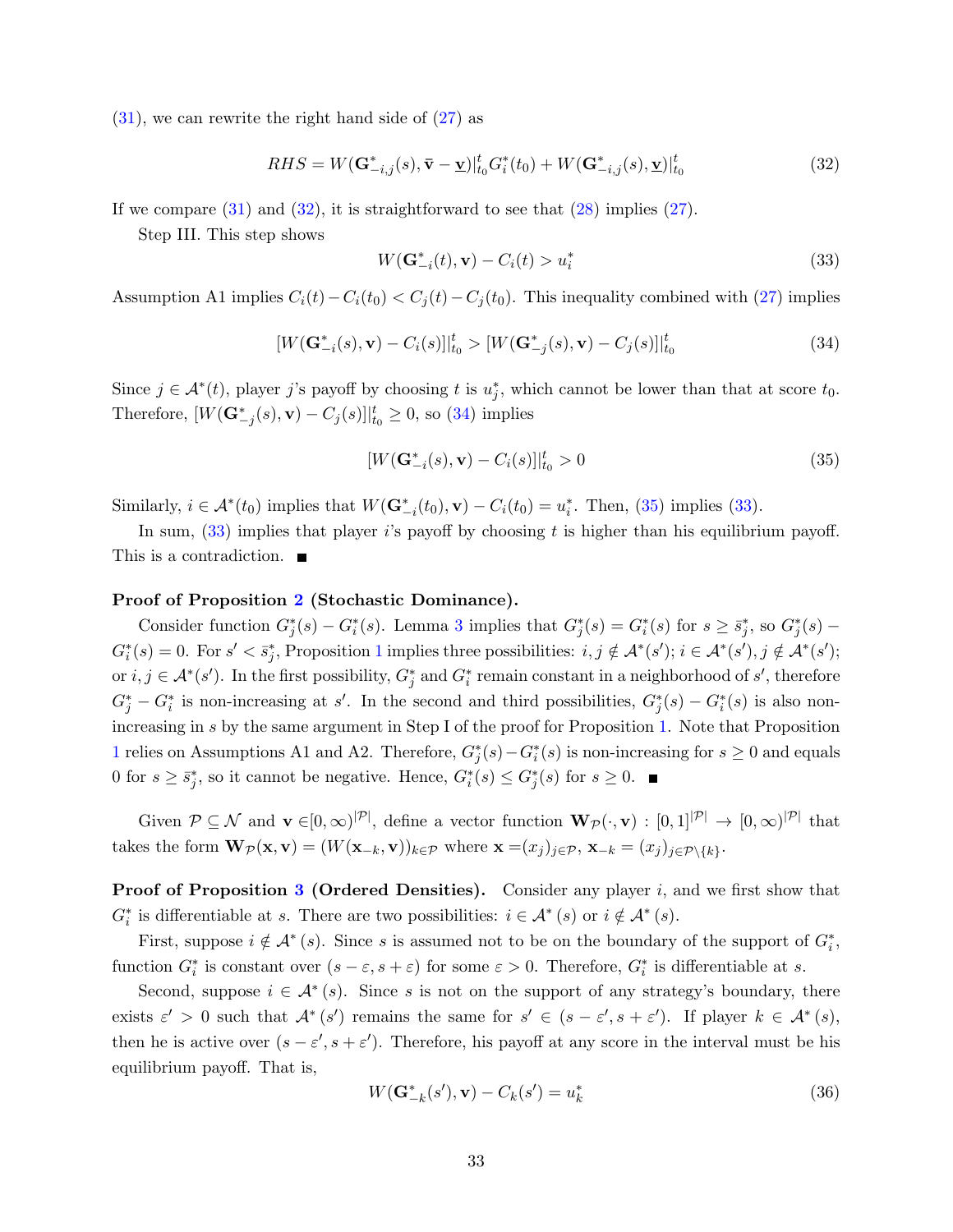$(31)$ , we can rewrite the right hand side of  $(27)$  as

<span id="page-32-0"></span>
$$
RHS = W(\mathbf{G}_{-i,j}^*(s), \bar{\mathbf{v}} - \underline{\mathbf{v}})|_{t_0}^t G_i^*(t_0) + W(\mathbf{G}_{-i,j}^*(s), \underline{\mathbf{v}})|_{t_0}^t
$$
(32)

If we compare  $(31)$  and  $(32)$ , it is straightforward to see that  $(28)$  implies  $(27)$ .

Step III. This step shows

<span id="page-32-3"></span>
$$
W(\mathbf{G}_{-i}^*(t), \mathbf{v}) - C_i(t) > u_i^*
$$
\n(33)

Assumption A1 implies  $C_i(t) - C_i(t_0) < C_j(t) - C_j(t_0)$ . This inequality combined with [\(27\)](#page-31-2) implies

<span id="page-32-1"></span>
$$
[W(\mathbf{G}_{-i}^{*}(s), \mathbf{v}) - C_{i}(s)]|_{t_{0}}^{t} > [W(\mathbf{G}_{-j}^{*}(s), \mathbf{v}) - C_{j}(s)]|_{t_{0}}^{t}
$$
(34)

Since  $j \in \mathcal{A}^*(t)$ , player j's payoff by choosing t is  $u_j^*$ , which cannot be lower than that at score  $t_0$ . Therefore,  $[W(\mathbf{G}_{j}^{*}(s), \mathbf{v}) - C_{j}(s)]|_{t_{0}}^{t} \geq 0$ , so [\(34\)](#page-32-1) implies

<span id="page-32-2"></span>
$$
[W(\mathbf{G}_{-i}^*(s), \mathbf{v}) - C_i(s)]|_{t_0}^t > 0
$$
\n(35)

Similarly,  $i \in \mathcal{A}^*(t_0)$  implies that  $W(\mathbf{G}^*_{-i}(t_0), \mathbf{v}) - C_i(t_0) = u_i^*$ . Then, [\(35\)](#page-32-2) implies [\(33\)](#page-32-3).

In sum,  $(33)$  implies that player is payoff by choosing t is higher than his equilibrium payoff. This is a contradiction. ■

#### Proof of Proposition [2](#page-6-2) (Stochastic Dominance).

Consider function  $G_j^*(s) - G_i^*(s)$ . Lemma [3](#page-29-0) implies that  $G_j^*(s) = G_i^*(s)$  for  $s \geq \overline{s}_j^*$ , so  $G_j^*(s)$  $G_i^*(s) = 0$ . For  $s' < \bar{s}_j^*$ , Proposition [1](#page-6-0) implies three possibilities:  $i, j \notin \mathcal{A}^*(s')$ ;  $i \in \mathcal{A}^*(s')$ ,  $j \notin \mathcal{A}^*(s')$ ; or  $i, j \in A^*(s')$ . In the first possibility,  $G_j^*$  and  $G_i^*$  remain constant in a neighborhood of s', therefore  $G_j^* - G_i^*$  is non-increasing at s'. In the second and third possibilities,  $G_j^*(s) - G_i^*(s)$  is also nonincreasing in s by the same argument in Step I of the proof for Proposition [1.](#page-6-0) Note that Proposition [1](#page-6-0) relies on Assumptions A1 and A2. Therefore,  $G_j^*(s) - G_i^*(s)$  is non-increasing for  $s \geq 0$  and equals 0 for  $s \geq \bar{s}_j^*$ , so it cannot be negative. Hence,  $G_i^*(s) \leq G_j^*(s)$  for  $s \geq 0$ .

Given  $P \subseteq \mathcal{N}$  and  $\mathbf{v} \in [0,\infty)^{|\mathcal{P}|}$ , define a vector function  $\mathbf{W}_{\mathcal{P}}(\cdot,\mathbf{v}) : [0,1]^{|\mathcal{P}|} \to [0,\infty)^{|\mathcal{P}|}$  that takes the form  $\mathbf{W}_{\mathcal{P}}(\mathbf{x}, \mathbf{v}) = (W(\mathbf{x}_{-k}, \mathbf{v}))_{k \in \mathcal{P}}$  where  $\mathbf{x} = (x_j)_{j \in \mathcal{P}}, \mathbf{x}_{-k} = (x_j)_{j \in \mathcal{P} \setminus \{k\}}$ .

**Proof of Proposition [3](#page-6-3) (Ordered Densities).** Consider any player i, and we first show that  $G_i^*$  is differentiable at s. There are two possibilities:  $i \in \mathcal{A}^*(s)$  or  $i \notin \mathcal{A}^*(s)$ .

First, suppose  $i \notin \mathcal{A}^*(s)$ . Since s is assumed not to be on the boundary of the support of  $G_i^*$ , function  $G_i^*$  is constant over  $(s - \varepsilon, s + \varepsilon)$  for some  $\varepsilon > 0$ . Therefore,  $G_i^*$  is differentiable at s.

Second, suppose  $i \in A^*(s)$ . Since s is not on the support of any strategy's boundary, there exists  $\varepsilon' > 0$  such that  $\mathcal{A}^*(s')$  remains the same for  $s' \in (s - \varepsilon', s + \varepsilon')$ . If player  $k \in \mathcal{A}^*(s)$ , then he is active over  $(s - \varepsilon', s + \varepsilon')$ . Therefore, his payoff at any score in the interval must be his equilibrium payoff. That is,

<span id="page-32-4"></span>
$$
W(\mathbf{G}_{-k}^*(s'), \mathbf{v}) - C_k(s') = u_k^*
$$
\n(36)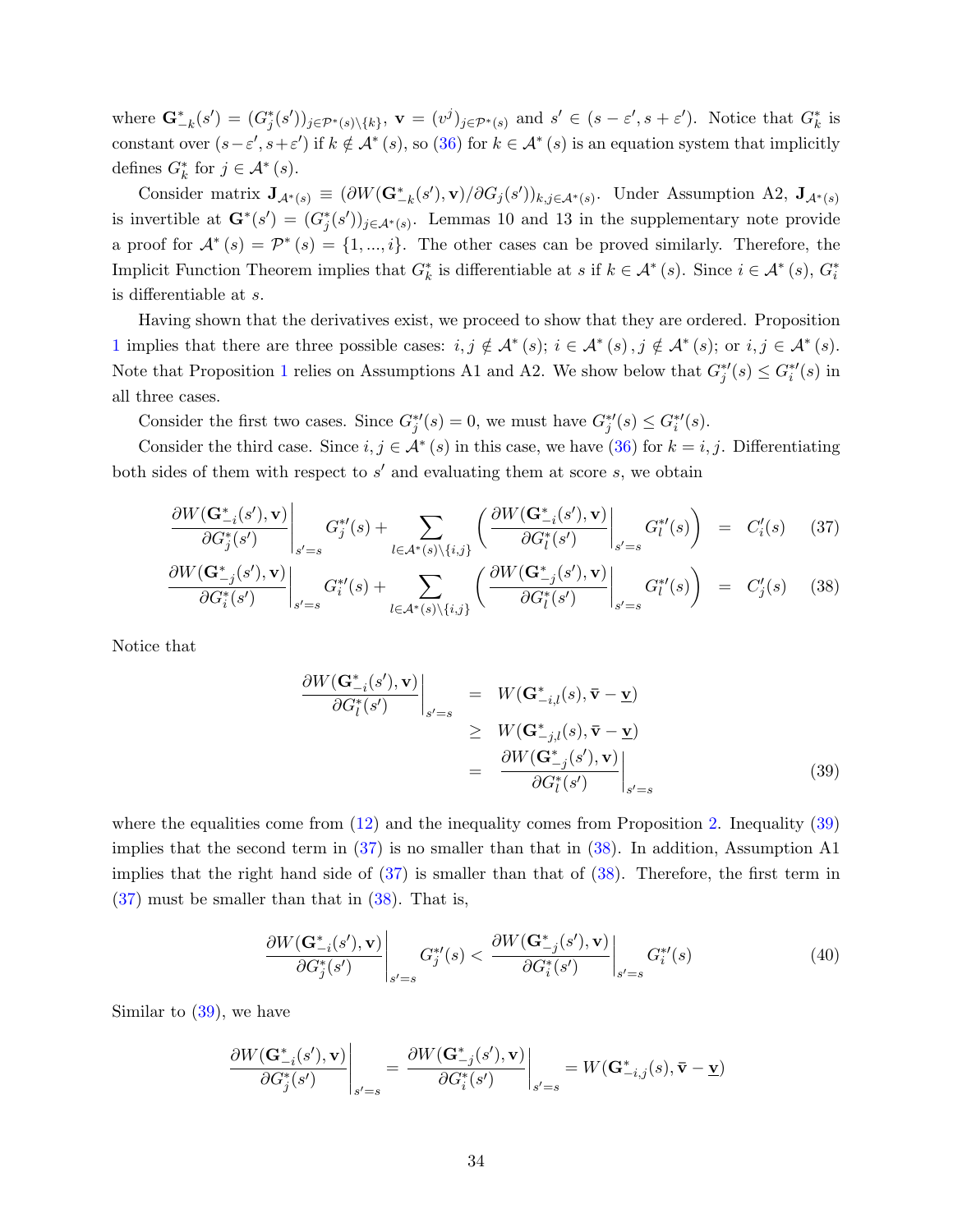where  $\mathbf{G}_{-k}^*(s') = (G_j^*(s'))_{j \in \mathcal{P}^*(s) \setminus \{k\}}, \mathbf{v} = (v^j)_{j \in \mathcal{P}^*(s)}$  and  $s' \in (s - \varepsilon', s + \varepsilon')$ . Notice that  $G_k^*$  is constant over  $(s-\varepsilon', s+\varepsilon')$  if  $k \notin A^*(s)$ , so  $(36)$  for  $k \in A^*(s)$  is an equation system that implicitly defines  $G_k^*$  for  $j \in \mathcal{A}^*(s)$ .

Consider matrix  $J_{\mathcal{A}^*(s)} \equiv (\partial W(G_{-k}^*(s'), v)/\partial G_j(s'))_{k,j \in \mathcal{A}^*(s)}$ . Under Assumption A2,  $J_{\mathcal{A}^*(s)}$ is invertible at  $\mathbf{G}^*(s') = (G^*_j(s'))_{j \in \mathcal{A}^*(s)}$ . Lemmas 10 and 13 in the supplementary note provide a proof for  $\mathcal{A}^*(s) = \mathcal{P}^*(s) = \{1, ..., i\}$ . The other cases can be proved similarly. Therefore, the Implicit Function Theorem implies that  $G_k^*$  is differentiable at s if  $k \in \mathcal{A}^*(s)$ . Since  $i \in \mathcal{A}^*(s)$ ,  $G_i^*$ is differentiable at s.

Having shown that the derivatives exist, we proceed to show that they are ordered. Proposition [1](#page-6-0) implies that there are three possible cases:  $i, j \notin \mathcal{A}^*(s)$ ;  $i \in \mathcal{A}^*(s)$ ,  $j \notin \mathcal{A}^*(s)$ ; or  $i, j \in \mathcal{A}^*(s)$ . Note that Proposition [1](#page-6-0) relies on Assumptions A1 and A2. We show below that  $G_j^{*\prime}(s) \leq G_i^{*\prime}(s)$  in all three cases.

Consider the first two cases. Since  $G_j^{*'}(s) = 0$ , we must have  $G_j^{*'}(s) \leq G_i^{*'}(s)$ .

Consider the third case. Since  $i, j \in \mathcal{A}^*(s)$  in this case, we have  $(36)$  for  $k = i, j$ . Differentiating both sides of them with respect to  $s'$  and evaluating them at score  $s$ , we obtain

<span id="page-33-1"></span>
$$
\frac{\partial W(\mathbf{G}_{-i}^*(s'), \mathbf{v})}{\partial G_j^*(s')} \Bigg|_{s'=s} G_j^{*\prime}(s) + \sum_{l \in \mathcal{A}^*(s) \setminus \{i,j\}} \left( \frac{\partial W(\mathbf{G}_{-i}^*(s'), \mathbf{v})}{\partial G_l^*(s')} \Bigg|_{s'=s} G_l^{*\prime}(s) \right) = C_i'(s) \tag{37}
$$

$$
\frac{\partial W(\mathbf{G}^*_{-j}(s'), \mathbf{v})}{\partial G_i^*(s')} \bigg|_{s'=s} G_i^{*\prime}(s) + \sum_{l \in \mathcal{A}^*(s) \setminus \{i,j\}} \left( \frac{\partial W(\mathbf{G}^*_{-j}(s'), \mathbf{v})}{\partial G_l^*(s')} \bigg|_{s'=s} G_l^{*\prime}(s) \right) = C_j'(s) \quad (38)
$$

Notice that

<span id="page-33-0"></span>
$$
\frac{\partial W(\mathbf{G}_{-i}^{*}(s'), \mathbf{v})}{\partial G_{l}^{*}(s')} \Big|_{s'=s} = W(\mathbf{G}_{-i,l}^{*}(s), \bar{\mathbf{v}} - \underline{\mathbf{v}})
$$
\n
$$
\geq W(\mathbf{G}_{-j,l}^{*}(s), \bar{\mathbf{v}} - \underline{\mathbf{v}})
$$
\n
$$
= \frac{\partial W(\mathbf{G}_{-j}^{*}(s'), \mathbf{v})}{\partial G_{l}^{*}(s')} \Big|_{s'=s}
$$
\n(39)

where the equalities come from  $(12)$  and the inequality comes from Proposition [2.](#page-6-2) Inequality [\(39\)](#page-33-0) implies that the second term in  $(37)$  is no smaller than that in  $(38)$ . In addition, Assumption A1 implies that the right hand side of  $(37)$  is smaller than that of  $(38)$ . Therefore, the first term in [\(37\)](#page-33-1) must be smaller than that in [\(38\)](#page-33-1). That is,

<span id="page-33-2"></span>
$$
\frac{\partial W(\mathbf{G}_{-i}^*(s'), \mathbf{v})}{\partial G_j^*(s')} \Bigg|_{s'=s} G_j^{*\prime}(s) < \frac{\partial W(\mathbf{G}_{-j}^*(s'), \mathbf{v})}{\partial G_i^*(s')} \Bigg|_{s'=s} G_i^{*\prime}(s) \tag{40}
$$

Similar to  $(39)$ , we have

$$
\left. \frac{\partial W(\mathbf{G}_{-i}^*(s'), \mathbf{v})}{\partial G_j^*(s')} \right|_{s'=s} = \left. \frac{\partial W(\mathbf{G}_{-j}^*(s'), \mathbf{v})}{\partial G_i^*(s')} \right|_{s'=s} = W(\mathbf{G}_{-i,j}^*(s), \overline{\mathbf{v}} - \underline{\mathbf{v}})
$$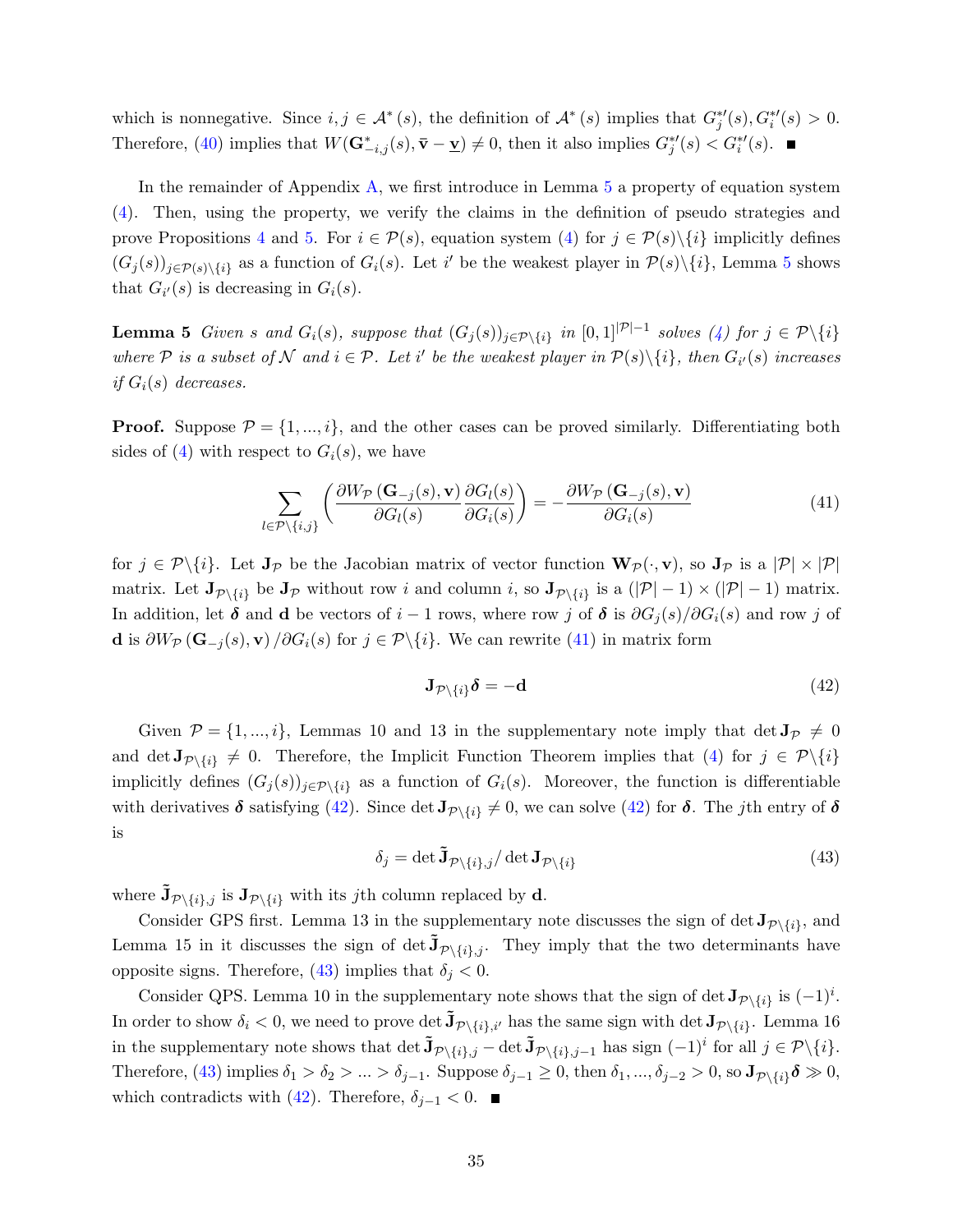which is nonnegative. Since  $i, j \in \mathcal{A}^*(s)$ , the definition of  $\mathcal{A}^*(s)$  implies that  $G_j^{*'}(s), G_i^{*'}(s) > 0$ . Therefore, [\(40\)](#page-33-2) implies that  $W(\mathbf{G}^*_{-i,j}(s), \bar{\mathbf{v}} - \underline{\mathbf{v}}) \neq 0$ , then it also implies  $G_j^{*\prime}(s) < G_i^{*\prime}(s)$ .

In the remainder of Appendix [A,](#page-27-7) we first introduce in Lemma [5](#page-34-1) a property of equation system [\(4\)](#page-9-0). Then, using the property, we verify the claims in the definition of pseudo strategies and prove Propositions [4](#page-10-2) and [5.](#page-10-0) For  $i \in \mathcal{P}(s)$ , equation system [\(4\)](#page-9-0) for  $j \in \mathcal{P}(s) \setminus \{i\}$  implicitly defines  $(G_j(s))_{j\in\mathcal{P}(s)\setminus\{i\}}$  as a function of  $G_i(s)$ . Let i' be the weakest player in  $\mathcal{P}(s)\setminus\{i\}$ , Lemma [5](#page-34-1) shows that  $G_{i'}(s)$  is decreasing in  $G_i(s)$ .

<span id="page-34-1"></span>**Lemma 5** Given s and  $G_i(s)$ , suppose that  $(G_j(s))_{j \in \mathcal{P}\setminus\{i\}}$  in  $[0,1]^{|\mathcal{P}|-1}$  solves  $(4)$  for  $j \in \mathcal{P}\setminus\{i\}$ where P is a subset of N and  $i \in \mathcal{P}$ . Let i' be the weakest player in  $\mathcal{P}(s) \setminus \{i\}$ , then  $G_{i'}(s)$  increases if  $G_i(s)$  decreases.

**Proof.** Suppose  $\mathcal{P} = \{1, ..., i\}$ , and the other cases can be proved similarly. Differentiating both sides of [\(4\)](#page-9-0) with respect to  $G_i(s)$ , we have

<span id="page-34-2"></span>
$$
\sum_{l \in \mathcal{P}\setminus\{i,j\}} \left( \frac{\partial W_{\mathcal{P}}\left(\mathbf{G}_{-j}(s), \mathbf{v}\right)}{\partial G_{l}(s)} \frac{\partial G_{l}(s)}{\partial G_{i}(s)} \right) = -\frac{\partial W_{\mathcal{P}}\left(\mathbf{G}_{-j}(s), \mathbf{v}\right)}{\partial G_{i}(s)} \tag{41}
$$

for  $j \in \mathcal{P}\setminus\{i\}$ . Let  $J_{\mathcal{P}}$  be the Jacobian matrix of vector function  $\mathbf{W}_{\mathcal{P}}(\cdot, \mathbf{v})$ , so  $J_{\mathcal{P}}$  is a  $|\mathcal{P}| \times |\mathcal{P}|$ matrix. Let  $J_{\mathcal{P}\setminus\{i\}}$  be  $J_{\mathcal{P}}$  without row i and column i, so  $J_{\mathcal{P}\setminus\{i\}}$  is a  $(|\mathcal{P}|-1) \times (|\mathcal{P}|-1)$  matrix. In addition, let  $\delta$  and d be vectors of  $i-1$  rows, where row j of  $\delta$  is  $\partial G_j(s)/\partial G_i(s)$  and row j of d is  $\partial W_{\mathcal{P}}(\mathbf{G}_{-j}(s), \mathbf{v}) / \partial G_i(s)$  for  $j \in \mathcal{P}\backslash \{i\}$ . We can rewrite  $(41)$  in matrix form

<span id="page-34-3"></span>
$$
\mathbf{J}_{\mathcal{P}\setminus\{i\}}\boldsymbol{\delta} = -\mathbf{d} \tag{42}
$$

Given  $\mathcal{P} = \{1, ..., i\}$ , Lemmas 10 and 13 in the supplementary note imply that  $\det \mathbf{J}_{\mathcal{P}} \neq 0$ and det  $J_{\mathcal{P}\setminus\{i\}} \neq 0$ . Therefore, the Implicit Function Theorem implies that [\(4\)](#page-9-0) for  $j \in \mathcal{P}\setminus\{i\}$ implicitly defines  $(G_j(s))_{j\in\mathcal{P}\backslash\{i\}}$  as a function of  $G_i(s)$ . Moreover, the function is differentiable with derivatives  $\delta$  satisfying [\(42\)](#page-34-3). Since det  $J_{\mathcal{P}\setminus\{i\}} \neq 0$ , we can solve (42) for  $\delta$ . The jth entry of  $\delta$ is

<span id="page-34-4"></span>
$$
\delta_j = \det \tilde{\mathbf{J}}_{\mathcal{P}\backslash\{i\},j}/\det \mathbf{J}_{\mathcal{P}\backslash\{i\}}\tag{43}
$$

where  $\tilde{\mathbf{J}}_{\mathcal{P}\backslash\{i\},j}$  is  $\mathbf{J}_{\mathcal{P}\backslash\{i\}}$  with its *j*th column replaced by **d**.

Consider GPS first. Lemma 13 in the supplementary note discusses the sign of det  $J_{\mathcal{P}\setminus\{i\}}$ , and Lemma 15 in it discusses the sign of det  $\tilde{\mathbf{J}}_{\mathcal{P}\backslash\{i\},j}$ . They imply that the two determinants have opposite signs. Therefore, [\(43\)](#page-34-4) implies that  $\delta_j < 0$ .

<span id="page-34-0"></span>Consider QPS. Lemma 10 in the supplementary note shows that the sign of det  $J_{\mathcal{P}\setminus\{i\}}$  is  $(-1)^i$ . In order to show  $\delta_i < 0$ , we need to prove det  $\tilde{\mathbf{J}}_{\mathcal{P}\setminus\{i\},i'}$  has the same sign with det  $\mathbf{J}_{\mathcal{P}\setminus\{i\}}$ . Lemma 16 in the supplementary note shows that det  $\tilde{\mathbf{J}}_{\mathcal{P}\setminus\{i\},j}$  – det  $\tilde{\mathbf{J}}_{\mathcal{P}\setminus\{i\},j-1}$  has sign  $(-1)^i$  for all  $j \in \mathcal{P}\setminus\{i\}$ . Therefore, [\(43\)](#page-34-4) implies  $\delta_1 > \delta_2 > ... > \delta_{j-1}$ . Suppose  $\delta_{j-1} \geq 0$ , then  $\delta_1, ..., \delta_{j-2} > 0$ , so  $\mathbf{J}_{\mathcal{P}\setminus\{i\}}\delta \gg 0$ , which contradicts with [\(42\)](#page-34-3). Therefore,  $\delta_{j-1}$  < 0. ■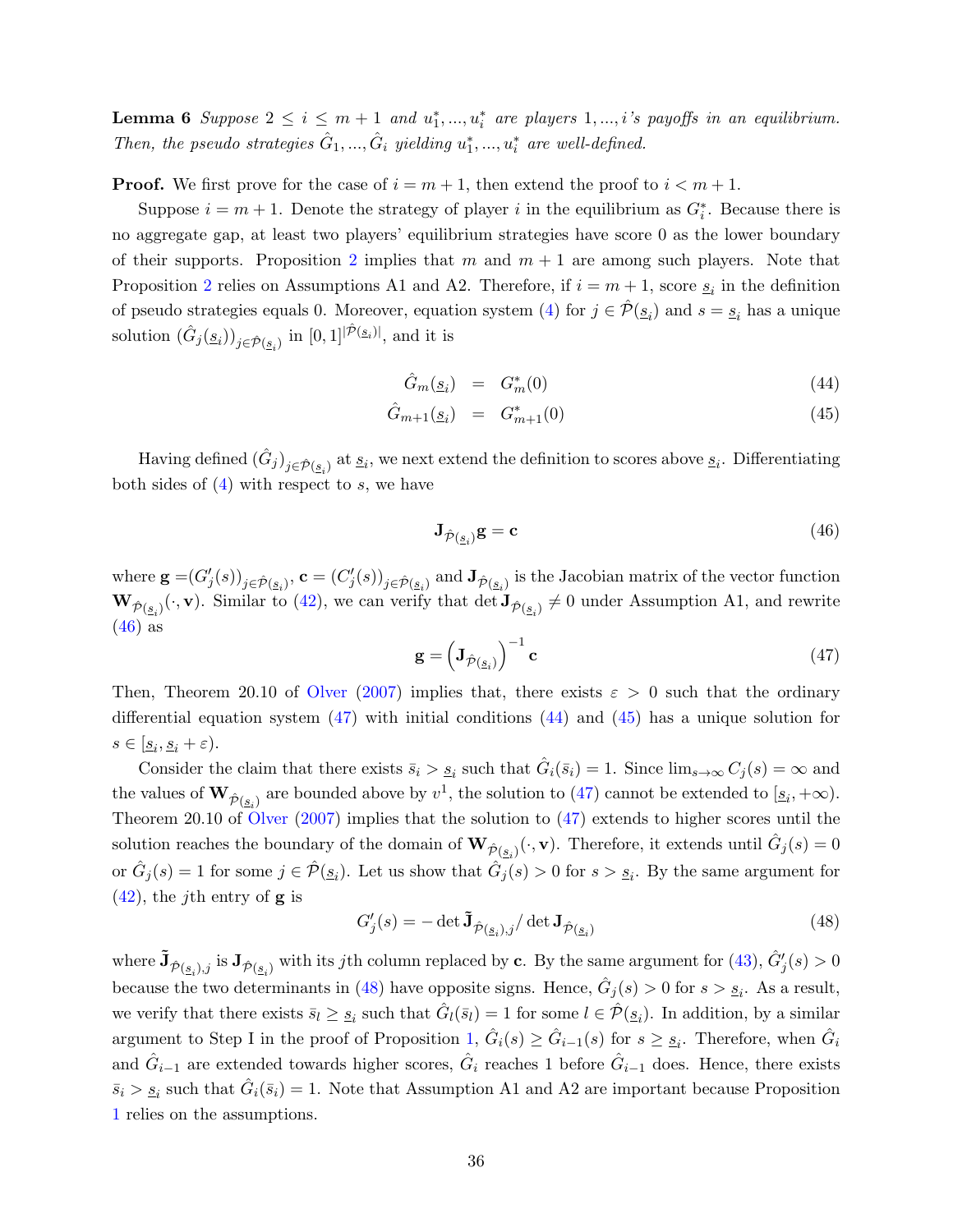<span id="page-35-0"></span>**Lemma 6** Suppose  $2 \leq i \leq m+1$  and  $u_1^*,...,u_i^*$  are players 1, ..., *i*'s payoffs in an equilibrium. Then, the pseudo strategies  $\hat{G}_1, ..., \hat{G}_i$  yielding  $u_1^*, ..., u_i^*$  are well-defined.

**Proof.** We first prove for the case of  $i = m + 1$ , then extend the proof to  $i < m + 1$ .

Suppose  $i = m + 1$ . Denote the strategy of player i in the equilibrium as  $G_i^*$ . Because there is no aggregate gap, at least two players' equilibrium strategies have score 0 as the lower boundary of their supports. Proposition [2](#page-6-2) implies that m and  $m + 1$  are among such players. Note that Proposition [2](#page-6-2) relies on Assumptions A1 and A2. Therefore, if  $i = m + 1$ , score  $s_i$  in the definition of pseudo strategies equals 0. Moreover, equation system [\(4\)](#page-9-0) for  $j \in \hat{\mathcal{P}}(\underline{s_i})$  and  $s = s_i$  has a unique solution  $(\hat{G}_j(\underline{s}_i))_{j \in \hat{\mathcal{P}}(\underline{s}_i)}$  in  $[0,1]^{|\hat{\mathcal{P}}(\underline{s}_i)|}$ , and it is

<span id="page-35-3"></span>
$$
\hat{G}_m(\underline{s}_i) = G_m^*(0) \tag{44}
$$

$$
\hat{G}_{m+1}(\underline{s}_i) = G_{m+1}^*(0) \tag{45}
$$

Having defined  $(\hat{G}_j)_{j \in \hat{\mathcal{P}}(s_i)}$  at  $s_i$ , we next extend the definition to scores above  $s_i$ . Differentiating both sides of  $(4)$  with respect to s, we have

<span id="page-35-1"></span>
$$
\mathbf{J}_{\hat{\mathcal{P}}(\underline{s}_i)}\mathbf{g} = \mathbf{c} \tag{46}
$$

where  $\mathbf{g} = (G'_j(s))_{j \in \hat{\mathcal{P}}(s_i)}, \mathbf{c} = (C'_j(s))_{j \in \hat{\mathcal{P}}(s_i)}$  and  $\mathbf{J}_{\hat{\mathcal{P}}(s_i)}$  is the Jacobian matrix of the vector function  $\mathbf{W}_{\hat{\mathcal{P}}(\underline{s}_i)}(\cdot,\mathbf{v})$ . Similar to [\(42\)](#page-34-3), we can verify that det  $\mathbf{J}_{\hat{\mathcal{P}}(\underline{s}_i)} \neq 0$  under Assumption A1, and rewrite  $(46)$  as

<span id="page-35-2"></span>
$$
\mathbf{g} = \left(\mathbf{J}_{\hat{\mathcal{P}}(\underline{s}_i)}\right)^{-1} \mathbf{c} \tag{47}
$$

Then, Theorem 20.10 of [Olver](#page-27-14) [\(2007\)](#page-27-14) implies that, there exists  $\varepsilon > 0$  such that the ordinary differential equation system  $(47)$  with initial conditions  $(44)$  and  $(45)$  has a unique solution for  $s \in [\underline{s}_i, \underline{s}_i + \varepsilon).$ 

Consider the claim that there exists  $\bar{s}_i > \underline{s}_i$  such that  $\hat{G}_i(\bar{s}_i) = 1$ . Since  $\lim_{s\to\infty} C_j(s) = \infty$  and the values of  $\mathbf{W}_{\hat{\mathcal{P}}(\underline{s}_i)}$  are bounded above by  $v^1$ , the solution to [\(47\)](#page-35-2) cannot be extended to  $[\underline{s}_i, +\infty)$ . Theorem 20.10 of [Olver](#page-27-14) [\(2007\)](#page-27-14) implies that the solution to [\(47\)](#page-35-2) extends to higher scores until the solution reaches the boundary of the domain of  $\mathbf{W}_{\hat{\mathcal{P}}(\underline{s}_i)}(\cdot,\mathbf{v})$ . Therefore, it extends until  $\hat{G}_j(s) = 0$ or  $\hat{G}_j(s) = 1$  for some  $j \in \hat{\mathcal{P}}(\underline{s}_i)$ . Let us show that  $\hat{G}_j(s) > 0$  for  $s > \underline{s}_i$ . By the same argument for  $(42)$ , the *j*th entry of **g** is

<span id="page-35-4"></span>
$$
G_j'(s) = -\det \tilde{\mathbf{J}}_{\hat{\mathcal{P}}(\underline{s}_i),j}/\det \mathbf{J}_{\hat{\mathcal{P}}(\underline{s}_i)}\tag{48}
$$

where  $\tilde{\mathbf{J}}_{\hat{\mathcal{P}}(\underline{s}_i),j}$  is  $\mathbf{J}_{\hat{\mathcal{P}}(\underline{s}_i)}$  with its jth column replaced by **c**. By the same argument for [\(43\)](#page-34-4),  $\hat{G}'_j(s) > 0$ because the two determinants in [\(48\)](#page-35-4) have opposite signs. Hence,  $\hat{G}_j(s) > 0$  for  $s > s_i$ . As a result, we verify that there exists  $\bar{s}_l \geq \underline{s}_i$  such that  $\hat{G}_l(\bar{s}_l) = 1$  for some  $l \in \hat{\mathcal{P}}(\underline{s}_i)$ . In addition, by a similar argument to Step I in the proof of Proposition [1,](#page-6-0)  $\hat{G}_i(s) \geq \hat{G}_{i-1}(s)$  for  $s \geq s_i$ . Therefore, when  $\hat{G}_i$ and  $\hat{G}_{i-1}$  are extended towards higher scores,  $\hat{G}_i$  reaches 1 before  $\hat{G}_{i-1}$  does. Hence, there exists  $\bar{s}_i > \underline{s}_i$  such that  $\hat{G}_i(\bar{s}_i) = 1$ . Note that Assumption A1 and A2 are important because Proposition [1](#page-6-0) relies on the assumptions.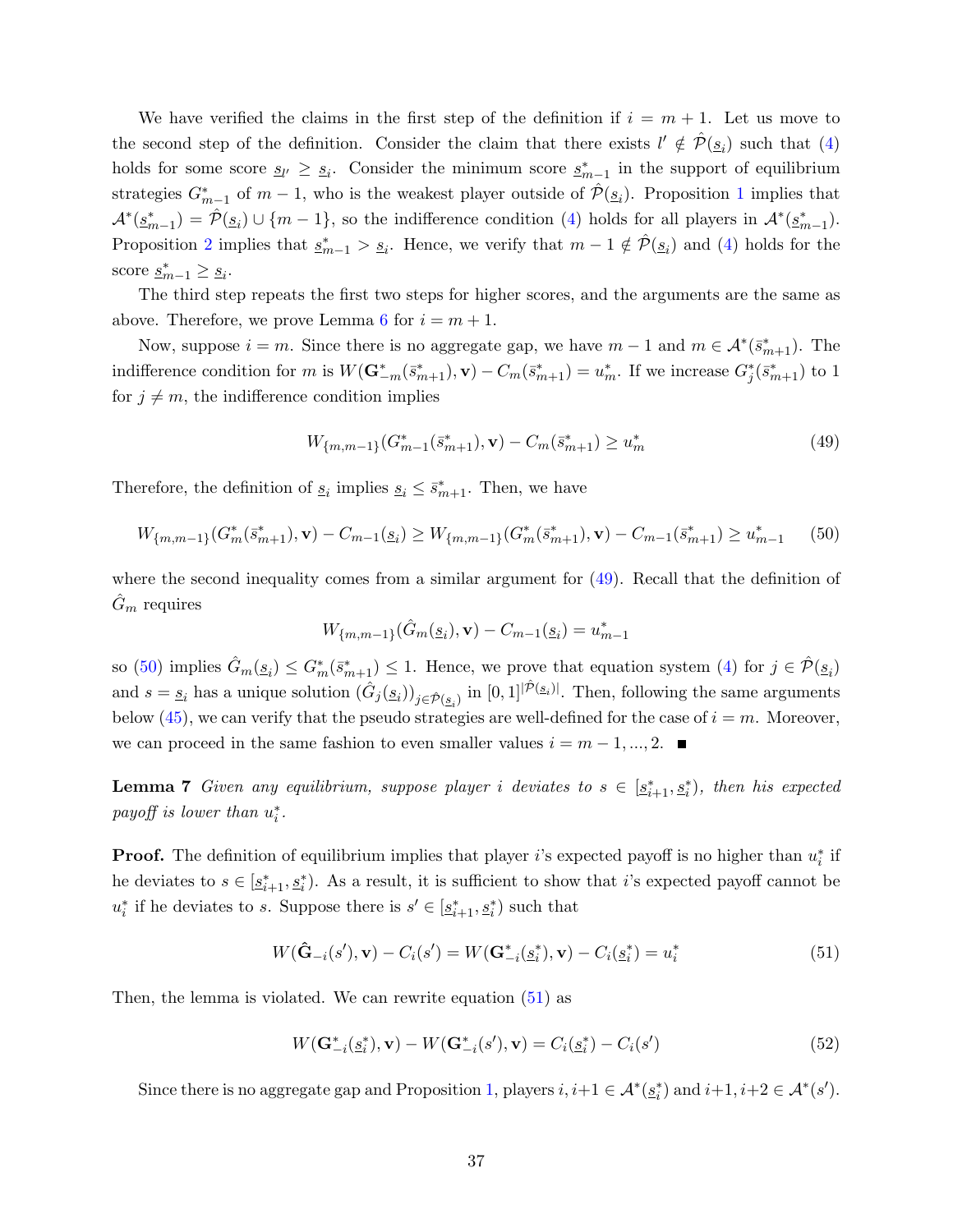We have verified the claims in the first step of the definition if  $i = m + 1$ . Let us move to the second step of the definition. Consider the claim that there exists  $l' \notin \hat{\mathcal{P}}(\underline{s_i})$  such that [\(4\)](#page-9-0) holds for some score  $s_{l'} \geq s_i$ . Consider the minimum score  $s_{m-1}^*$  in the support of equilibrium strategies  $G_{m-1}^*$  $G_{m-1}^*$  $G_{m-1}^*$  of  $m-1$ , who is the weakest player outside of  $\hat{\mathcal{P}}(\underline{s}_i)$ . Proposition 1 implies that  $\mathcal{A}^*(\underline{s}_{m-1}^*) = \hat{\mathcal{P}}(\underline{s}_i) \cup \{m-1\}$ , so the indifference condition [\(4\)](#page-9-0) holds for all players in  $\mathcal{A}^*(\underline{s}_{m-1}^*)$ . Proposition [2](#page-6-2) implies that  $s_{m-1}^* > s_i$ . Hence, we verify that  $m-1 \notin \hat{\mathcal{P}}(\underline{s}_i)$  and [\(4\)](#page-9-0) holds for the score  $\underline{s}_{m-1}^* \geq \underline{s}_i$ .

The third step repeats the first two steps for higher scores, and the arguments are the same as above. Therefore, we prove Lemma [6](#page-34-0) for  $i = m + 1$ .

Now, suppose  $i = m$ . Since there is no aggregate gap, we have  $m - 1$  and  $m \in \mathcal{A}^*(\bar{s}_{m+1}^*)$ . The indifference condition for m is  $W(\mathbf{G}_{-m}^*(\bar{s}_{m+1}^*), \mathbf{v}) - C_m(\bar{s}_{m+1}^*) = u_m^*$ . If we increase  $G_j^*(\bar{s}_{m+1}^*)$  to 1 for  $j \neq m$ , the indifference condition implies

<span id="page-36-0"></span>
$$
W_{\{m,m-1\}}(G_{m-1}^*(\bar{s}_{m+1}^*), \mathbf{v}) - C_m(\bar{s}_{m+1}^*) \ge u_m^*
$$
\n(49)

Therefore, the definition of  $\underline{s}_i$  implies  $\underline{s}_i \leq \overline{s}_{m+1}^*$ . Then, we have

<span id="page-36-1"></span>
$$
W_{\{m,m-1\}}(G_m^*(\bar{s}_{m+1}^*), \mathbf{v}) - C_{m-1}(\underline{s}_i) \ge W_{\{m,m-1\}}(G_m^*(\bar{s}_{m+1}^*), \mathbf{v}) - C_{m-1}(\bar{s}_{m+1}^*) \ge u_{m-1}^* \tag{50}
$$

where the second inequality comes from a similar argument for  $(49)$ . Recall that the definition of  $G_m$  requires

$$
W_{\{m,m-1\}}(\hat{G}_m(\underline{s}_i), \mathbf{v}) - C_{m-1}(\underline{s}_i) = u^*_{m-1}
$$

so [\(50\)](#page-36-1) implies  $\hat{G}_m(\underline{s_i}) \leq G_m^*(\bar{s}_{m+1}^*) \leq 1$ . Hence, we prove that equation system [\(4\)](#page-9-0) for  $j \in \hat{\mathcal{P}}(\underline{s}_i)$ and  $s = s_i$  has a unique solution  $(\hat{G}_j(s_i))_{i \in \hat{\mathcal{P}}(s_i)}$  in  $[0, 1]^{|\hat{\mathcal{P}}(s_i)|}$ . Then, following the same arguments below [\(45\)](#page-35-3), we can verify that the pseudo strategies are well-defined for the case of  $i = m$ . Moreover, we can proceed in the same fashion to even smaller values  $i = m - 1, ..., 2$ .

<span id="page-36-4"></span>**Lemma 7** Given any equilibrium, suppose player i deviates to  $s \in [\underline{s}_{i+1}^*, \underline{s}_i^*)$ , then his expected payoff is lower than  $u_i^*$ .

**Proof.** The definition of equilibrium implies that player i's expected payoff is no higher than  $u_i^*$  if he deviates to  $s \in [s_{i+1}^*, s_i^*]$ . As a result, it is sufficient to show that i's expected payoff cannot be  $u_i^*$  if he deviates to s. Suppose there is  $s' \in [\underline{s}_{i+1}^*, \underline{s}_i^*)$  such that

<span id="page-36-2"></span>
$$
W(\hat{\mathbf{G}}_{-i}(s'), \mathbf{v}) - C_i(s') = W(\mathbf{G}_{-i}^*(s_i^*), \mathbf{v}) - C_i(s_i^*) = u_i^*
$$
\n(51)

Then, the lemma is violated. We can rewrite equation  $(51)$  as

<span id="page-36-3"></span>
$$
W(\mathbf{G}_{-i}^*(s_i^*), \mathbf{v}) - W(\mathbf{G}_{-i}^*(s'), \mathbf{v}) = C_i(s_i^*) - C_i(s')
$$
\n(52)

Since there is no aggregate gap and Proposition [1,](#page-6-0) players  $i, i+1 \in \mathcal{A}^*(s_i^*)$  and  $i+1, i+2 \in \mathcal{A}^*(s')$ .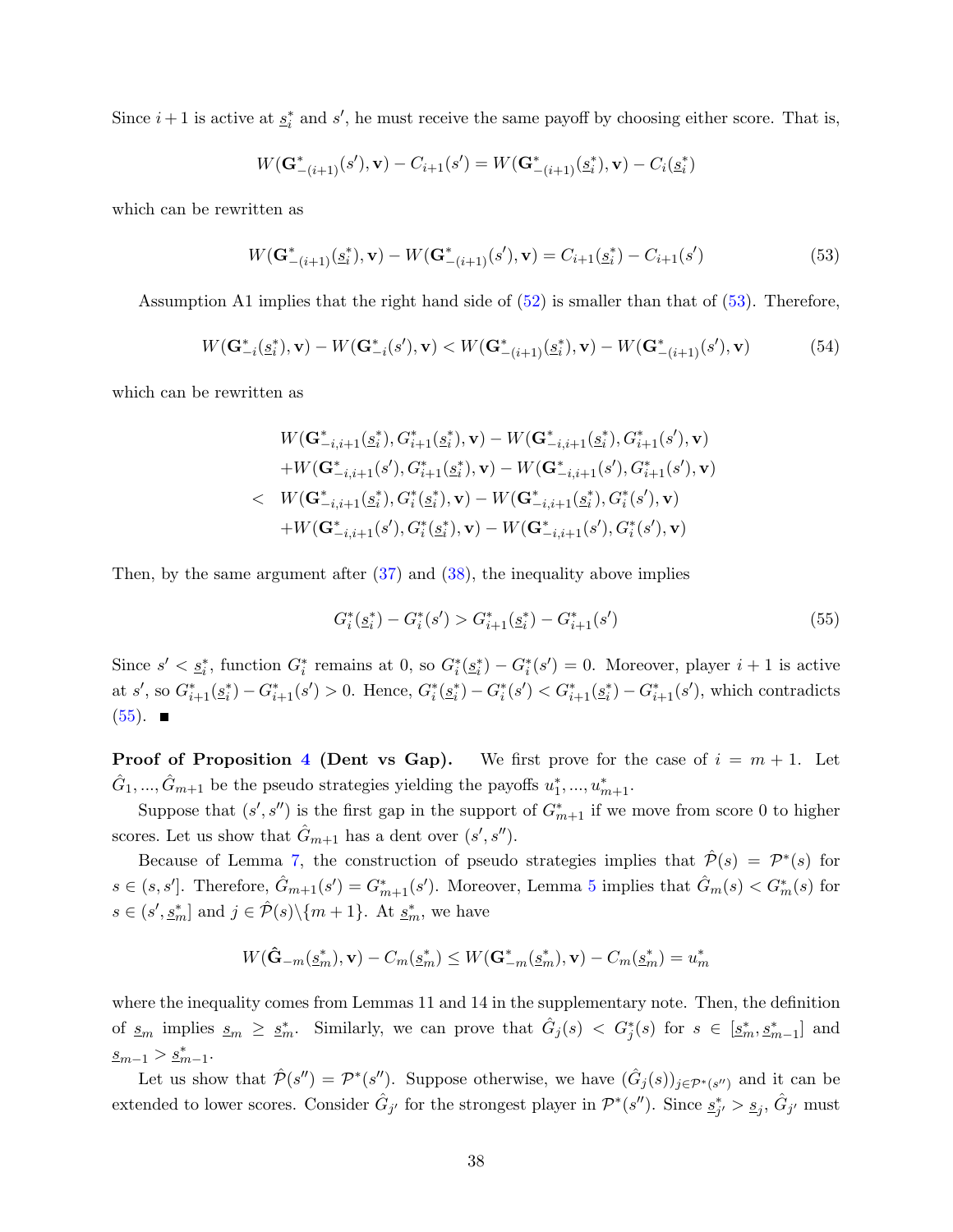Since  $i+1$  is active at  $s_i^*$  and  $s'$ , he must receive the same payoff by choosing either score. That is,

$$
W(\mathbf{G}^*_{-(i+1)}(s'), \mathbf{v}) - C_{i+1}(s') = W(\mathbf{G}^*_{-(i+1)}(s_i^*), \mathbf{v}) - C_i(s_i^*)
$$

which can be rewritten as

<span id="page-37-0"></span>
$$
W(\mathbf{G}^*_{-(i+1)}(\underline{s}^*_{i}), \mathbf{v}) - W(\mathbf{G}^*_{-(i+1)}(s'), \mathbf{v}) = C_{i+1}(\underline{s}^*_{i}) - C_{i+1}(s')
$$
(53)

Assumption A1 implies that the right hand side of [\(52\)](#page-36-3) is smaller than that of [\(53\)](#page-37-0). Therefore,

$$
W(\mathbf{G}_{-i}^*(\underline{s}_i^*), \mathbf{v}) - W(\mathbf{G}_{-i}^*(s'), \mathbf{v}) < W(\mathbf{G}_{-(i+1)}^*(\underline{s}_i^*), \mathbf{v}) - W(\mathbf{G}_{-(i+1)}^*(s'), \mathbf{v}) \tag{54}
$$

which can be rewritten as

$$
W(\mathbf{G}_{-i,i+1}^{*}(\underline{s}_{i}^{*}),G_{i+1}^{*}(\underline{s}_{i}^{*}),\mathbf{v}) - W(\mathbf{G}_{-i,i+1}^{*}(\underline{s}_{i}^{*}),G_{i+1}^{*}(s'),\mathbf{v}) + W(\mathbf{G}_{-i,i+1}^{*}(s'),G_{i+1}^{*}(\underline{s}_{i}^{*}),\mathbf{v}) - W(\mathbf{G}_{-i,i+1}^{*}(s'),G_{i+1}^{*}(s'),\mathbf{v}) < W(\mathbf{G}_{-i,i+1}^{*}(\underline{s}_{i}^{*}),G_{i}^{*}(\underline{s}_{i}^{*}),\mathbf{v}) - W(\mathbf{G}_{-i,i+1}^{*}(\underline{s}_{i}^{*}),G_{i}^{*}(s'),\mathbf{v}) + W(\mathbf{G}_{-i,i+1}^{*}(s'),G_{i}^{*}(\underline{s}_{i}^{*}),\mathbf{v}) - W(\mathbf{G}_{-i,i+1}^{*}(s'),G_{i}^{*}(s'),\mathbf{v})
$$

Then, by the same argument after  $(37)$  and  $(38)$ , the inequality above implies

<span id="page-37-1"></span>
$$
G_i^*(\underline{s}_i^*) - G_i^*(s') > G_{i+1}^*(\underline{s}_i^*) - G_{i+1}^*(s') \tag{55}
$$

Since  $s' < s_i^*$ , function  $G_i^*$  remains at 0, so  $G_i^*(s_i^*) - G_i^*(s') = 0$ . Moreover, player  $i+1$  is active at s', so  $G_{i+1}^*(s_i^*) - G_{i+1}^*(s') > 0$ . Hence,  $G_i^*(s_i^*) - G_i^*(s') < G_{i+1}^*(s_i^*) - G_{i+1}^*(s')$ , which contradicts  $(55)$ .

**Proof of Proposition [4](#page-10-2) (Dent vs Gap).** We first prove for the case of  $i = m + 1$ . Let  $\hat{G}_1, ..., \hat{G}_{m+1}$  be the pseudo strategies yielding the payoffs  $u_1^*, ..., u_{m+1}^*$ .

Suppose that  $(s', s'')$  is the first gap in the support of  $G_{m+1}^*$  if we move from score 0 to higher scores. Let us show that  $\hat{G}_{m+1}$  has a dent over  $(s', s'')$ .

Because of Lemma [7,](#page-36-4) the construction of pseudo strategies implies that  $\hat{\mathcal{P}}(s) = \mathcal{P}^*(s)$  for  $s \in (s, s']$ . Therefore,  $\hat{G}_{m+1}(s') = G^*_{m+1}(s')$ . Moreover, Lemma [5](#page-34-1) implies that  $\hat{G}_m(s) < G^*_m(s)$  for  $s \in (s', \underline{s}_m^*]$  and  $j \in \hat{\mathcal{P}}(s) \setminus \{m+1\}$ . At  $\underline{s}_m^*$ , we have

$$
W(\hat{\mathbf{G}}_{-m}(\underline{s}_m^*), \mathbf{v}) - C_m(\underline{s}_m^*) \le W(\mathbf{G}_{-m}^*(\underline{s}_m^*), \mathbf{v}) - C_m(\underline{s}_m^*) = u_m^*
$$

where the inequality comes from Lemmas 11 and 14 in the supplementary note. Then, the definition of  $s_m$  implies  $s_m \geq s_m^*$ . Similarly, we can prove that  $\hat{G}_j(s) < G_j^*(s)$  for  $s \in [\underline{s}_m^*, \underline{s}_{m-1}^*]$  and  $s_{m-1} > s_{m-1}^*$ .

Let us show that  $\hat{\mathcal{P}}(s'') = \mathcal{P}^*(s'')$ . Suppose otherwise, we have  $(\hat{G}_j(s))_{j \in \mathcal{P}^*(s'')}$  and it can be extended to lower scores. Consider  $\hat{G}_{j'}$  for the strongest player in  $\mathcal{P}^*(s'')$ . Since  $\underline{s}_{j'}^* > \underline{s}_j$ ,  $\hat{G}_{j'}$  must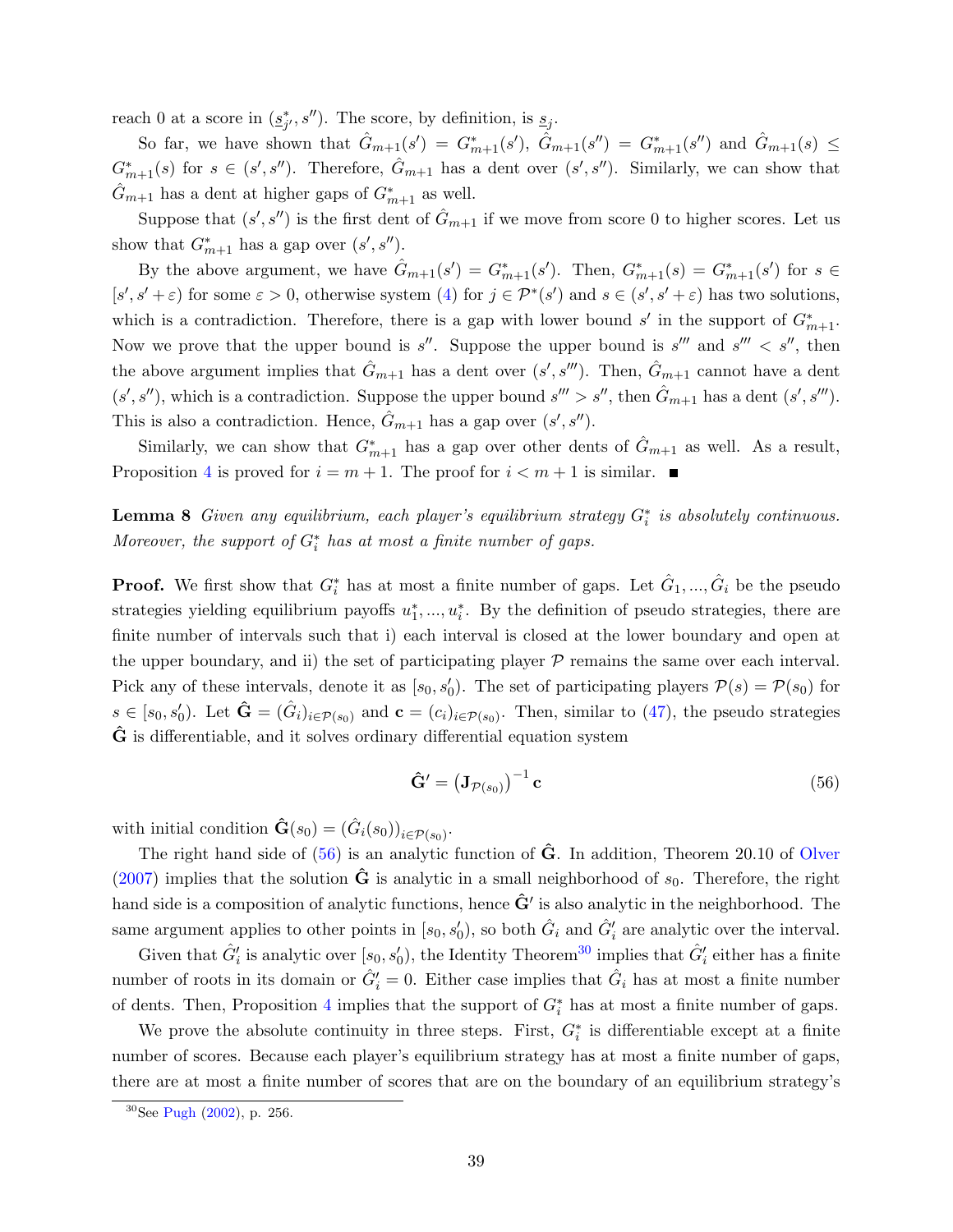<span id="page-38-1"></span>reach 0 at a score in  $(s_j^*, s'')$ . The score, by definition, is  $s_j$ .

So far, we have shown that  $\hat{G}_{m+1}(s') = G_{m+1}^*(s')$ ,  $\hat{G}_{m+1}(s'') = G_{m+1}^*(s'')$  and  $\hat{G}_{m+1}(s) \le$  $G_{m+1}^*(s)$  for  $s \in (s', s'')$ . Therefore,  $\hat{G}_{m+1}$  has a dent over  $(s', s'')$ . Similarly, we can show that  $\hat{G}_{m+1}$  has a dent at higher gaps of  $G_{m+1}^*$  as well.

Suppose that  $(s', s'')$  is the first dent of  $\hat{G}_{m+1}$  if we move from score 0 to higher scores. Let us show that  $G_{m+1}^*$  has a gap over  $(s', s'')$ .

By the above argument, we have  $\hat{G}_{m+1}(s') = G_{m+1}^*(s')$ . Then,  $G_{m+1}^*(s) = G_{m+1}^*(s')$  for  $s \in$  $[s', s' + \varepsilon]$  for some  $\varepsilon > 0$ , otherwise system [\(4\)](#page-9-0) for  $j \in \mathcal{P}^*(s')$  and  $s \in (s', s' + \varepsilon)$  has two solutions, which is a contradiction. Therefore, there is a gap with lower bound s' in the support of  $G_{m+1}^*$ . Now we prove that the upper bound is s''. Suppose the upper bound is s''' and s'''  $\langle s'' ,$  then the above argument implies that  $\hat{G}_{m+1}$  has a dent over  $(s', s'')$ . Then,  $\hat{G}_{m+1}$  cannot have a dent  $(s', s'')$ , which is a contradiction. Suppose the upper bound  $s''' > s''$ , then  $\hat{G}_{m+1}$  has a dent  $(s', s''')$ . This is also a contradiction. Hence,  $\hat{G}_{m+1}$  has a gap over  $(s', s'')$ .

Similarly, we can show that  $G_{m+1}^*$  has a gap over other dents of  $\hat{G}_{m+1}$  as well. As a result, Proposition [4](#page-10-2) is proved for  $i = m + 1$ . The proof for  $i < m + 1$  is similar.

<span id="page-38-0"></span>**Lemma 8** Given any equilibrium, each player's equilibrium strategy  $G_i^*$  is absolutely continuous. Moreover, the support of  $G_i^*$  has at most a finite number of gaps.

**Proof.** We first show that  $G_i^*$  has at most a finite number of gaps. Let  $\hat{G}_1, ..., \hat{G}_i$  be the pseudo strategies yielding equilibrium payoffs  $u_1^*,...,u_i^*$ . By the definition of pseudo strategies, there are finite number of intervals such that i) each interval is closed at the lower boundary and open at the upper boundary, and ii) the set of participating player  $P$  remains the same over each interval. Pick any of these intervals, denote it as  $[s_0, s'_0)$ . The set of participating players  $P(s) = P(s_0)$  for  $s \in [s_0, s'_0)$ . Let  $\hat{\mathbf{G}} = (\hat{G}_i)_{i \in \mathcal{P}(s_0)}$  and  $\mathbf{c} = (c_i)_{i \in \mathcal{P}(s_0)}$ . Then, similar to [\(47\)](#page-35-2), the pseudo strategies  $\hat{G}$  is differentiable, and it solves ordinary differential equation system

<span id="page-38-2"></span>
$$
\hat{\mathbf{G}}' = \left(\mathbf{J}_{\mathcal{P}(s_0)}\right)^{-1} \mathbf{c}
$$
\n(56)

with initial condition  $\hat{\mathbf{G}}(s_0) = (\hat{G}_i(s_0))_{i \in \mathcal{P}(s_0)}$ .

The right hand side of  $(56)$  is an analytic function of  $\tilde{G}$ . In addition, Theorem 20.10 of [Olver](#page-27-14) [\(2007\)](#page-27-14) implies that the solution **G** is analytic in a small neighborhood of  $s_0$ . Therefore, the right hand side is a composition of analytic functions, hence  $\hat{G}'$  is also analytic in the neighborhood. The same argument applies to other points in  $[s_0, s'_0)$ , so both  $\hat{G}_i$  and  $\hat{G}'_i$  are analytic over the interval.

Given that  $\hat{G}'_i$  is analytic over  $[s_0, s'_0)$ , the Identity Theorem<sup>[30](#page-38-3)</sup> implies that  $\hat{G}'_i$  either has a finite number of roots in its domain or  $\hat{G}'_i = 0$ . Either case implies that  $\hat{G}_i$  has at most a finite number of dents. Then, Proposition [4](#page-10-2) implies that the support of  $G_i^*$  has at most a finite number of gaps.

We prove the absolute continuity in three steps. First,  $G_i^*$  is differentiable except at a finite number of scores. Because each player's equilibrium strategy has at most a finite number of gaps, there are at most a finite number of scores that are on the boundary of an equilibrium strategy's

<span id="page-38-3"></span> $30$ See [Pugh](#page-27-15) [\(2002\)](#page-27-15), p. 256.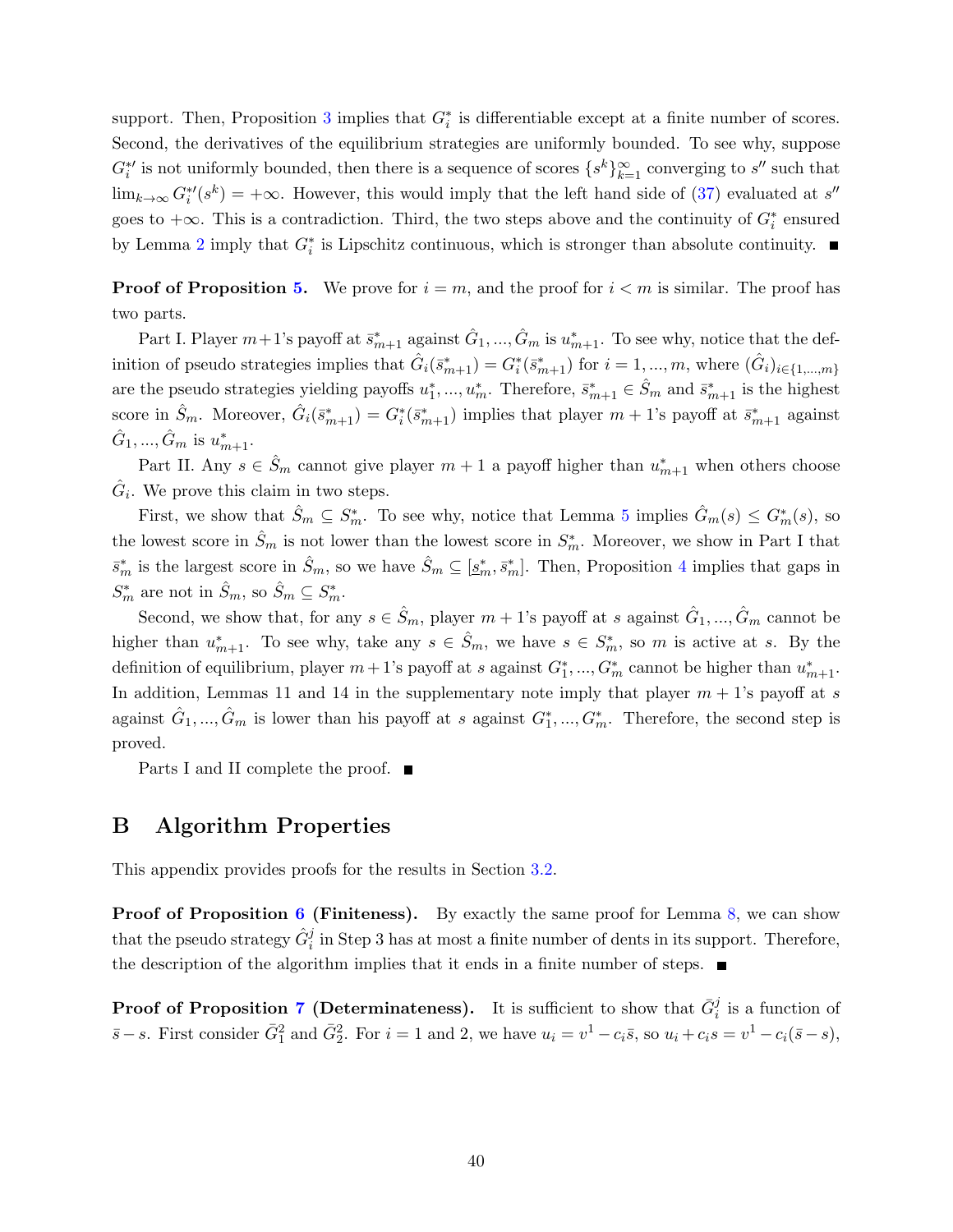support. Then, Proposition [3](#page-6-3) implies that  $G_i^*$  is differentiable except at a finite number of scores. Second, the derivatives of the equilibrium strategies are uniformly bounded. To see why, suppose  $G_i^{*l}$  is not uniformly bounded, then there is a sequence of scores  $\{s^k\}_{k=1}^{\infty}$  converging to  $s''$  such that  $\lim_{k\to\infty} G_i^{*\prime}(s^k) = +\infty$ . However, this would imply that the left hand side of [\(37\)](#page-33-1) evaluated at s'' goes to  $+\infty$ . This is a contradiction. Third, the two steps above and the continuity of  $G_i^*$  ensured by Lemma [2](#page-28-0) imply that  $G_i^*$  is Lipschitz continuous, which is stronger than absolute continuity.

**Proof of Proposition [5.](#page-10-0)** We prove for  $i = m$ , and the proof for  $i < m$  is similar. The proof has two parts.

Part I. Player  $m+1$ 's payoff at  $\bar{s}_{m+1}^*$  against  $\hat{G}_1, ..., \hat{G}_m$  is  $u_{m+1}^*$ . To see why, notice that the definition of pseudo strategies implies that  $\hat{G}_i(\bar{s}_{m+1}^*) = G_i^*(\bar{s}_{m+1}^*)$  for  $i = 1, ..., m$ , where  $(\hat{G}_i)_{i \in \{1, ..., m\}}$ are the pseudo strategies yielding payoffs  $u_1^*,...,u_m^*$ . Therefore,  $\bar{s}_{m+1}^* \in \hat{S}_m$  and  $\bar{s}_{m+1}^*$  is the highest score in  $\hat{S}_m$ . Moreover,  $\hat{G}_i(\bar{s}_{m+1}^*) = G_i^*(\bar{s}_{m+1}^*)$  implies that player  $m+1$ 's payoff at  $\bar{s}_{m+1}^*$  against  $\hat{G}_1, ..., \hat{G}_m$  is  $u_{m+1}^*$ .

Part II. Any  $s \in \hat{S}_m$  cannot give player  $m+1$  a payoff higher than  $u_{m+1}^*$  when others choose  $\hat{G}_i$ . We prove this claim in two steps.

First, we show that  $\hat{S}_m \subseteq S_m^*$ . To see why, notice that Lemma [5](#page-34-1) implies  $\hat{G}_m(s) \leq G_m^*(s)$ , so the lowest score in  $\hat{S}_m$  is not lower than the lowest score in  $S_m^*$ . Moreover, we show in Part I that  $\bar{s}_m^*$  is the largest score in  $\hat{S}_m$ , so we have  $\hat{S}_m \subseteq [\underline{s}_m^*, \bar{s}_m^*]$ . Then, Proposition [4](#page-10-2) implies that gaps in  $S_m^*$  are not in  $\hat{S}_m$ , so  $\hat{S}_m \subseteq S_m^*$ .

Second, we show that, for any  $s \in \hat{S}_m$ , player  $m + 1$ 's payoff at s against  $\hat{G}_1, ..., \hat{G}_m$  cannot be higher than  $u_{m+1}^*$ . To see why, take any  $s \in \hat{S}_m$ , we have  $s \in S_m^*$ , so m is active at s. By the definition of equilibrium, player  $m + 1$ 's payoff at s against  $G_1^*, ..., G_m^*$  cannot be higher than  $u_{m+1}^*$ . In addition, Lemmas 11 and 14 in the supplementary note imply that player  $m + 1$ 's payoff at s against  $\hat{G}_1, ..., \hat{G}_m$  is lower than his payoff at s against  $G_1^*, ..., G_m^*$ . Therefore, the second step is proved.

Parts I and II complete the proof. ■

## <span id="page-39-0"></span>B Algorithm Properties

This appendix provides proofs for the results in Section [3.2.](#page-11-0)

**Proof of Proposition [6](#page-15-1) (Finiteness).** By exactly the same proof for Lemma  $8$ , we can show that the pseudo strategy  $\hat{G}_i^j$  in Step 3 has at most a finite number of dents in its support. Therefore, the description of the algorithm implies that it ends in a finite number of steps.  $\blacksquare$ 

**Proof of Proposition [7](#page-15-0) (Determinateness).** It is sufficient to show that  $\bar{G}_i^j$  is a function of  $\bar{s}-s$ . First consider  $\bar{G}_1^2$  and  $\bar{G}_2^2$ . For  $i=1$  and 2, we have  $u_i=v^1-c_i\bar{s}$ , so  $u_i+c_is=v^1-c_i(\bar{s}-s)$ ,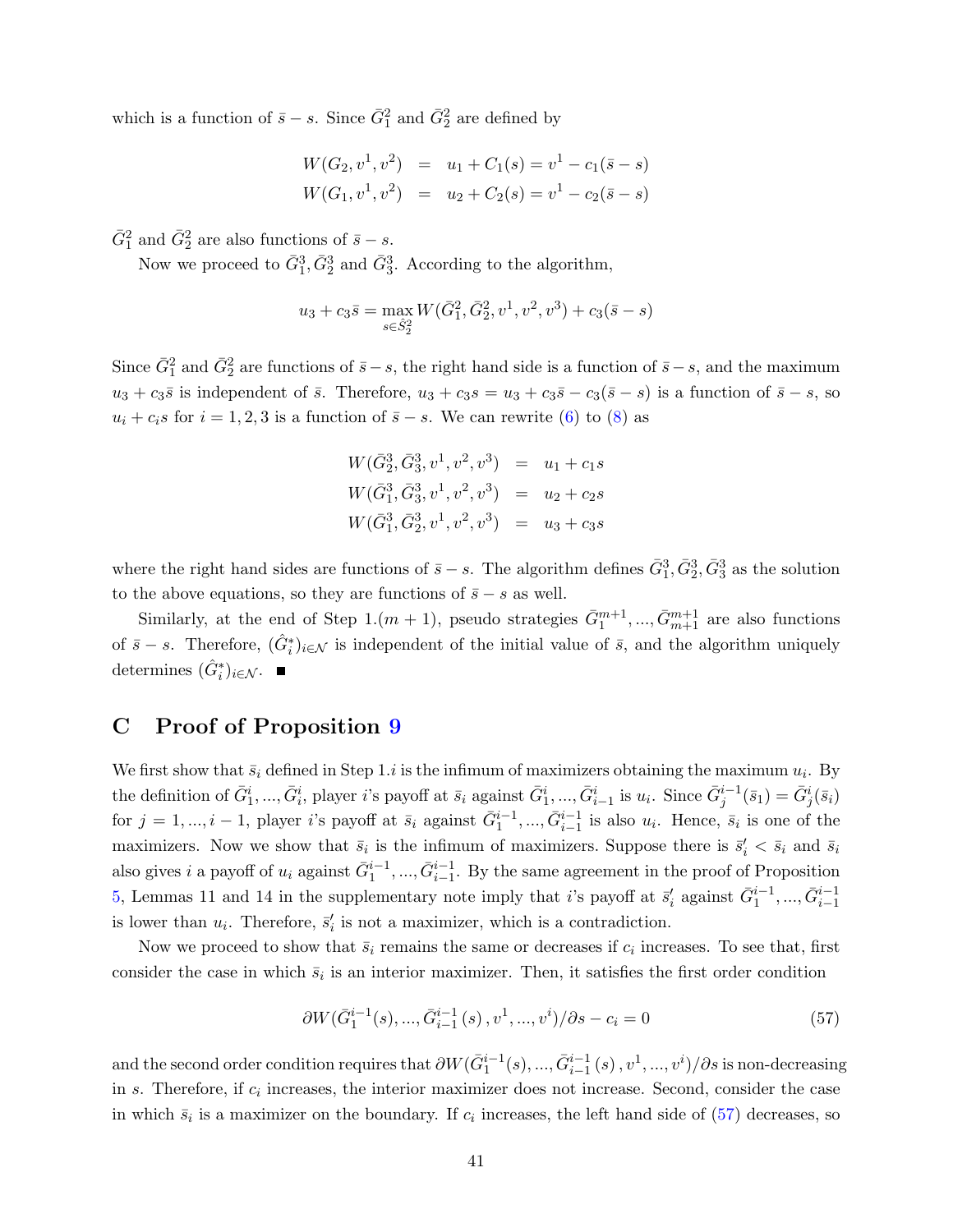which is a function of  $\bar{s} - s$ . Since  $\bar{G}_1^2$  and  $\bar{G}_2^2$  are defined by

$$
W(G_2, v^1, v^2) = u_1 + C_1(s) = v^1 - c_1(\bar{s} - s)
$$
  

$$
W(G_1, v^1, v^2) = u_2 + C_2(s) = v^1 - c_2(\bar{s} - s)
$$

 $\bar{G}_1^2$  and  $\bar{G}_2^2$  are also functions of  $\bar{s} - s$ .

Now we proceed to  $\bar{G}_1^3$ ,  $\bar{G}_2^3$  and  $\bar{G}_3^3$ . According to the algorithm,

$$
u_3 + c_3 \bar{s} = \max_{s \in \hat{S}_2^2} W(\bar{G}_1^2, \bar{G}_2^2, v^1, v^2, v^3) + c_3(\bar{s} - s)
$$

Since  $\bar{G}_1^2$  and  $\bar{G}_2^2$  are functions of  $\bar{s}-s$ , the right hand side is a function of  $\bar{s}-s$ , and the maximum  $u_3 + c_3\bar{s}$  is independent of  $\bar{s}$ . Therefore,  $u_3 + c_3s = u_3 + c_3\bar{s} - c_3(\bar{s} - s)$  is a function of  $\bar{s} - s$ , so  $u_i + c_i s$  for  $i = 1, 2, 3$  is a function of  $\bar{s} - s$ . We can rewrite [\(6\)](#page-13-0) to [\(8\)](#page-13-0) as

$$
W(\bar{G}_2^3, \bar{G}_3^3, v^1, v^2, v^3) = u_1 + c_1s
$$
  
\n
$$
W(\bar{G}_1^3, \bar{G}_3^3, v^1, v^2, v^3) = u_2 + c_2s
$$
  
\n
$$
W(\bar{G}_1^3, \bar{G}_2^3, v^1, v^2, v^3) = u_3 + c_3s
$$

where the right hand sides are functions of  $\bar{s} - s$ . The algorithm defines  $\bar{G}_1^3, \bar{G}_2^3, \bar{G}_3^3$  as the solution to the above equations, so they are functions of  $\bar{s} - s$  as well.

Similarly, at the end of Step 1. $(m + 1)$ , pseudo strategies  $\bar{G}_1^{m+1},...,\bar{G}_{m+1}^{m+1}$  are also functions of  $\bar{s} - s$ . Therefore,  $(\hat{G}_i^*)_{i \in \mathcal{N}}$  is independent of the initial value of  $\bar{s}$ , and the algorithm uniquely determines  $(\hat{G}_i^*)_{i \in \mathcal{N}}$ .

# <span id="page-40-0"></span>C Proof of Proposition [9](#page-19-1)

We first show that  $\bar{s}_i$  defined in Step 1.*i* is the infimum of maximizers obtaining the maximum  $u_i$ . By the definition of  $\bar{G}_1^i, ..., \bar{G}_i^i$ , player *i*'s payoff at  $\bar{s}_i$  against  $\bar{G}_1^i, ..., \bar{G}_{i-1}^i$  is  $u_i$ . Since  $\bar{G}_j^{i-1}(\bar{s}_1) = \bar{G}_j^i(\bar{s}_i)$ for  $j = 1, ..., i - 1$ , player i's payoff at  $\bar{s}_i$  against  $\bar{G}_1^{i-1}, ..., \bar{G}_{i-1}^{i-1}$  is also  $u_i$ . Hence,  $\bar{s}_i$  is one of the maximizers. Now we show that  $\bar{s}_i$  is the infimum of maximizers. Suppose there is  $\bar{s}'_i < \bar{s}_i$  and  $\bar{s}_i$ also gives i a payoff of  $u_i$  against  $\bar{G}_1^{i-1},...,\bar{G}_{i-1}^{i-1}$ . By the same agreement in the proof of Proposition [5,](#page-10-0) Lemmas 11 and 14 in the supplementary note imply that i's payoff at  $\bar{s}'_i$  against  $\bar{G}^{i-1}_1, ..., \bar{G}^{i-1}_{i-1}$ is lower than  $u_i$ . Therefore,  $\bar{s}'_i$  is not a maximizer, which is a contradiction.

Now we proceed to show that  $\bar{s}_i$  remains the same or decreases if  $c_i$  increases. To see that, first consider the case in which  $\bar{s}_i$  is an interior maximizer. Then, it satisfies the first order condition

<span id="page-40-1"></span>
$$
\partial W(\bar{G}_1^{i-1}(s), ..., \bar{G}_{i-1}^{i-1}(s), v^1, ..., v^i)/\partial s - c_i = 0
$$
\n
$$
(57)
$$

and the second order condition requires that  $\partial W(\bar G_1^{i-1}(s),...,\bar G_{i-1}^{i-1}(s),v^1,...,v^i)/\partial s$  is non-decreasing in  $s$ . Therefore, if  $c_i$  increases, the interior maximizer does not increase. Second, consider the case in which  $\bar{s}_i$  is a maximizer on the boundary. If  $c_i$  increases, the left hand side of  $(57)$  decreases, so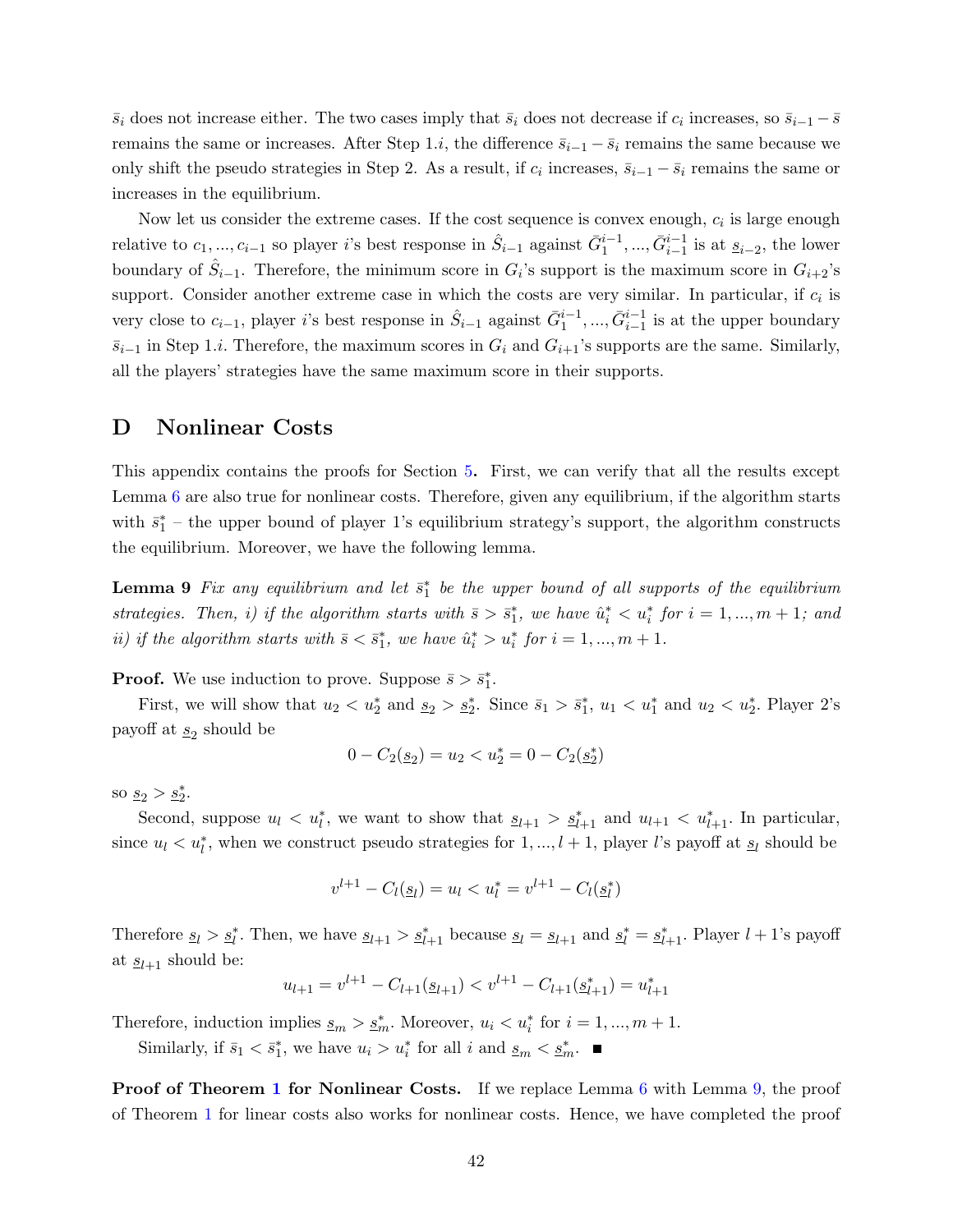$\bar{s}_i$  does not increase either. The two cases imply that  $\bar{s}_i$  does not decrease if  $c_i$  increases, so  $\bar{s}_{i-1} - \bar{s}$ remains the same or increases. After Step 1.*i*, the difference  $\bar{s}_{i-1} - \bar{s}_i$  remains the same because we only shift the pseudo strategies in Step 2. As a result, if  $c_i$  increases,  $\bar{s}_{i-1} - \bar{s}_i$  remains the same or increases in the equilibrium.

Now let us consider the extreme cases. If the cost sequence is convex enough,  $c_i$  is large enough relative to  $c_1, ..., c_{i-1}$  so player i's best response in  $\hat{S}_{i-1}$  against  $\bar{G}_1^{i-1}, ..., \bar{G}_{i-1}^{i-1}$  is at  $\underline{s}_{i-2}$ , the lower boundary of  $\hat{S}_{i-1}$ . Therefore, the minimum score in  $G_i$ 's support is the maximum score in  $G_{i+2}$ 's support. Consider another extreme case in which the costs are very similar. In particular, if  $c_i$  is very close to  $c_{i-1}$ , player i's best response in  $\hat{S}_{i-1}$  against  $\bar{G}_1^{i-1},...,\bar{G}_{i-1}^{i-1}$  is at the upper boundary  $\bar{s}_{i-1}$  in Step 1.*i*. Therefore, the maximum scores in  $G_i$  and  $G_{i+1}$ 's supports are the same. Similarly, all the players' strategies have the same maximum score in their supports.

### <span id="page-41-0"></span>D Nonlinear Costs

This appendix contains the proofs for Section [5](#page-22-0). First, we can verify that all the results except Lemma [6](#page-15-1) are also true for nonlinear costs. Therefore, given any equilibrium, if the algorithm starts with  $\bar{s}_1^*$  – the upper bound of player 1's equilibrium strategy's support, the algorithm constructs the equilibrium. Moreover, we have the following lemma.

<span id="page-41-1"></span>**Lemma 9** Fix any equilibrium and let  $\bar{s}_1^*$  be the upper bound of all supports of the equilibrium strategies. Then, i) if the algorithm starts with  $\bar{s} > \bar{s}_1^*$ , we have  $\hat{u}_i^* < u_i^*$  for  $i = 1, ..., m + 1$ ; and ii) if the algorithm starts with  $\bar{s} < \bar{s}_1^*$ , we have  $\hat{u}_i^* > u_i^*$  for  $i = 1, ..., m + 1$ .

**Proof.** We use induction to prove. Suppose  $\bar{s} > \bar{s}_1^*$ .

First, we will show that  $u_2 < u_2^*$  and  $\underline{s}_2 > \underline{s}_2^*$ . Since  $\overline{s}_1 > \overline{s}_1^*$ ,  $u_1 < u_1^*$  and  $u_2 < u_2^*$ . Player 2's payoff at  $s_2$  should be

$$
0 - C_2(\underline{s}_2) = u_2 < u_2^* = 0 - C_2(\underline{s}_2^*)
$$

so  $s_2 > s_2^*$ .

Second, suppose  $u_l < u_l^*$ , we want to show that  $s_{l+1} > s_{l+1}^*$  and  $u_{l+1} < u_{l+1}^*$ . In particular, since  $u_l < u_l^*$ , when we construct pseudo strategies for  $1, ..., l + 1$ , player l's payoff at  $s_l$  should be

$$
v^{l+1} - C_l(\underline{s}_l) = u_l < u_l^* = v^{l+1} - C_l(\underline{s}_l^*)
$$

Therefore  $s_l > s_l^*$ . Then, we have  $s_{l+1} > s_{l+1}^*$  because  $s_l = s_{l+1}$  and  $s_l^* = s_{l+1}^*$ . Player  $l+1$ 's payoff at  $s_{l+1}$  should be:

$$
u_{l+1} = v^{l+1} - C_{l+1}(\underline{s}_{l+1}) < v^{l+1} - C_{l+1}(\underline{s}_{l+1}^*) = u_{l+1}^*
$$

Therefore, induction implies  $\underline{s}_m > \underline{s}_m^*$ . Moreover,  $u_i < u_i^*$  for  $i = 1, ..., m + 1$ .

Similarly, if  $\bar{s}_1 < \bar{s}_1^*$ , we have  $u_i > u_i^*$  for all i and  $\underline{s}_m < \underline{s}_m^*$ .

Proof of Theorem [1](#page-4-3) for Nonlinear Costs. If we replace Lemma [6](#page-15-1) with Lemma [9,](#page-41-1) the proof of Theorem [1](#page-4-3) for linear costs also works for nonlinear costs. Hence, we have completed the proof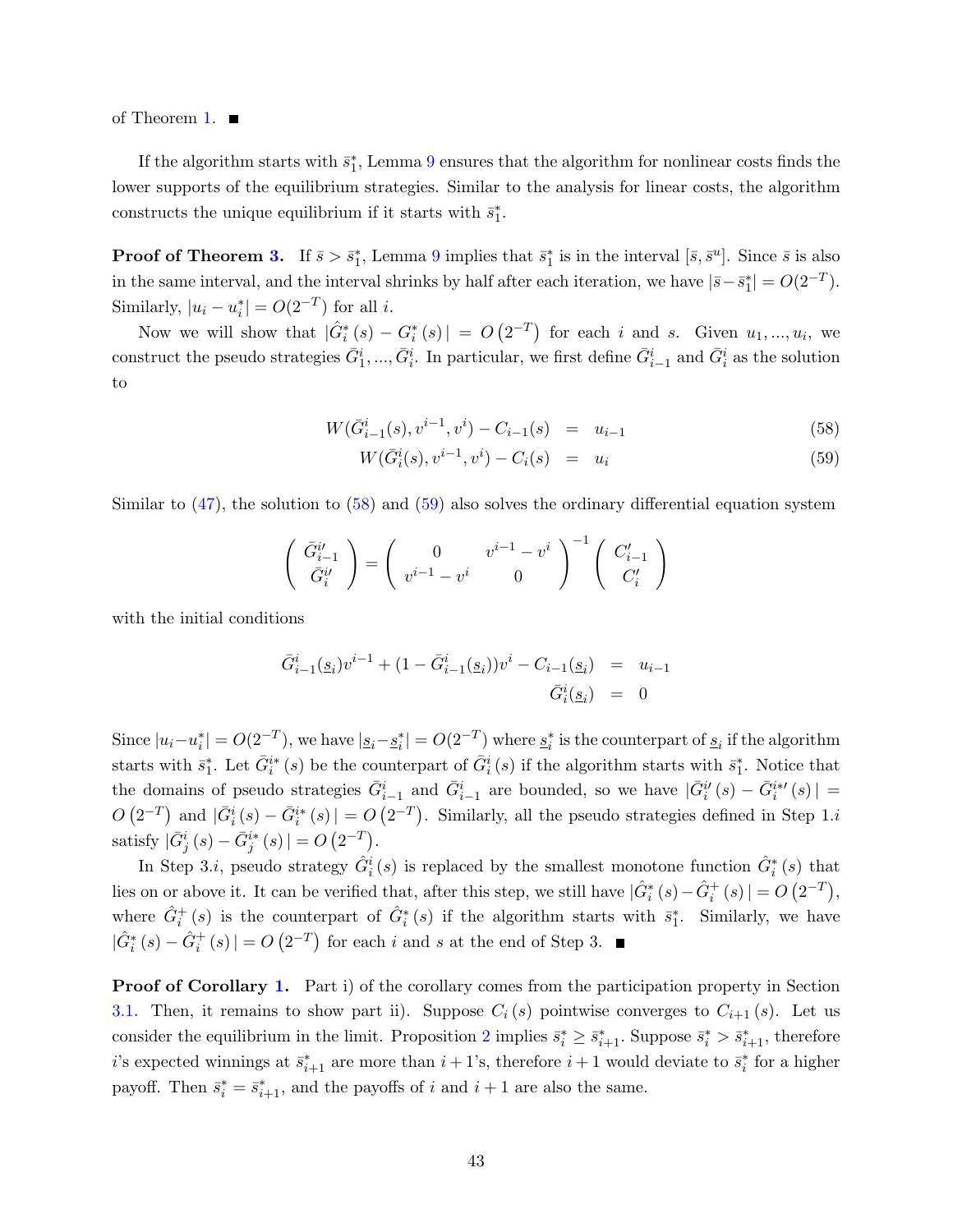of Theorem [1.](#page-4-3)  $\blacksquare$ 

If the algorithm starts with  $\bar{s}_1^*$ , Lemma [9](#page-41-1) ensures that the algorithm for nonlinear costs finds the lower supports of the equilibrium strategies. Similar to the analysis for linear costs, the algorithm constructs the unique equilibrium if it starts with  $\bar{s}_1^*$ .

**Proof of Theorem [3.](#page-20-2)** If  $\bar{s} > \bar{s}_1^*$ , Lemma [9](#page-41-1) implies that  $\bar{s}_1^*$  is in the interval  $[\bar{s}, \bar{s}^u]$ . Since  $\bar{s}$  is also in the same interval, and the interval shrinks by half after each iteration, we have  $|\bar{s}-\bar{s}_1^*| = O(2^{-T})$ . Similarly,  $|u_i - u_i^*| = O(2^{-T})$  for all *i*.

Now we will show that  $|\hat{G}_i^*(s) - G_i^*(s)| = O(2^{-T})$  for each i and s. Given  $u_1, ..., u_i$ , we construct the pseudo strategies  $\bar{G}_1^i, ..., \bar{G}_i^i$ . In particular, we first define  $\bar{G}_{i-1}^i$  and  $\bar{G}_i^i$  as the solution to

<span id="page-42-0"></span>
$$
W(\bar{G}_{i-1}^i(s), v^{i-1}, v^i) - C_{i-1}(s) = u_{i-1}
$$
\n(58)

$$
W(\bar{G}_i^i(s), v^{i-1}, v^i) - C_i(s) = u_i \tag{59}
$$

Similar to  $(47)$ , the solution to  $(58)$  and  $(59)$  also solves the ordinary differential equation system

$$
\begin{pmatrix}\n\bar{G}_{i-1}^{i\prime} \\
\bar{G}_{i}^{i\prime}\n\end{pmatrix} = \begin{pmatrix}\n0 & v^{i-1} - v^i \\
v^{i-1} - v^i & 0\n\end{pmatrix}^{-1} \begin{pmatrix}\nC'_{i-1} \\
C'_{i}\n\end{pmatrix}
$$

with the initial conditions

$$
\bar{G}_{i-1}^{i}(\underline{s}_{i})v^{i-1} + (1 - \bar{G}_{i-1}^{i}(\underline{s}_{i}))v^{i} - C_{i-1}(\underline{s}_{i}) = u_{i-1}
$$
  

$$
\bar{G}_{i}^{i}(\underline{s}_{i}) = 0
$$

Since  $|u_i - u_i^*| = O(2^{-T})$ , we have  $|s_i - s_i^*| = O(2^{-T})$  where  $s_i^*$  is the counterpart of  $s_i$  if the algorithm starts with  $\bar{s}_1^*$ . Let  $\bar{G}_i^{i*}(s)$  be the counterpart of  $\bar{G}_i^i(s)$  if the algorithm starts with  $\bar{s}_1^*$ . Notice that the domains of pseudo strategies  $\bar{G}_{i-1}^i$  and  $\bar{G}_{i-1}^i$  are bounded, so we have  $|\bar{G}_i^{i}(s) - \bar{G}_i^{i*'}(s)| =$  $O(2^{-T})$  and  $|\bar{G}_i^i(s) - \bar{G}_i^{i*}(s)| = O(2^{-T})$ . Similarly, all the pseudo strategies defined in Step 1.*i* satisfy  $|\bar{G}_{j}^{i}(s) - \bar{G}_{j}^{i*}(s)| = O(2^{-T}).$ 

In Step 3.*i*, pseudo strategy  $\hat{G}_i^i(s)$  is replaced by the smallest monotone function  $\hat{G}_i^*(s)$  that lies on or above it. It can be verified that, after this step, we still have  $|\hat{G}_i^*(s) - \hat{G}_i^+(s)| = O(2^{-T}),$ where  $\hat{G}_i^+(s)$  is the counterpart of  $\hat{G}_i^*(s)$  if the algorithm starts with  $\bar{s}_1^*$ . Similarly, we have  $|\hat{G}_{i}^{*}(s) - \hat{G}_{i}^{+}(s)| = O(2^{-T})$  for each i and s at the end of Step 3.

**Proof of Corollary [1.](#page-21-0)** Part i) of the corollary comes from the participation property in Section [3.1.](#page-5-1) Then, it remains to show part ii). Suppose  $C_i(s)$  pointwise converges to  $C_{i+1}(s)$ . Let us consider the equilibrium in the limit. Proposition [2](#page-6-2) implies  $\bar{s}_i^* \geq \bar{s}_{i+1}^*$ . Suppose  $\bar{s}_i^* > \bar{s}_{i+1}^*$ , therefore i's expected winnings at  $\bar{s}_{i+1}^*$  are more than  $i+1$ 's, therefore  $i+1$  would deviate to  $\bar{s}_i^*$  for a higher payoff. Then  $\bar{s}_i^* = \bar{s}_{i+1}^*$ , and the payoffs of i and  $i+1$  are also the same.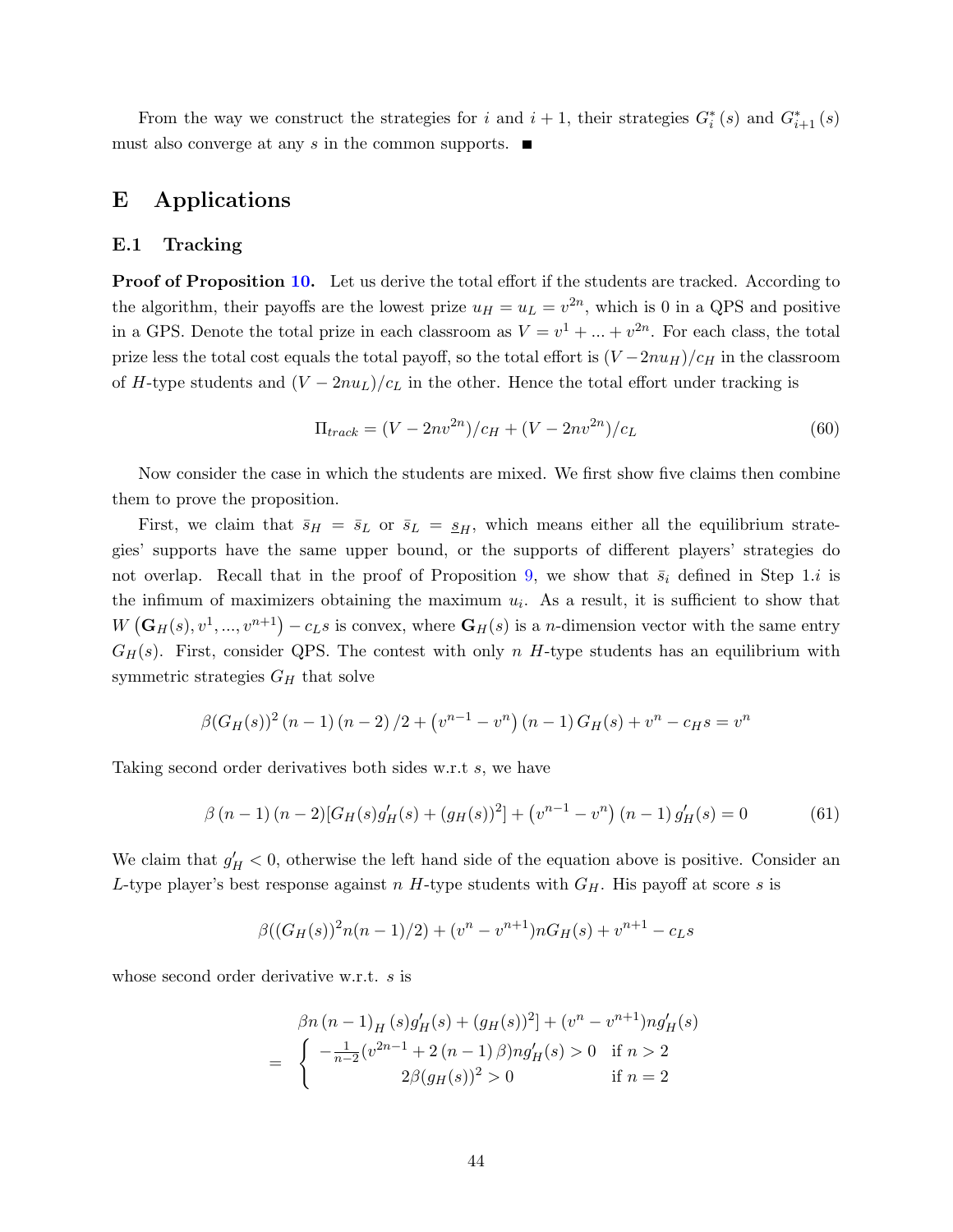From the way we construct the strategies for i and  $i + 1$ , their strategies  $G_i^*(s)$  and  $G_{i+1}^*(s)$ must also converge at any s in the common supports.  $\blacksquare$ 

### E Applications

#### <span id="page-43-0"></span>E.1 Tracking

**Proof of Proposition [10.](#page-23-3)** Let us derive the total effort if the students are tracked. According to the algorithm, their payoffs are the lowest prize  $u_H = u_L = v^{2n}$ , which is 0 in a QPS and positive in a GPS. Denote the total prize in each classroom as  $V = v^1 + ... + v^{2n}$ . For each class, the total prize less the total cost equals the total payoff, so the total effort is  $(V - 2nu_H)/c_H$  in the classroom of H-type students and  $(V - 2nu_L)/c_L$  in the other. Hence the total effort under tracking is

$$
\Pi_{track} = (V - 2nv^{2n})/c_H + (V - 2nv^{2n})/c_L
$$
\n(60)

Now consider the case in which the students are mixed. We first show five claims then combine them to prove the proposition.

First, we claim that  $\bar{s}_H = \bar{s}_L$  or  $\bar{s}_L = s_H$ , which means either all the equilibrium strategies' supports have the same upper bound, or the supports of different players' strategies do not overlap. Recall that in the proof of Proposition [9,](#page-19-1) we show that  $\bar{s}_i$  defined in Step 1.*i* is the infimum of maximizers obtaining the maximum  $u_i$ . As a result, it is sufficient to show that  $W\left(\mathbf{G}_H(s), v^1, ..., v^{n+1}\right) - c_L s$  is convex, where  $\mathbf{G}_H(s)$  is a *n*-dimension vector with the same entry  $G_H(s)$ . First, consider QPS. The contest with only n H-type students has an equilibrium with symmetric strategies  $G_H$  that solve

$$
\beta(G_H(s))^2 (n-1) (n-2) / 2 + (v^{n-1} - v^n) (n-1) G_H(s) + v^n - c_H s = v^n
$$

Taking second order derivatives both sides w.r.t s, we have

<span id="page-43-1"></span>
$$
\beta (n-1) (n-2) [G_H(s) g'_H(s) + (g_H(s))^2] + (v^{n-1} - v^n) (n-1) g'_H(s) = 0 \tag{61}
$$

We claim that  $g'_H < 0$ , otherwise the left hand side of the equation above is positive. Consider an L-type player's best response against n H-type students with  $G_H$ . His payoff at score s is

$$
\beta((G_H(s))^2 n(n-1)/2) + (v^n - v^{n+1}) nG_H(s) + v^{n+1} - c_L s
$$

whose second order derivative w.r.t. s is

$$
\beta n (n - 1)_H (s) g'_H(s) + (g_H(s))^2 + (v^n - v^{n+1}) n g'_H(s)
$$
  
= 
$$
\begin{cases} -\frac{1}{n-2} (v^{2n-1} + 2 (n - 1) \beta) n g'_H(s) > 0 & \text{if } n > 2 \\ 2\beta (g_H(s))^2 > 0 & \text{if } n = 2 \end{cases}
$$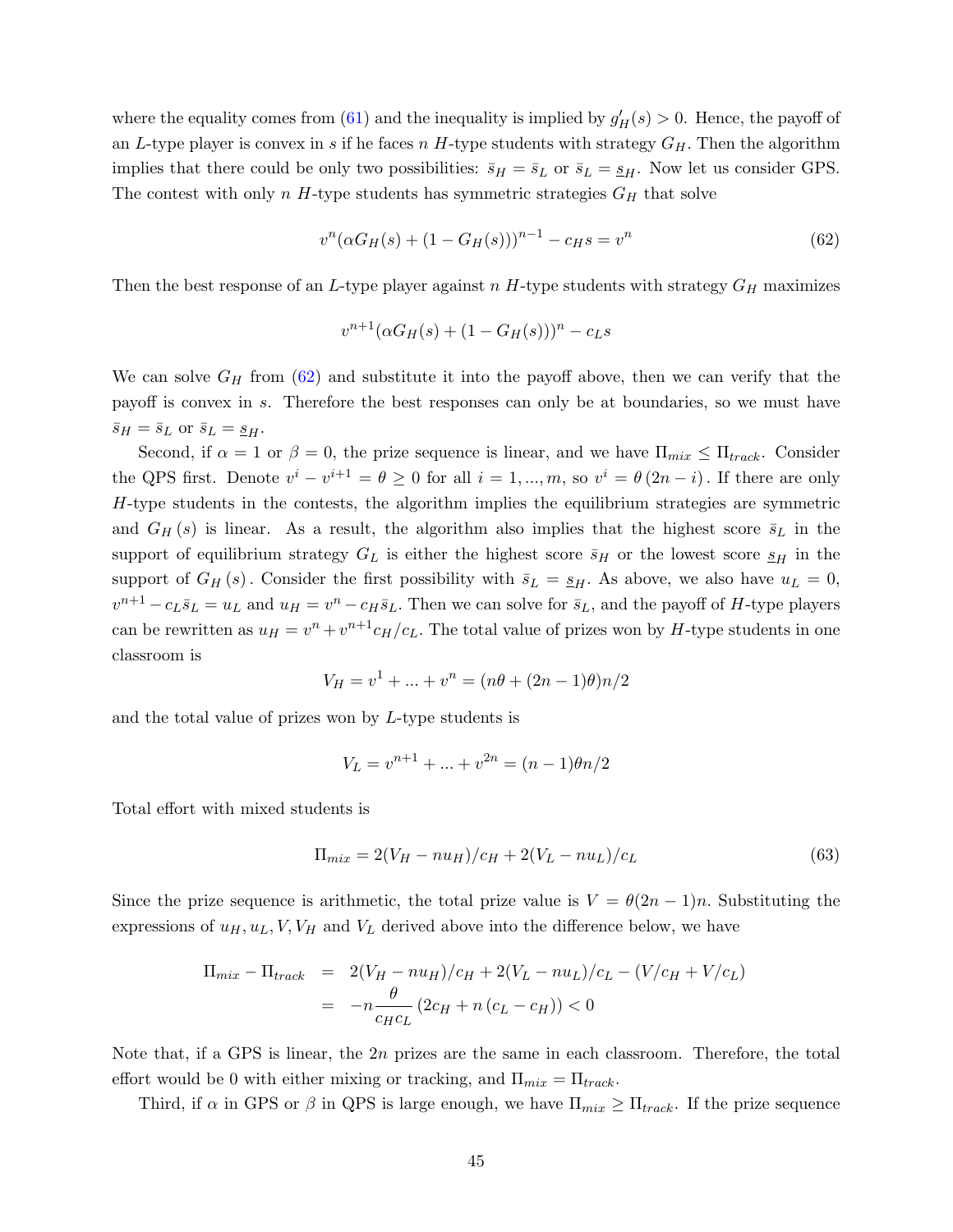where the equality comes from [\(61\)](#page-43-1) and the inequality is implied by  $g'_H(s) > 0$ . Hence, the payoff of an L-type player is convex in s if he faces n H-type students with strategy  $G_H$ . Then the algorithm implies that there could be only two possibilities:  $\bar{s}_H = \bar{s}_L$  or  $\bar{s}_L = \underline{s}_H$ . Now let us consider GPS. The contest with only n  $H$ -type students has symmetric strategies  $G_H$  that solve

<span id="page-44-0"></span>
$$
v^{n}(\alpha G_{H}(s) + (1 - G_{H}(s)))^{n-1} - c_{H}s = v^{n}
$$
\n(62)

Then the best response of an L-type player against n  $H$ -type students with strategy  $G_H$  maximizes

$$
v^{n+1}(\alpha G_H(s) + (1 - G_H(s)))^n - c_L s
$$

We can solve  $G_H$  from [\(62\)](#page-44-0) and substitute it into the payoff above, then we can verify that the payoff is convex in s. Therefore the best responses can only be at boundaries, so we must have  $\bar{s}_H = \bar{s}_L$  or  $\bar{s}_L = \underline{s}_H$ .

Second, if  $\alpha = 1$  or  $\beta = 0$ , the prize sequence is linear, and we have  $\Pi_{mix} \leq \Pi_{track}$ . Consider the QPS first. Denote  $v^{i} - v^{i+1} = \theta \ge 0$  for all  $i = 1, ..., m$ , so  $v^{i} = \theta (2n - i)$ . If there are only H-type students in the contests, the algorithm implies the equilibrium strategies are symmetric and  $G_H(s)$  is linear. As a result, the algorithm also implies that the highest score  $\bar{s}_L$  in the support of equilibrium strategy  $G_L$  is either the highest score  $\bar{s}_H$  or the lowest score  $\underline{s}_H$  in the support of  $G_H(s)$ . Consider the first possibility with  $\bar{s}_L = s_H$ . As above, we also have  $u_L = 0$ ,  $v^{n+1} - c_L \bar{s}_L = u_L$  and  $u_H = v^n - c_H \bar{s}_L$ . Then we can solve for  $\bar{s}_L$ , and the payoff of H-type players can be rewritten as  $u_H = v^n + v^{n+1}c_H/c_L$ . The total value of prizes won by H-type students in one classroom is

$$
V_H = v^1 + \dots + v^n = (n\theta + (2n - 1)\theta)n/2
$$

and the total value of prizes won by L-type students is

$$
V_L = v^{n+1} + \dots + v^{2n} = (n-1)\theta n/2
$$

Total effort with mixed students is

<span id="page-44-1"></span>
$$
\Pi_{mix} = 2(V_H - nu_H)/c_H + 2(V_L - nu_L)/c_L \tag{63}
$$

Since the prize sequence is arithmetic, the total prize value is  $V = \theta(2n-1)n$ . Substituting the expressions of  $u_H$ ,  $u_L$ ,  $V$ ,  $V_H$  and  $V_L$  derived above into the difference below, we have

$$
\Pi_{mix} - \Pi_{track} = 2(V_H - nu_H)/c_H + 2(V_L - nu_L)/c_L - (V/c_H + V/c_L)
$$
  
= 
$$
-n \frac{\theta}{c_H c_L} (2c_H + n(c_L - c_H)) < 0
$$

Note that, if a GPS is linear, the 2n prizes are the same in each classroom. Therefore, the total effort would be 0 with either mixing or tracking, and  $\Pi_{mix} = \Pi_{track}$ .

Third, if  $\alpha$  in GPS or  $\beta$  in QPS is large enough, we have  $\Pi_{mix} \geq \Pi_{track}$ . If the prize sequence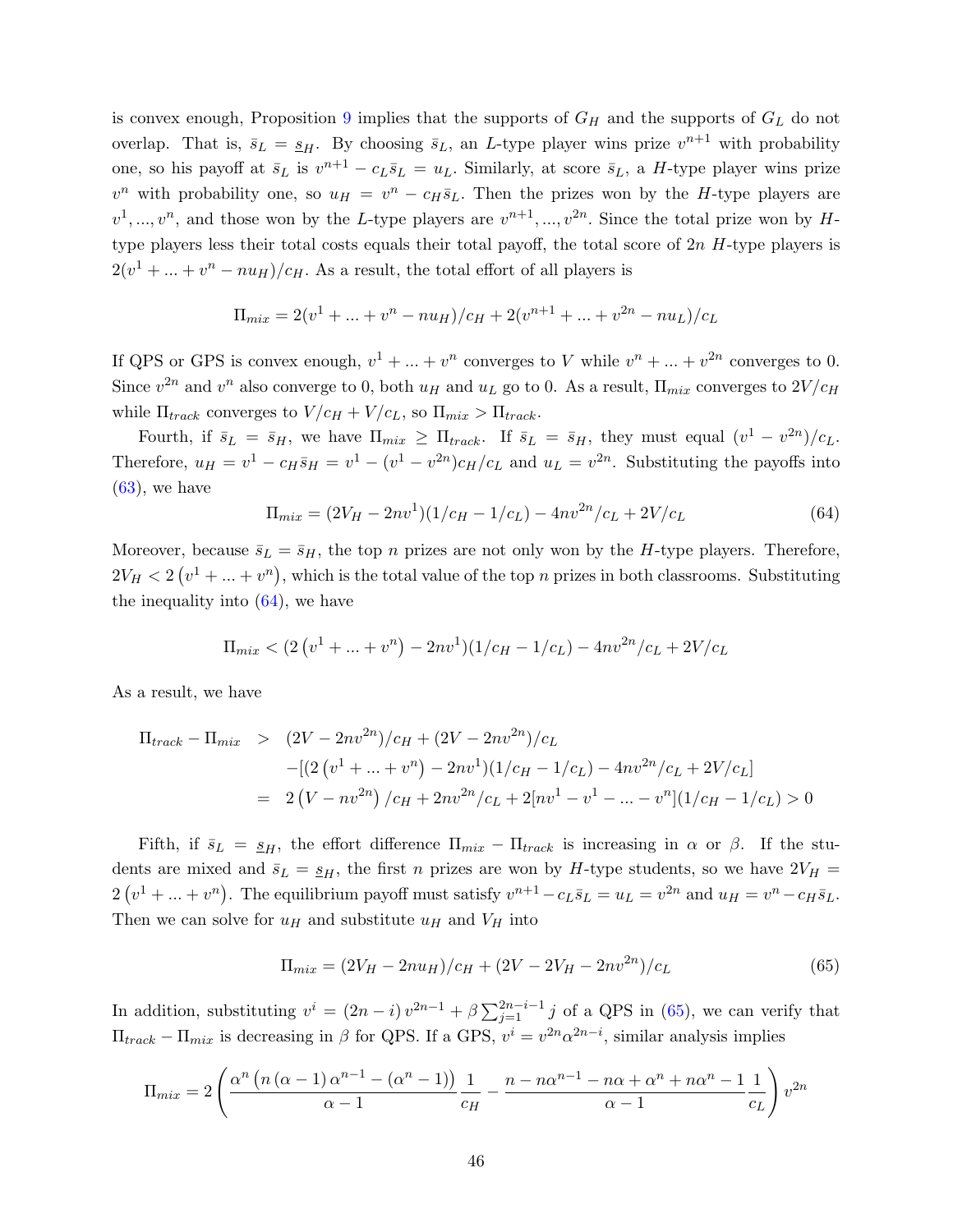is convex enough, Proposition [9](#page-19-1) implies that the supports of  $G_H$  and the supports of  $G_L$  do not overlap. That is,  $\bar{s}_L = s_H$ . By choosing  $\bar{s}_L$ , an L-type player wins prize  $v^{n+1}$  with probability one, so his payoff at  $\bar{s}_L$  is  $v^{n+1} - c_L \bar{s}_L = u_L$ . Similarly, at score  $\bar{s}_L$ , a H-type player wins prize  $v^n$  with probability one, so  $u_H = v^n - c_H \bar{s}_L$ . Then the prizes won by the H-type players are  $v^1, ..., v^n$ , and those won by the L-type players are  $v^{n+1}, ..., v^{2n}$ . Since the total prize won by Htype players less their total costs equals their total payoff, the total score of  $2n$  H-type players is  $2(v^1 + \ldots + v^n - nu_H)/c_H$ . As a result, the total effort of all players is

$$
\Pi_{mix} = 2(v^1 + \dots + v^n - nu_H)/c_H + 2(v^{n+1} + \dots + v^{2n} - nu_L)/c_L
$$

If QPS or GPS is convex enough,  $v^1 + \ldots + v^n$  converges to V while  $v^n + \ldots + v^{2n}$  converges to 0. Since  $v^{2n}$  and  $v^n$  also converge to 0, both  $u_H$  and  $u_L$  go to 0. As a result,  $\Pi_{mix}$  converges to  $2V/c_H$ while  $\Pi_{track}$  converges to  $V/c_H + V/c_L$ , so  $\Pi_{mix} > \Pi_{track}$ .

Fourth, if  $\bar{s}_L = \bar{s}_H$ , we have  $\Pi_{mix} \ge \Pi_{track}$ . If  $\bar{s}_L = \bar{s}_H$ , they must equal  $(v^1 - v^{2n})/c_L$ . Therefore,  $u_H = v^1 - c_H \bar{s}_H = v^1 - (v^1 - v^{2n})c_H/c_L$  and  $u_L = v^{2n}$ . Substituting the payoffs into  $(63)$ , we have

<span id="page-45-0"></span>
$$
\Pi_{mix} = (2V_H - 2nv^1)(1/c_H - 1/c_L) - 4nv^{2n}/c_L + 2V/c_L \tag{64}
$$

Moreover, because  $\bar{s}_L = \bar{s}_H$ , the top n prizes are not only won by the H-type players. Therefore,  $2V_H < 2(v^1 + ... + v^n)$ , which is the total value of the top n prizes in both classrooms. Substituting the inequality into  $(64)$ , we have

$$
\Pi_{mix} < (2(v^1 + \dots + v^n) - 2nv^1)(1/c_H - 1/c_L) - 4nv^{2n}/c_L + 2V/c_L
$$

As a result, we have

$$
\Pi_{track} - \Pi_{mix} > (2V - 2nv^{2n})/c_H + (2V - 2nv^{2n})/c_L
$$
  
-([2 (v<sup>1</sup> + ... + v<sup>n</sup>) - 2nv<sup>1</sup>)(1/c\_H - 1/c\_L) - 4nv<sup>2n</sup>/c\_L + 2V/c\_L]  
= 2 (V - nv<sup>2n</sup>) /c\_H + 2nv<sup>2n</sup>/c\_L + 2[nv<sup>1</sup> - v<sup>1</sup> - ... - v<sup>n</sup>](1/c\_H - 1/c\_L) > 0

Fifth, if  $\bar{s}_L = s_H$ , the effort difference  $\Pi_{mix} - \Pi_{track}$  is increasing in  $\alpha$  or  $\beta$ . If the students are mixed and  $\bar{s}_L = \underline{s}_H$ , the first n prizes are won by H-type students, so we have  $2V_H$  =  $2(v^1 + ... + v^n)$ . The equilibrium payoff must satisfy  $v^{n+1} - c_L \bar{s}_L = u_L = v^{2n}$  and  $u_H = v^n - c_H \bar{s}_L$ . Then we can solve for  $u_H$  and substitute  $u_H$  and  $V_H$  into

<span id="page-45-1"></span>
$$
\Pi_{mix} = (2V_H - 2nu_H)/(c_H + (2V - 2V_H - 2nv^{2n})/c_L \tag{65}
$$

In addition, substituting  $v^i = (2n-i)v^{2n-1} + \beta \sum_{j=1}^{2n-i-1} j$  of a QPS in [\(65\)](#page-45-1), we can verify that  $\Pi_{track} - \Pi_{mix}$  is decreasing in  $\beta$  for QPS. If a GPS,  $v^i = v^{2n} \alpha^{2n-i}$ , similar analysis implies

$$
\Pi_{mix} = 2\left(\frac{\alpha^n\left(n\left(\alpha-1\right)\alpha^{n-1} - \left(\alpha^n-1\right)\right)}{\alpha-1} \frac{1}{c_H} - \frac{n - n\alpha^{n-1} - n\alpha + \alpha^n + n\alpha^n - 1}{\alpha-1} \frac{1}{c_L}\right)v^{2n}\right)
$$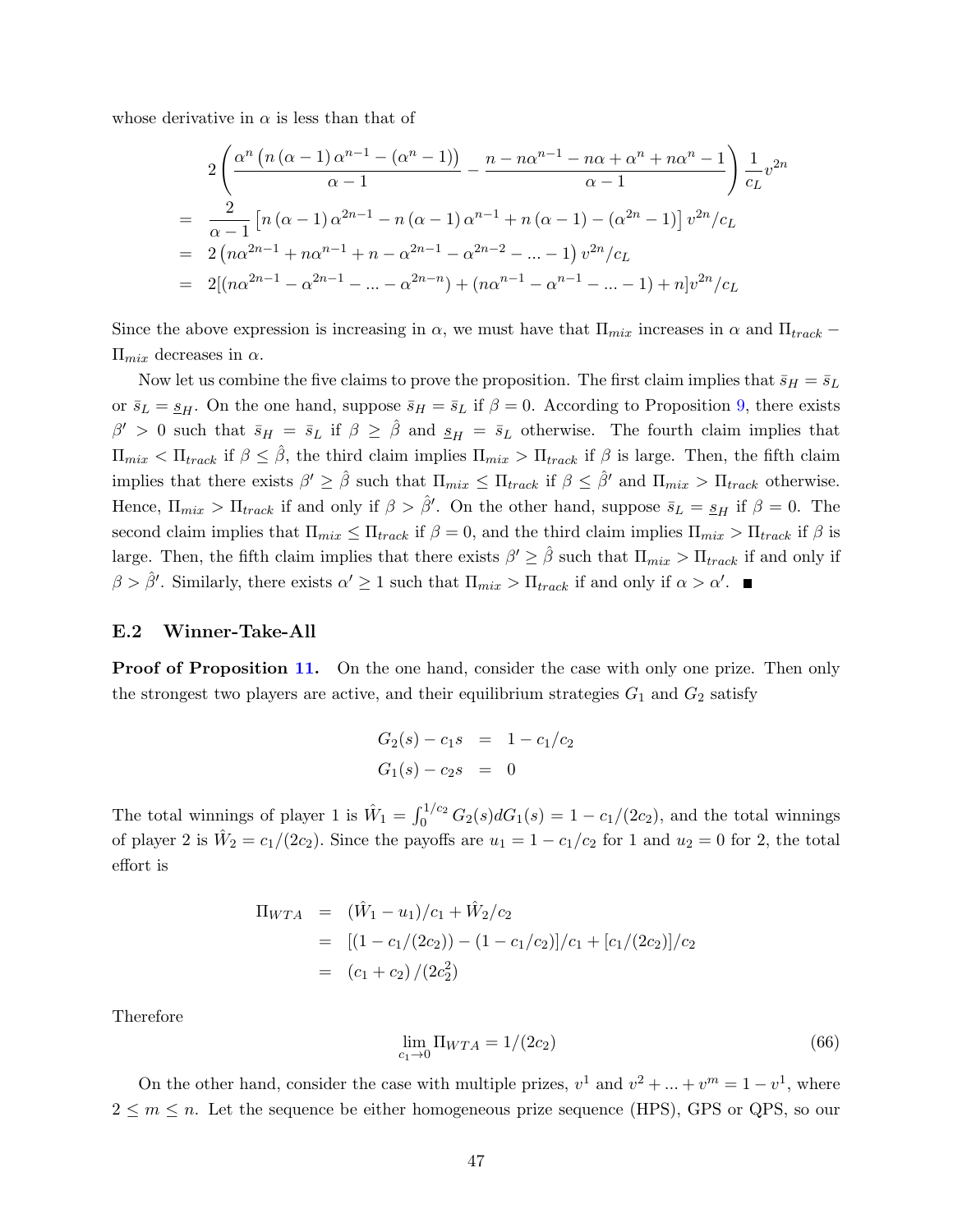whose derivative in  $\alpha$  is less than that of

$$
2\left(\frac{\alpha^{n} \left(n\left(\alpha-1\right)\alpha^{n-1}-\left(\alpha^{n}-1\right)\right)}{\alpha-1}-\frac{n-n\alpha^{n-1}-n\alpha+\alpha^{n}+n\alpha^{n}-1}{\alpha-1}\right)\frac{1}{c_{L}}v^{2n}
$$

$$
=\frac{2}{\alpha-1}\left[n\left(\alpha-1\right)\alpha^{2n-1}-n\left(\alpha-1\right)\alpha^{n-1}+n\left(\alpha-1\right)-\left(\alpha^{2n}-1\right)\right]v^{2n}/c_{L}
$$

$$
=2\left(n\alpha^{2n-1}+n\alpha^{n-1}+n-\alpha^{2n-1}-\alpha^{2n-2}-\dots-1\right)v^{2n}/c_{L}
$$

$$
=2\left[(n\alpha^{2n-1}-\alpha^{2n-1}-\dots-\alpha^{2n-n})+(n\alpha^{n-1}-\alpha^{n-1}-\dots-1)+n\right]v^{2n}/c_{L}
$$

Since the above expression is increasing in  $\alpha$ , we must have that  $\Pi_{mix}$  increases in  $\alpha$  and  $\Pi_{track}$  –  $\Pi_{mix}$  decreases in α.

Now let us combine the five claims to prove the proposition. The first claim implies that  $\bar{s}_H = \bar{s}_L$ or  $\bar{s}_L = s_H$ . On the one hand, suppose  $\bar{s}_H = \bar{s}_L$  if  $\beta = 0$ . According to Proposition [9,](#page-19-1) there exists  $\beta' > 0$  such that  $\bar{s}_H = \bar{s}_L$  if  $\beta \geq \hat{\beta}$  and  $\underline{s}_H = \bar{s}_L$  otherwise. The fourth claim implies that  $\Pi_{mix} < \Pi_{track}$  if  $\beta \leq \hat{\beta}$ , the third claim implies  $\Pi_{mix} > \Pi_{track}$  if  $\beta$  is large. Then, the fifth claim implies that there exists  $\beta' \geq \hat{\beta}$  such that  $\Pi_{mix} \leq \Pi_{track}$  if  $\beta \leq \hat{\beta}'$  and  $\Pi_{mix} > \Pi_{track}$  otherwise. Hence,  $\Pi_{mix} > \Pi_{track}$  if and only if  $\beta > \hat{\beta}'$ . On the other hand, suppose  $\bar{s}_L = s_H$  if  $\beta = 0$ . The second claim implies that  $\Pi_{mix} \leq \Pi_{track}$  if  $\beta = 0$ , and the third claim implies  $\Pi_{mix} > \Pi_{track}$  if  $\beta$  is large. Then, the fifth claim implies that there exists  $\beta' \geq \hat{\beta}$  such that  $\Pi_{mix} > \Pi_{track}$  if and only if  $\beta > \hat{\beta}'$ . Similarly, there exists  $\alpha' \geq 1$  such that  $\Pi_{mix} > \Pi_{track}$  if and only if  $\alpha > \alpha'$ .

#### <span id="page-46-0"></span>E.2 Winner-Take-All

**Proof of Proposition [11.](#page-25-5)** On the one hand, consider the case with only one prize. Then only the strongest two players are active, and their equilibrium strategies  $G_1$  and  $G_2$  satisfy

$$
G_2(s) - c_1 s = 1 - c_1/c_2
$$
  

$$
G_1(s) - c_2 s = 0
$$

The total winnings of player 1 is  $\hat{W}_1 = \int_0^{1/c_2} G_2(s) dG_1(s) = 1 - c_1/(2c_2)$ , and the total winnings of player 2 is  $\hat{W}_2 = c_1/(2c_2)$ . Since the payoffs are  $u_1 = 1 - c_1/c_2$  for 1 and  $u_2 = 0$  for 2, the total effort is

$$
\Pi_{WTA} = (\hat{W}_1 - u_1)/c_1 + \hat{W}_2/c_2
$$
  
= 
$$
[(1 - c_1/(2c_2)) - (1 - c_1/c_2)]/c_1 + [c_1/(2c_2)]/c_2
$$
  
= 
$$
(c_1 + c_2)/(2c_2^2)
$$

Therefore

<span id="page-46-1"></span>
$$
\lim_{c_1 \to 0} \Pi_{WTA} = 1/(2c_2)
$$
\n(66)

On the other hand, consider the case with multiple prizes,  $v^1$  and  $v^2 + ... + v^m = 1 - v^1$ , where  $2 \leq m \leq n$ . Let the sequence be either homogeneous prize sequence (HPS), GPS or QPS, so our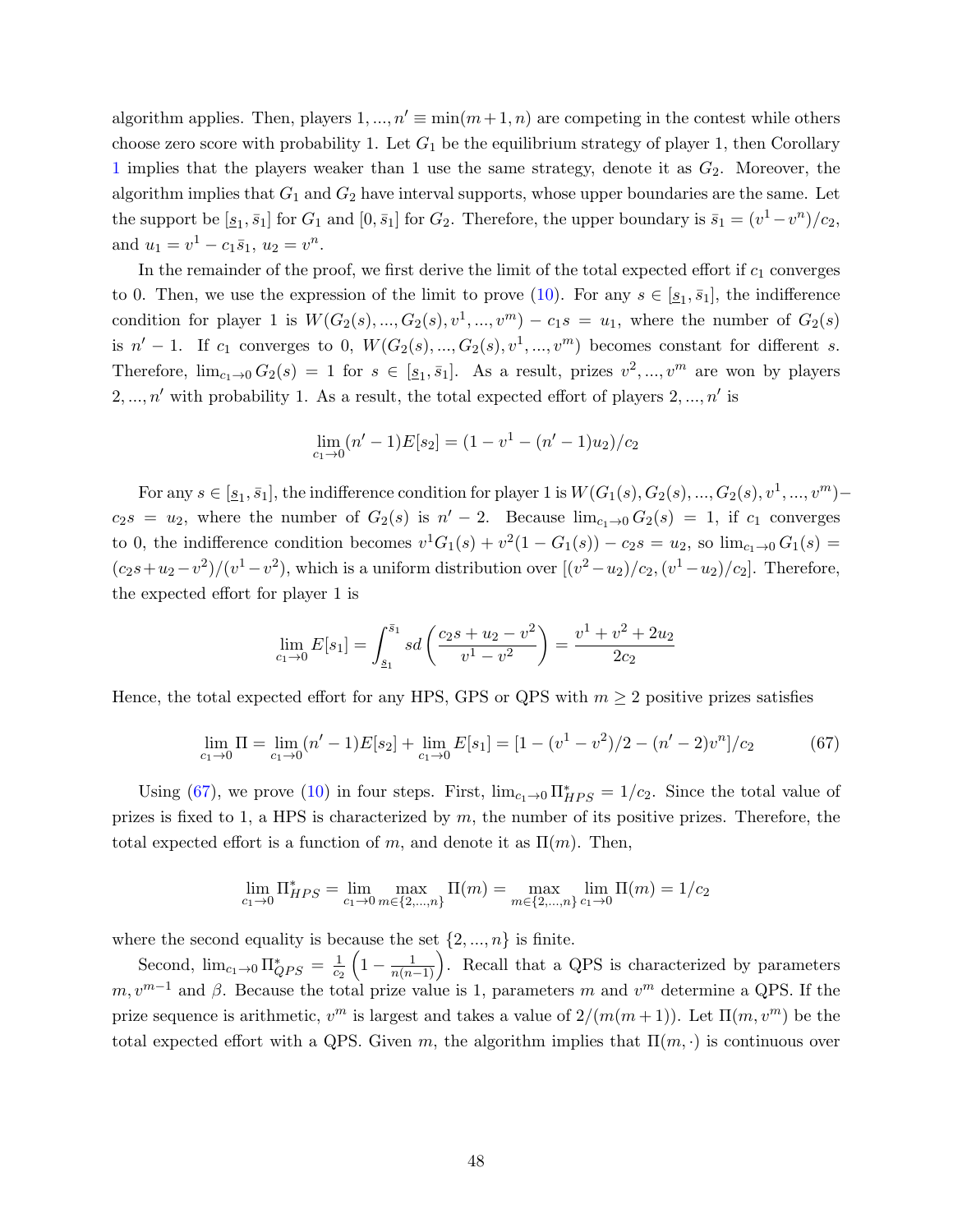algorithm applies. Then, players  $1, ..., n' \equiv \min(m+1, n)$  are competing in the contest while others choose zero score with probability 1. Let  $G_1$  be the equilibrium strategy of player 1, then Corollary [1](#page-21-0) implies that the players weaker than 1 use the same strategy, denote it as  $G_2$ . Moreover, the algorithm implies that  $G_1$  and  $G_2$  have interval supports, whose upper boundaries are the same. Let the support be  $[s_1, \bar{s}_1]$  for  $G_1$  and  $[0, \bar{s}_1]$  for  $G_2$ . Therefore, the upper boundary is  $\bar{s}_1 = (v^1 - v^n)/c_2$ , and  $u_1 = v^1 - c_1 \bar{s}_1, u_2 = v^n$ .

In the remainder of the proof, we first derive the limit of the total expected effort if  $c_1$  converges to 0. Then, we use the expression of the limit to prove [\(10\)](#page-25-3). For any  $s \in [\underline{s}_1, \overline{s}_1]$ , the indifference condition for player 1 is  $W(G_2(s),...,G_2(s),v^1,...,v^m) - c_1s = u_1$ , where the number of  $G_2(s)$ is  $n' - 1$ . If  $c_1$  converges to 0,  $W(G_2(s), ..., G_2(s), v^1, ..., v^m)$  becomes constant for different s. Therefore,  $\lim_{c_1\to 0} G_2(s) = 1$  for  $s \in [\underline{s}_1, \overline{s}_1]$ . As a result, prizes  $v^2, ..., v^m$  are won by players 2, ..., n' with probability 1. As a result, the total expected effort of players  $2, ..., n'$  is

$$
\lim_{c_1 \to 0} (n'-1)E[s_2] = (1 - v^1 - (n'-1)u_2)/c_2
$$

For any  $s \in [\underline{s}_1, \overline{s}_1]$ , the indifference condition for player 1 is  $W(G_1(s), G_2(s), ..., G_2(s), v^1, ..., v^m)$  $c_2s = u_2$ , where the number of  $G_2(s)$  is  $n' - 2$ . Because  $\lim_{c_1 \to 0} G_2(s) = 1$ , if  $c_1$  converges to 0, the indifference condition becomes  $v^1G_1(s) + v^2(1 - G_1(s)) - c_2s = u_2$ , so  $\lim_{c_1 \to 0} G_1(s) =$  $(c_2s+u_2-v^2)/(v^1-v^2)$ , which is a uniform distribution over  $[(v^2-u_2)/c_2,(v^1-u_2)/c_2]$ . Therefore, the expected effort for player 1 is

$$
\lim_{c_1 \to 0} E[s_1] = \int_{\underline{s}_1}^{\overline{s}_1} sd\left(\frac{c_2s + u_2 - v^2}{v^1 - v^2}\right) = \frac{v^1 + v^2 + 2u_2}{2c_2}
$$

Hence, the total expected effort for any HPS, GPS or QPS with  $m \geq 2$  positive prizes satisfies

<span id="page-47-0"></span>
$$
\lim_{c_1 \to 0} \Pi = \lim_{c_1 \to 0} (n'-1)E[s_2] + \lim_{c_1 \to 0} E[s_1] = [1 - (v^1 - v^2)/2 - (n'-2)v^n]/c_2 \tag{67}
$$

Using [\(67\)](#page-47-0), we prove [\(10\)](#page-25-3) in four steps. First,  $\lim_{c_1\to 0} \prod_{HPS}^* = 1/c_2$ . Since the total value of prizes is fixed to 1, a HPS is characterized by  $m$ , the number of its positive prizes. Therefore, the total expected effort is a function of m, and denote it as  $\Pi(m)$ . Then,

$$
\lim_{c_1 \to 0} \Pi_{HPS}^* = \lim_{c_1 \to 0} \max_{m \in \{2,\ldots,n\}} \Pi(m) = \max_{m \in \{2,\ldots,n\}} \lim_{c_1 \to 0} \Pi(m) = 1/c_2
$$

where the second equality is because the set  $\{2, ..., n\}$  is finite.

Second,  $\lim_{c_1 \to 0} \prod_{QPS}^* = \frac{1}{c_2}$  $\overline{c_2}$  $\left(1-\frac{1}{n(n-1)}\right)$ . Recall that a QPS is characterized by parameters  $m, v^{m-1}$  and  $\beta$ . Because the total prize value is 1, parameters m and  $v^m$  determine a QPS. If the prize sequence is arithmetic,  $v^m$  is largest and takes a value of  $2/(m(m+1))$ . Let  $\Pi(m, v^m)$  be the total expected effort with a QPS. Given m, the algorithm implies that  $\Pi(m, \cdot)$  is continuous over